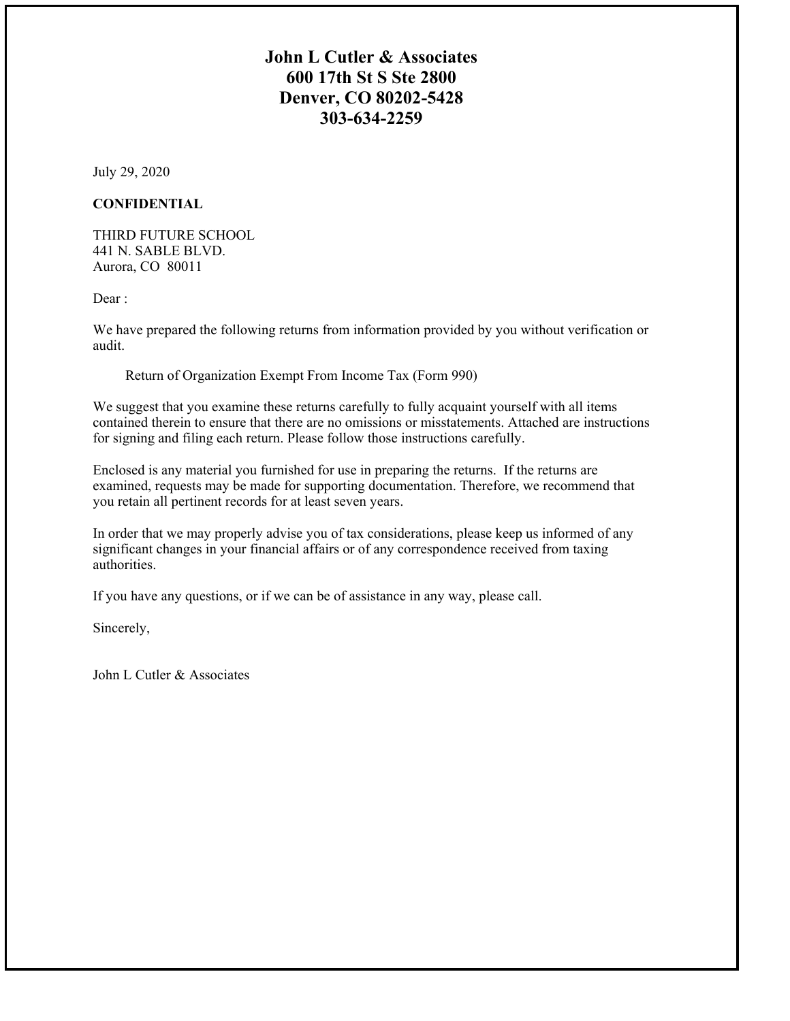## **John L Cutler & Associates 600 17th St S Ste 2800 Denver, CO 80202-5428 303-634-2259**

July 29, 2020

### **CONFIDENTIAL**

THIRD FUTURE SCHOOL 441 N. SABLE BLVD. Aurora, CO 80011

Dear:

We have prepared the following returns from information provided by you without verification or audit.

Return of Organization Exempt From Income Tax (Form 990)

We suggest that you examine these returns carefully to fully acquaint yourself with all items contained therein to ensure that there are no omissions or misstatements. Attached are instructions for signing and filing each return. Please follow those instructions carefully.

Enclosed is any material you furnished for use in preparing the returns. If the returns are examined, requests may be made for supporting documentation. Therefore, we recommend that you retain all pertinent records for at least seven years.

In order that we may properly advise you of tax considerations, please keep us informed of any significant changes in your financial affairs or of any correspondence received from taxing authorities.

If you have any questions, or if we can be of assistance in any way, please call.

Sincerely,

John L Cutler & Associates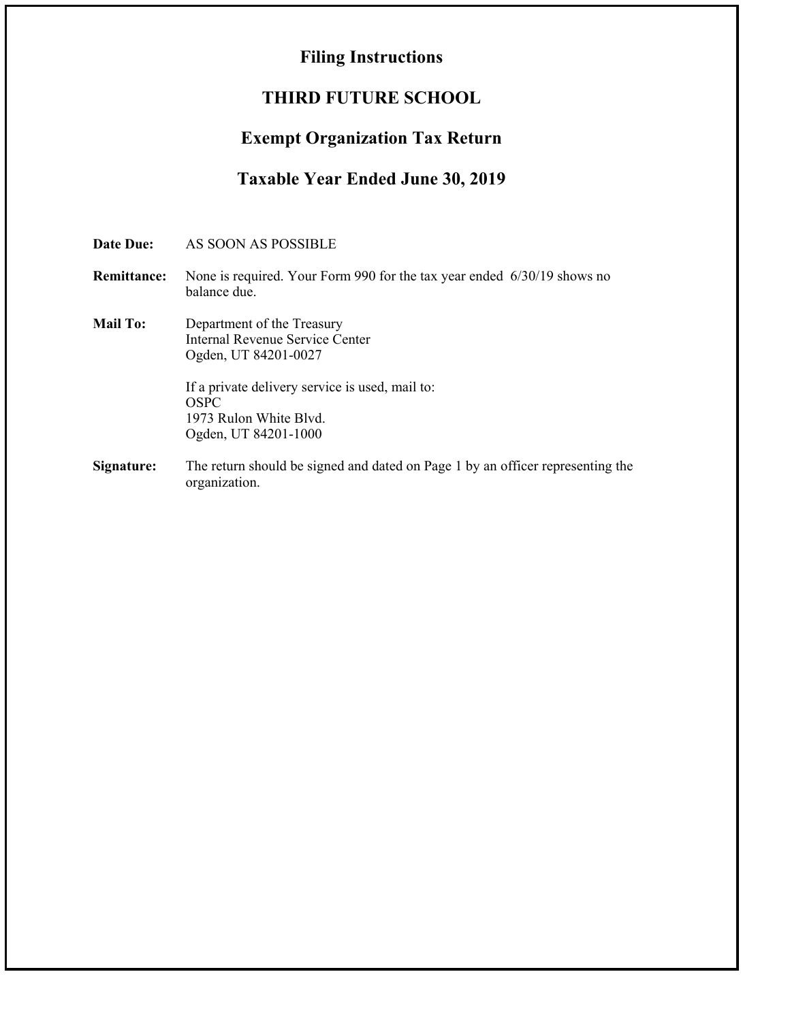# **Filing Instructions**

# **THIRD FUTURE SCHOOL**

# **Exempt Organization Tax Return**

# **Taxable Year Ended June 30, 2019**

| <b>Date Due:</b>   | AS SOON AS POSSIBLE                                                                                                                      |
|--------------------|------------------------------------------------------------------------------------------------------------------------------------------|
| <b>Remittance:</b> | None is required. Your Form 990 for the tax year ended 6/30/19 shows no<br>balance due.                                                  |
| <b>Mail To:</b>    | Department of the Treasury<br>Internal Revenue Service Center<br>Ogden, UT 84201-0027<br>If a private delivery service is used, mail to: |
|                    | OSPC<br>1973 Rulon White Blvd.<br>Ogden, UT 84201-1000                                                                                   |
| Signature:         | The return should be signed and dated on Page 1 by an officer representing the<br>organization.                                          |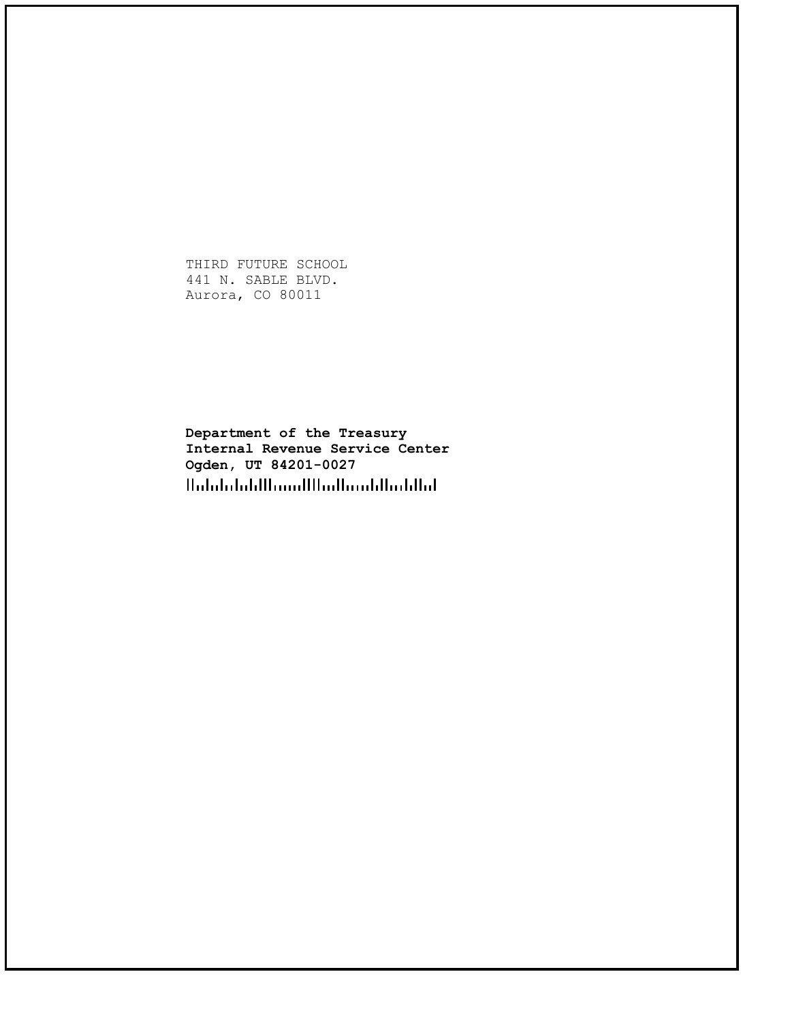THIRD FUTURE SCHOOL 441 N. SABLE BLVD. Aurora, CO 80011

**Department of the Treasury Internal Revenue Service Center Ogden, UT 84201-0027**Halalalalalllaanilllaallaanillaahilat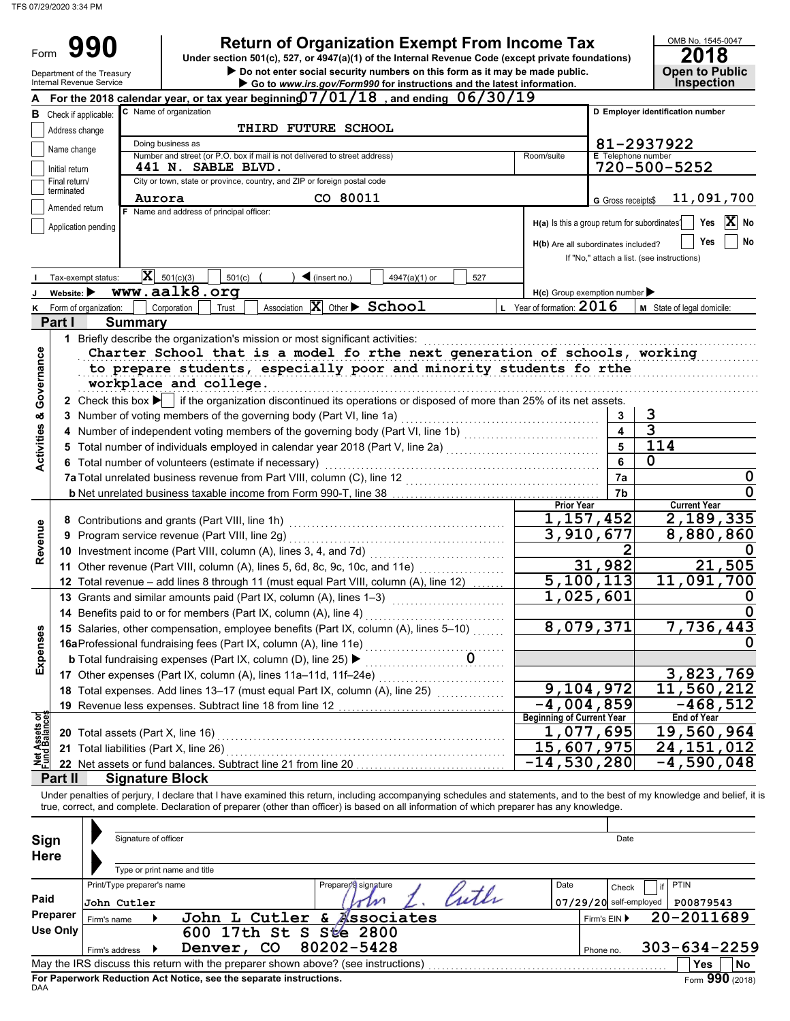Form

 $\triangleright$  Do not enter social security numbers on this form as it may be made public. **Open to Public 990 a 2018 2018 2018 2018 2018 2018 2018 Dependicion Exempt From Income Tax 2018 2018** 

|                                        | Department of the Treasury<br>Internal Revenue Service |                            |                                                                                                                                                                            | Do not enter social security numbers on this form as it may be made public.<br>Go to www.irs.gov/Form990 for instructions and the latest information. |            |                                               |                           | <b>Open to Public</b><br><b>Inspection</b> |  |  |  |
|----------------------------------------|--------------------------------------------------------|----------------------------|----------------------------------------------------------------------------------------------------------------------------------------------------------------------------|-------------------------------------------------------------------------------------------------------------------------------------------------------|------------|-----------------------------------------------|---------------------------|--------------------------------------------|--|--|--|
|                                        |                                                        |                            | For the 2018 calendar year, or tax year beginning $07/01/18$ , and ending $06/30/19$                                                                                       |                                                                                                                                                       |            |                                               |                           |                                            |  |  |  |
|                                        | <b>B</b> Check if applicable:                          |                            | C Name of organization                                                                                                                                                     |                                                                                                                                                       |            |                                               |                           | D Employer identification number           |  |  |  |
|                                        | Address change                                         | <b>THIRD FUTURE SCHOOL</b> |                                                                                                                                                                            |                                                                                                                                                       |            |                                               |                           |                                            |  |  |  |
|                                        | Name change                                            | Doing business as          |                                                                                                                                                                            |                                                                                                                                                       | 81-2937922 |                                               |                           |                                            |  |  |  |
|                                        |                                                        |                            | Number and street (or P.O. box if mail is not delivered to street address)<br>441 N. SABLE BLVD.                                                                           |                                                                                                                                                       |            | Room/suite                                    | <b>E</b> Telephone number | 720-500-5252                               |  |  |  |
|                                        | Initial return<br>Final return/                        |                            | City or town, state or province, country, and ZIP or foreign postal code                                                                                                   |                                                                                                                                                       |            |                                               |                           |                                            |  |  |  |
|                                        | terminated                                             | Aurora                     |                                                                                                                                                                            | CO 80011                                                                                                                                              |            |                                               | G Gross receipts\$        | 11,091,700                                 |  |  |  |
|                                        | Amended return                                         |                            | F Name and address of principal officer:                                                                                                                                   |                                                                                                                                                       |            |                                               |                           |                                            |  |  |  |
|                                        | Application pending                                    |                            |                                                                                                                                                                            |                                                                                                                                                       |            | H(a) Is this a group return for subordinates? |                           | Yes $ \mathbf{X} $ No                      |  |  |  |
|                                        |                                                        |                            |                                                                                                                                                                            |                                                                                                                                                       |            | H(b) Are all subordinates included?           |                           | No<br>Yes                                  |  |  |  |
|                                        |                                                        |                            |                                                                                                                                                                            |                                                                                                                                                       |            |                                               |                           | If "No," attach a list. (see instructions) |  |  |  |
|                                        | Tax-exempt status:                                     |                            | $ \mathbf{X} $ 501(c)(3)<br>501(c)                                                                                                                                         | $\blacktriangleleft$ (insert no.)<br>4947(a)(1) or                                                                                                    | 527        |                                               |                           |                                            |  |  |  |
|                                        | Website: $\blacktriangleright$                         |                            | www.aalk8.org                                                                                                                                                              |                                                                                                                                                       |            | $H(c)$ Group exemption number                 |                           |                                            |  |  |  |
| κ                                      | Form of organization:                                  |                            | Corporation<br>Trust                                                                                                                                                       | Association $ \mathbf{X} $ Other $\triangleright$ School                                                                                              |            | L Year of formation: $2016$                   |                           | M State of legal domicile:                 |  |  |  |
|                                        | Part I                                                 | <b>Summary</b>             |                                                                                                                                                                            |                                                                                                                                                       |            |                                               |                           |                                            |  |  |  |
|                                        |                                                        |                            | 1 Briefly describe the organization's mission or most significant activities:                                                                                              |                                                                                                                                                       |            |                                               |                           |                                            |  |  |  |
|                                        |                                                        |                            | Charter School that is a model fo rthe next generation of schools, working                                                                                                 |                                                                                                                                                       |            |                                               |                           |                                            |  |  |  |
| Governance                             |                                                        |                            | to prepare students, especially poor and minority students fo rthe                                                                                                         |                                                                                                                                                       |            |                                               |                           |                                            |  |  |  |
|                                        |                                                        |                            | workplace and college.                                                                                                                                                     |                                                                                                                                                       |            |                                               |                           |                                            |  |  |  |
|                                        |                                                        |                            | 2 Check this box if the organization discontinued its operations or disposed of more than 25% of its net assets.                                                           |                                                                                                                                                       |            |                                               |                           |                                            |  |  |  |
|                                        | 3.                                                     |                            | Number of voting members of the governing body (Part VI, line 1a)                                                                                                          |                                                                                                                                                       |            |                                               | 3                         | 3                                          |  |  |  |
| <b>Activities &amp;</b>                | 4                                                      |                            | Number of independent voting members of the governing body (Part VI, line 1b) [[[[[[[[[[[[[[[[[[[[[[[[[[[[[[[                                                              |                                                                                                                                                       |            |                                               | $\overline{\mathbf{A}}$   | $\overline{\mathbf{3}}$                    |  |  |  |
|                                        |                                                        |                            | Total number of individuals employed in calendar year 2018 (Part V, line 2a) [[[[[[[[[[[[[[[[[[[[[[[[[[[[[[[[                                                              |                                                                                                                                                       |            |                                               | 5                         | 114<br>$\Omega$                            |  |  |  |
|                                        |                                                        |                            | 6 Total number of volunteers (estimate if necessary)                                                                                                                       |                                                                                                                                                       |            |                                               | 6                         |                                            |  |  |  |
|                                        |                                                        |                            |                                                                                                                                                                            |                                                                                                                                                       |            |                                               | 7a<br>7b                  | 0<br>0                                     |  |  |  |
|                                        |                                                        |                            |                                                                                                                                                                            |                                                                                                                                                       |            | <b>Prior Year</b>                             |                           | <b>Current Year</b>                        |  |  |  |
|                                        |                                                        |                            |                                                                                                                                                                            |                                                                                                                                                       |            | 1,157,452                                     |                           | 2,189,335                                  |  |  |  |
| Revenue                                | 9                                                      |                            | Program service revenue (Part VIII, line 2g)                                                                                                                               |                                                                                                                                                       |            | 3,910,677                                     |                           | 8,880,860                                  |  |  |  |
|                                        |                                                        |                            |                                                                                                                                                                            |                                                                                                                                                       |            |                                               |                           |                                            |  |  |  |
|                                        |                                                        |                            | 11 Other revenue (Part VIII, column (A), lines 5, 6d, 8c, 9c, 10c, and 11e)                                                                                                |                                                                                                                                                       |            |                                               | 31,982                    | 21,505                                     |  |  |  |
|                                        |                                                        |                            | 12 Total revenue - add lines 8 through 11 (must equal Part VIII, column (A), line 12)                                                                                      |                                                                                                                                                       |            | 5,100,113                                     |                           | 11,091,700                                 |  |  |  |
|                                        |                                                        |                            | 13 Grants and similar amounts paid (Part IX, column (A), lines 1-3)                                                                                                        |                                                                                                                                                       |            | 1,025,601                                     |                           |                                            |  |  |  |
|                                        |                                                        |                            | 14 Benefits paid to or for members (Part IX, column (A), line 4)                                                                                                           |                                                                                                                                                       |            |                                               |                           |                                            |  |  |  |
| ses                                    |                                                        |                            | 15 Salaries, other compensation, employee benefits (Part IX, column (A), lines 5-10)                                                                                       |                                                                                                                                                       |            | 8,079,371                                     |                           | 7,736,443                                  |  |  |  |
|                                        |                                                        |                            |                                                                                                                                                                            |                                                                                                                                                       |            |                                               |                           |                                            |  |  |  |
| Exper                                  |                                                        |                            | <b>b</b> Total fundraising expenses (Part IX, column (D), line 25) ▶                                                                                                       |                                                                                                                                                       |            |                                               |                           |                                            |  |  |  |
|                                        |                                                        |                            | 17 Other expenses (Part IX, column (A), lines 11a-11d, 11f-24e)                                                                                                            |                                                                                                                                                       |            |                                               |                           | 3,823,769                                  |  |  |  |
|                                        |                                                        |                            | 18 Total expenses. Add lines 13-17 (must equal Part IX, column (A), line 25) [11, 12, 12, 12, 12, 12, 12, 12, 1                                                            |                                                                                                                                                       |            | 9,104,972<br>$-4,004,859$                     |                           | 11,560,212<br>$-468,512$                   |  |  |  |
|                                        |                                                        |                            | 19 Revenue less expenses. Subtract line 18 from line 12                                                                                                                    |                                                                                                                                                       |            | <b>Beginning of Current Year</b>              |                           | <b>End of Year</b>                         |  |  |  |
| <b>Net Assets or<br/>Fund Balances</b> |                                                        |                            | 20 Total assets (Part X, line 16)                                                                                                                                          |                                                                                                                                                       |            | 1,077,695                                     |                           | 19,560,964                                 |  |  |  |
|                                        |                                                        |                            | 21 Total liabilities (Part X, line 26)                                                                                                                                     |                                                                                                                                                       |            | $\overline{15}$ , 607, 975                    |                           | 24, 151, 012                               |  |  |  |
|                                        |                                                        |                            | 22 Net assets or fund balances. Subtract line 21 from line 20                                                                                                              |                                                                                                                                                       |            | $-14,530,280$                                 |                           | $\overline{-4,}$ 590, 048                  |  |  |  |
|                                        | Part II                                                |                            | <b>Signature Block</b>                                                                                                                                                     |                                                                                                                                                       |            |                                               |                           |                                            |  |  |  |
|                                        |                                                        |                            | Under penalties of perjury, I declare that I have examined this return, including accompanying schedules and statements, and to the best of my knowledge and belief, it is |                                                                                                                                                       |            |                                               |                           |                                            |  |  |  |
|                                        |                                                        |                            | true, correct, and complete. Declaration of preparer (other than officer) is based on all information of which preparer has any knowledge.                                 |                                                                                                                                                       |            |                                               |                           |                                            |  |  |  |
|                                        |                                                        |                            |                                                                                                                                                                            |                                                                                                                                                       |            |                                               |                           |                                            |  |  |  |
| Sign                                   |                                                        | Signature of officer       |                                                                                                                                                                            |                                                                                                                                                       |            |                                               | Date                      |                                            |  |  |  |
| <b>Here</b>                            |                                                        |                            |                                                                                                                                                                            |                                                                                                                                                       |            |                                               |                           |                                            |  |  |  |
|                                        |                                                        |                            | Type or print name and title                                                                                                                                               |                                                                                                                                                       |            |                                               |                           |                                            |  |  |  |
| Paid                                   |                                                        | Print/Type preparer's name |                                                                                                                                                                            | Preparer's signature                                                                                                                                  | luth       | Date                                          | Check                     | <b>PTIN</b><br>if                          |  |  |  |
|                                        | Preparer                                               | John Cutler                |                                                                                                                                                                            | m                                                                                                                                                     |            |                                               |                           | 07/29/20 self-employed   P00879543         |  |  |  |
|                                        | Firm's name<br><b>Use Only</b>                         |                            | John L Cutler & Associates                                                                                                                                                 |                                                                                                                                                       |            |                                               | Firm's EIN ▶              | 20-2011689                                 |  |  |  |
|                                        |                                                        |                            | 600 17th St S Ste 2800                                                                                                                                                     | 80202-5428                                                                                                                                            |            |                                               |                           |                                            |  |  |  |
|                                        |                                                        | Firm's address ▶           | Denver, CO<br>May the IRS discuss this return with the preparer shown above? (see instructions)                                                                            |                                                                                                                                                       |            |                                               | Phone no.                 | 303-634-2259                               |  |  |  |
|                                        |                                                        |                            |                                                                                                                                                                            |                                                                                                                                                       |            |                                               |                           | <b>Yes</b><br>No                           |  |  |  |

| эічн<br><b>Here</b> |                            | <b>ORTHUMO OF ORTO DI</b> |                                                                                   |                      |  |      |              | ี                        |                          |              |
|---------------------|----------------------------|---------------------------|-----------------------------------------------------------------------------------|----------------------|--|------|--------------|--------------------------|--------------------------|--------------|
|                     |                            |                           | Type or print name and title                                                      |                      |  |      |              |                          |                          |              |
|                     | Print/Type preparer's name |                           |                                                                                   | Preparer's signature |  | Date |              | Check                    | <b>PTIN</b><br>if        |              |
| Paid                | John Cutler                |                           |                                                                                   | rw                   |  |      |              | $07/29/20$ self-employed | P00879543                |              |
| Preparer            | Firm's name                |                           | John L Cutler & <i>Associates</i>                                                 |                      |  |      | Firm's $EIN$ |                          | 20-2011689               |              |
| Use Only            |                            |                           | 600 17th St S Ste 2800                                                            |                      |  |      |              |                          |                          |              |
|                     | Firm's address             |                           | CO<br>Denver,                                                                     | 80202-5428           |  |      | Phone no.    |                          | $303 - 634 - 2259$       |              |
|                     |                            |                           | May the IRS discuss this return with the preparer shown above? (see instructions) |                      |  |      |              |                          | <b>Yes</b>               | No           |
|                     |                            |                           | Ear Danamuark Daduation, Act Nation, and the concrete instructions.               |                      |  |      |              |                          | $\overline{\phantom{0}}$ | $000 \ldots$ |

**For Paperwork Reduction Act Notice, see the separate instructions.**<br><sub>DAA</sub>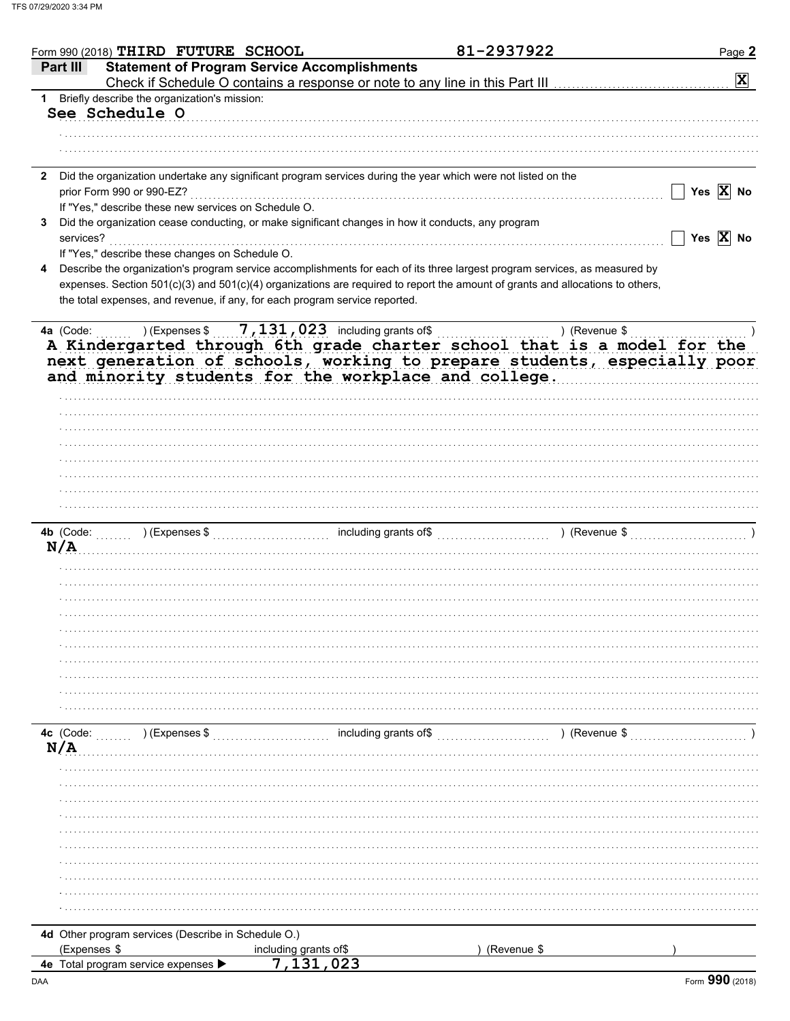|              | Form 990 (2018) THIRD FUTURE SCHOOL                                         |                                                                                                              | 81-2937922                                                                                                                                          | Page 2                |
|--------------|-----------------------------------------------------------------------------|--------------------------------------------------------------------------------------------------------------|-----------------------------------------------------------------------------------------------------------------------------------------------------|-----------------------|
|              | Part III                                                                    | <b>Statement of Program Service Accomplishments</b>                                                          |                                                                                                                                                     |                       |
|              |                                                                             |                                                                                                              |                                                                                                                                                     | $\mathbf{x}$          |
| 1            | Briefly describe the organization's mission:                                |                                                                                                              |                                                                                                                                                     |                       |
|              | See Schedule O                                                              |                                                                                                              |                                                                                                                                                     |                       |
|              |                                                                             |                                                                                                              |                                                                                                                                                     |                       |
|              |                                                                             |                                                                                                              |                                                                                                                                                     |                       |
|              |                                                                             |                                                                                                              |                                                                                                                                                     |                       |
| $\mathbf{2}$ |                                                                             | Did the organization undertake any significant program services during the year which were not listed on the |                                                                                                                                                     |                       |
|              | prior Form 990 or 990-EZ?                                                   |                                                                                                              |                                                                                                                                                     | Yes $\overline{X}$ No |
|              | If "Yes," describe these new services on Schedule O.                        |                                                                                                              |                                                                                                                                                     |                       |
| 3            |                                                                             | Did the organization cease conducting, or make significant changes in how it conducts, any program           |                                                                                                                                                     |                       |
|              | services?                                                                   |                                                                                                              |                                                                                                                                                     | Yes $\overline{X}$ No |
|              | If "Yes," describe these changes on Schedule O.                             |                                                                                                              |                                                                                                                                                     |                       |
| 4            |                                                                             |                                                                                                              | Describe the organization's program service accomplishments for each of its three largest program services, as measured by                          |                       |
|              |                                                                             |                                                                                                              | expenses. Section 501(c)(3) and 501(c)(4) organizations are required to report the amount of grants and allocations to others,                      |                       |
|              | the total expenses, and revenue, if any, for each program service reported. |                                                                                                              |                                                                                                                                                     |                       |
|              |                                                                             |                                                                                                              |                                                                                                                                                     |                       |
|              | ) (Expenses \$<br>4a (Code:                                                 | $7,131,023$ including grants of\$                                                                            | ) (Revenue \$                                                                                                                                       |                       |
|              |                                                                             | and minority students for the workplace and college.                                                         | A Kindergarted through 6th grade charter school that is a model for the<br>next generation of schools, working to prepare students, especially poor |                       |
|              |                                                                             |                                                                                                              |                                                                                                                                                     |                       |
|              |                                                                             |                                                                                                              |                                                                                                                                                     |                       |
|              |                                                                             |                                                                                                              |                                                                                                                                                     |                       |
|              |                                                                             |                                                                                                              |                                                                                                                                                     |                       |
|              |                                                                             |                                                                                                              |                                                                                                                                                     |                       |
|              |                                                                             |                                                                                                              |                                                                                                                                                     |                       |
|              |                                                                             |                                                                                                              |                                                                                                                                                     |                       |
|              |                                                                             |                                                                                                              |                                                                                                                                                     |                       |
|              |                                                                             |                                                                                                              |                                                                                                                                                     |                       |
|              | N/A                                                                         |                                                                                                              |                                                                                                                                                     |                       |
|              |                                                                             |                                                                                                              |                                                                                                                                                     |                       |
|              |                                                                             |                                                                                                              |                                                                                                                                                     |                       |
|              |                                                                             |                                                                                                              |                                                                                                                                                     |                       |
|              |                                                                             |                                                                                                              |                                                                                                                                                     |                       |
|              |                                                                             |                                                                                                              |                                                                                                                                                     |                       |
|              |                                                                             |                                                                                                              |                                                                                                                                                     |                       |
|              |                                                                             |                                                                                                              |                                                                                                                                                     |                       |
|              |                                                                             |                                                                                                              |                                                                                                                                                     |                       |
|              |                                                                             |                                                                                                              |                                                                                                                                                     |                       |
|              |                                                                             |                                                                                                              |                                                                                                                                                     |                       |
|              |                                                                             |                                                                                                              |                                                                                                                                                     |                       |
|              |                                                                             |                                                                                                              |                                                                                                                                                     |                       |
|              |                                                                             |                                                                                                              |                                                                                                                                                     |                       |
|              | 4c (Code:<br>) (Expenses \$                                                 | including grants of\$                                                                                        | $($ Revenue \$ $)$ (Revenue \$                                                                                                                      |                       |
|              | N/A                                                                         |                                                                                                              |                                                                                                                                                     |                       |
|              |                                                                             |                                                                                                              |                                                                                                                                                     |                       |
|              |                                                                             |                                                                                                              |                                                                                                                                                     |                       |
|              |                                                                             |                                                                                                              |                                                                                                                                                     |                       |
|              |                                                                             |                                                                                                              |                                                                                                                                                     |                       |
|              |                                                                             |                                                                                                              |                                                                                                                                                     |                       |
|              |                                                                             |                                                                                                              |                                                                                                                                                     |                       |
|              |                                                                             |                                                                                                              |                                                                                                                                                     |                       |
|              |                                                                             |                                                                                                              |                                                                                                                                                     |                       |
|              |                                                                             |                                                                                                              |                                                                                                                                                     |                       |
|              |                                                                             |                                                                                                              |                                                                                                                                                     |                       |
|              |                                                                             |                                                                                                              |                                                                                                                                                     |                       |
|              | 4d Other program services (Describe in Schedule O.)                         |                                                                                                              |                                                                                                                                                     |                       |
|              | (Expenses \$                                                                | including grants of\$                                                                                        | (Revenue \$                                                                                                                                         |                       |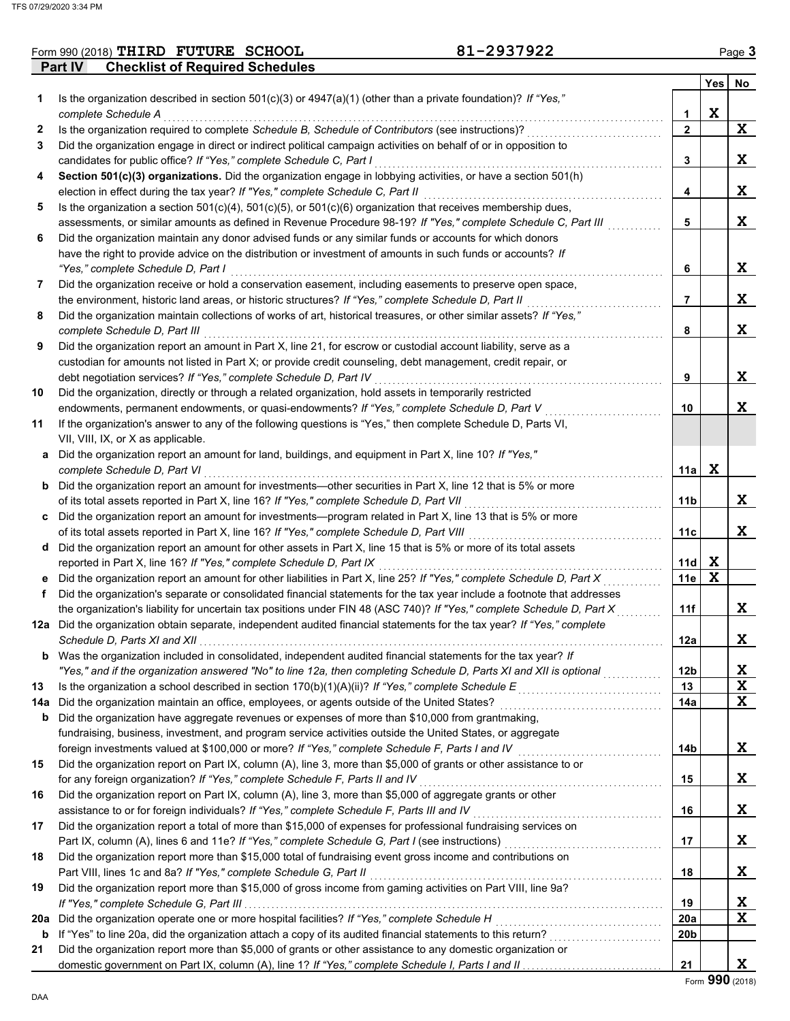|                | Form 990 (2018) THIRD FUTURE SCHOOL    | 81-2937922 | Page 3 |
|----------------|----------------------------------------|------------|--------|
| <b>Part IV</b> | <b>Checklist of Required Schedules</b> |            |        |

|     |                                                                                                                                                                                                         |                 | Yes         | No |
|-----|---------------------------------------------------------------------------------------------------------------------------------------------------------------------------------------------------------|-----------------|-------------|----|
| 1   | Is the organization described in section $501(c)(3)$ or $4947(a)(1)$ (other than a private foundation)? If "Yes,"                                                                                       |                 |             |    |
|     | complete Schedule A                                                                                                                                                                                     | 1               | $\mathbf X$ |    |
| 2   | Is the organization required to complete Schedule B, Schedule of Contributors (see instructions)?                                                                                                       | $\mathbf{2}$    |             | X  |
| 3   | Did the organization engage in direct or indirect political campaign activities on behalf of or in opposition to                                                                                        |                 |             |    |
|     | candidates for public office? If "Yes," complete Schedule C, Part I                                                                                                                                     | 3               |             | X. |
| 4   | Section 501(c)(3) organizations. Did the organization engage in lobbying activities, or have a section 501(h)                                                                                           |                 |             |    |
|     | election in effect during the tax year? If "Yes," complete Schedule C, Part II                                                                                                                          | 4               |             | X. |
| 5   | Is the organization a section $501(c)(4)$ , $501(c)(5)$ , or $501(c)(6)$ organization that receives membership dues,                                                                                    |                 |             |    |
|     | assessments, or similar amounts as defined in Revenue Procedure 98-19? If "Yes," complete Schedule C, Part III                                                                                          | 5               |             | X  |
| 6   | Did the organization maintain any donor advised funds or any similar funds or accounts for which donors                                                                                                 |                 |             |    |
|     | have the right to provide advice on the distribution or investment of amounts in such funds or accounts? If                                                                                             |                 |             |    |
|     | "Yes," complete Schedule D, Part I                                                                                                                                                                      | 6               |             | X. |
| 7   | Did the organization receive or hold a conservation easement, including easements to preserve open space,                                                                                               |                 |             |    |
|     | the environment, historic land areas, or historic structures? If "Yes," complete Schedule D, Part II                                                                                                    | 7               |             | X. |
| 8   | Did the organization maintain collections of works of art, historical treasures, or other similar assets? If "Yes,"                                                                                     |                 |             |    |
|     | complete Schedule D, Part III                                                                                                                                                                           | 8               |             | X  |
| 9   | Did the organization report an amount in Part X, line 21, for escrow or custodial account liability, serve as a                                                                                         |                 |             |    |
|     | custodian for amounts not listed in Part X; or provide credit counseling, debt management, credit repair, or                                                                                            | 9               |             | X. |
| 10  | debt negotiation services? If "Yes," complete Schedule D, Part IV                                                                                                                                       |                 |             |    |
|     | Did the organization, directly or through a related organization, hold assets in temporarily restricted<br>endowments, permanent endowments, or quasi-endowments? If "Yes," complete Schedule D, Part V | 10              |             | X. |
| 11  | If the organization's answer to any of the following questions is "Yes," then complete Schedule D, Parts VI,                                                                                            |                 |             |    |
|     | VII, VIII, IX, or X as applicable.                                                                                                                                                                      |                 |             |    |
| a   | Did the organization report an amount for land, buildings, and equipment in Part X, line 10? If "Yes,"                                                                                                  |                 |             |    |
|     | complete Schedule D, Part VI                                                                                                                                                                            | 11a             | X           |    |
|     | <b>b</b> Did the organization report an amount for investments—other securities in Part X, line 12 that is 5% or more                                                                                   |                 |             |    |
|     | of its total assets reported in Part X, line 16? If "Yes," complete Schedule D, Part VII                                                                                                                | 11b             |             | X. |
| C   | Did the organization report an amount for investments—program related in Part X, line 13 that is 5% or more                                                                                             |                 |             |    |
|     | of its total assets reported in Part X, line 16? If "Yes," complete Schedule D, Part VIII [[[[[[[[[[[[[[[[[[[                                                                                           | 11c             |             | X. |
| d   | Did the organization report an amount for other assets in Part X, line 15 that is 5% or more of its total assets                                                                                        |                 |             |    |
|     | reported in Part X, line 16? If "Yes," complete Schedule D, Part IX                                                                                                                                     | 11d             | X           |    |
| е   | Did the organization report an amount for other liabilities in Part X, line 25? If "Yes," complete Schedule D, Part X                                                                                   | 11e             | $\mathbf x$ |    |
| f   | Did the organization's separate or consolidated financial statements for the tax year include a footnote that addresses                                                                                 |                 |             |    |
|     | the organization's liability for uncertain tax positions under FIN 48 (ASC 740)? If "Yes," complete Schedule D, Part X                                                                                  | 11f             |             | X. |
| 12a | Did the organization obtain separate, independent audited financial statements for the tax year? If "Yes," complete                                                                                     |                 |             |    |
|     |                                                                                                                                                                                                         | 12a             |             | x  |
| b   | Was the organization included in consolidated, independent audited financial statements for the tax year? If                                                                                            |                 |             |    |
|     | "Yes," and if the organization answered "No" to line 12a, then completing Schedule D, Parts XI and XII is optional                                                                                      | 12 <sub>b</sub> |             | X  |
| 13  |                                                                                                                                                                                                         | 13              |             | X  |
| 14a | Did the organization maintain an office, employees, or agents outside of the United States?                                                                                                             | 14a             |             | X  |
| b   | Did the organization have aggregate revenues or expenses of more than \$10,000 from grantmaking,                                                                                                        |                 |             |    |
|     | fundraising, business, investment, and program service activities outside the United States, or aggregate                                                                                               |                 |             |    |
|     | foreign investments valued at \$100,000 or more? If "Yes," complete Schedule F, Parts I and IV [[[[[[[[[[[[[[[                                                                                          | 14b             |             | X  |
| 15  | Did the organization report on Part IX, column (A), line 3, more than \$5,000 of grants or other assistance to or                                                                                       |                 |             |    |
|     | for any foreign organization? If "Yes," complete Schedule F, Parts II and IV                                                                                                                            | 15              |             | X  |
| 16  | Did the organization report on Part IX, column (A), line 3, more than \$5,000 of aggregate grants or other                                                                                              |                 |             |    |
|     | assistance to or for foreign individuals? If "Yes," complete Schedule F, Parts III and IV                                                                                                               | 16              |             | X  |
| 17  | Did the organization report a total of more than \$15,000 of expenses for professional fundraising services on                                                                                          | 17              |             | X  |
| 18  | Did the organization report more than \$15,000 total of fundraising event gross income and contributions on                                                                                             |                 |             |    |
|     | Part VIII, lines 1c and 8a? If "Yes," complete Schedule G, Part II                                                                                                                                      | 18              |             | X  |
| 19  | Did the organization report more than \$15,000 of gross income from gaming activities on Part VIII, line 9a?                                                                                            |                 |             |    |
|     |                                                                                                                                                                                                         | 19              |             | X  |
| 20a |                                                                                                                                                                                                         | 20a             |             | X  |
| b   |                                                                                                                                                                                                         | 20b             |             |    |
| 21  | Did the organization report more than \$5,000 of grants or other assistance to any domestic organization or                                                                                             |                 |             |    |
|     |                                                                                                                                                                                                         | 21              |             | X  |
|     |                                                                                                                                                                                                         |                 |             |    |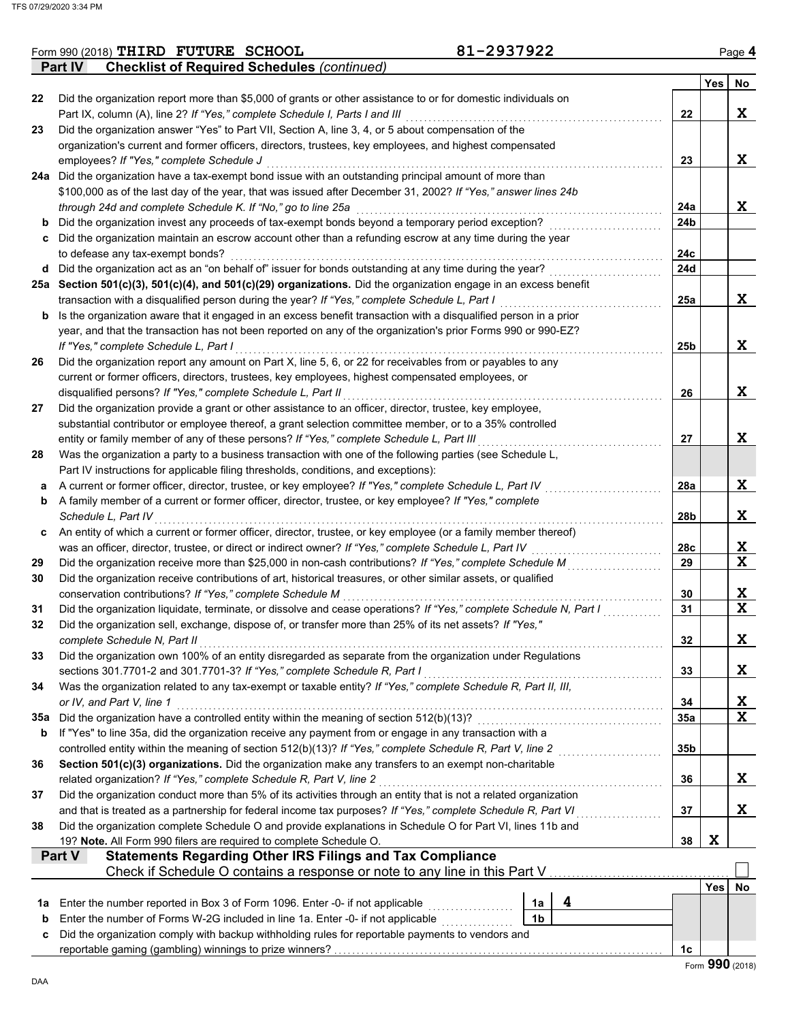|     | <b>Part IV</b><br><b>Checklist of Required Schedules (continued)</b>                                                          |                 |     |                 |
|-----|-------------------------------------------------------------------------------------------------------------------------------|-----------------|-----|-----------------|
|     |                                                                                                                               |                 | Yes | No              |
| 22  | Did the organization report more than \$5,000 of grants or other assistance to or for domestic individuals on                 |                 |     |                 |
|     | Part IX, column (A), line 2? If "Yes," complete Schedule I, Parts I and III                                                   | 22              |     | X               |
| 23  | Did the organization answer "Yes" to Part VII, Section A, line 3, 4, or 5 about compensation of the                           |                 |     |                 |
|     | organization's current and former officers, directors, trustees, key employees, and highest compensated                       |                 |     |                 |
|     | employees? If "Yes," complete Schedule J                                                                                      | 23              |     | X               |
|     | 24a Did the organization have a tax-exempt bond issue with an outstanding principal amount of more than                       |                 |     |                 |
|     | \$100,000 as of the last day of the year, that was issued after December 31, 2002? If "Yes," answer lines 24b                 |                 |     |                 |
|     | through 24d and complete Schedule K. If "No," go to line 25a                                                                  | 24a             |     | X               |
| b   | Did the organization invest any proceeds of tax-exempt bonds beyond a temporary period exception?                             | 24 <sub>b</sub> |     |                 |
| c   | Did the organization maintain an escrow account other than a refunding escrow at any time during the year                     |                 |     |                 |
|     | to defease any tax-exempt bonds?                                                                                              | 24c             |     |                 |
| d   | Did the organization act as an "on behalf of" issuer for bonds outstanding at any time during the year?                       | 24d             |     |                 |
|     | 25a Section 501(c)(3), 501(c)(4), and 501(c)(29) organizations. Did the organization engage in an excess benefit              |                 |     |                 |
|     | transaction with a disqualified person during the year? If "Yes," complete Schedule L, Part I                                 | 25a             |     | X               |
| b   | Is the organization aware that it engaged in an excess benefit transaction with a disqualified person in a prior              |                 |     |                 |
|     | year, and that the transaction has not been reported on any of the organization's prior Forms 990 or 990-EZ?                  |                 |     |                 |
|     | If "Yes," complete Schedule L, Part I                                                                                         | 25 <sub>b</sub> |     | X               |
| 26  | Did the organization report any amount on Part X, line 5, 6, or 22 for receivables from or payables to any                    |                 |     |                 |
|     | current or former officers, directors, trustees, key employees, highest compensated employees, or                             |                 |     |                 |
|     | disqualified persons? If "Yes," complete Schedule L, Part II                                                                  | 26              |     | X               |
| 27  | Did the organization provide a grant or other assistance to an officer, director, trustee, key employee,                      |                 |     |                 |
|     | substantial contributor or employee thereof, a grant selection committee member, or to a 35% controlled                       |                 |     |                 |
|     | entity or family member of any of these persons? If "Yes," complete Schedule L, Part III                                      | 27              |     | X               |
| 28  | Was the organization a party to a business transaction with one of the following parties (see Schedule L,                     |                 |     |                 |
|     | Part IV instructions for applicable filing thresholds, conditions, and exceptions):                                           |                 |     | X               |
| а   | A current or former officer, director, trustee, or key employee? If "Yes," complete Schedule L, Part IV                       | 28a             |     |                 |
| b   | A family member of a current or former officer, director, trustee, or key employee? If "Yes," complete<br>Schedule L, Part IV | 28b             |     | X               |
|     | An entity of which a current or former officer, director, trustee, or key employee (or a family member thereof)               |                 |     |                 |
| c   | was an officer, director, trustee, or direct or indirect owner? If "Yes," complete Schedule L, Part IV                        | 28c             |     | X               |
| 29  | Did the organization receive more than \$25,000 in non-cash contributions? If "Yes," complete Schedule M                      | 29              |     | $\mathbf{x}$    |
| 30  | Did the organization receive contributions of art, historical treasures, or other similar assets, or qualified                |                 |     |                 |
|     | conservation contributions? If "Yes," complete Schedule M                                                                     | 30              |     | X               |
| 31  | Did the organization liquidate, terminate, or dissolve and cease operations? If "Yes," complete Schedule N, Part I            | 31              |     | $\mathbf x$     |
| 32  | Did the organization sell, exchange, dispose of, or transfer more than 25% of its net assets? If "Yes,"                       |                 |     |                 |
|     | complete Schedule N, Part II                                                                                                  | 32              |     | X               |
| 33  | Did the organization own 100% of an entity disregarded as separate from the organization under Regulations                    |                 |     |                 |
|     | sections 301.7701-2 and 301.7701-3? If "Yes," complete Schedule R, Part I                                                     | 33              |     | X.              |
| 34  | Was the organization related to any tax-exempt or taxable entity? If "Yes," complete Schedule R, Part II, III,                |                 |     |                 |
|     | or IV, and Part V, line 1                                                                                                     | 34              |     | X               |
| 35a | Did the organization have a controlled entity within the meaning of section 512(b)(13)?                                       | 35a             |     | $\mathbf x$     |
| b   | If "Yes" to line 35a, did the organization receive any payment from or engage in any transaction with a                       |                 |     |                 |
|     | controlled entity within the meaning of section 512(b)(13)? If "Yes," complete Schedule R, Part V, line 2                     | 35b             |     |                 |
| 36  | Section 501(c)(3) organizations. Did the organization make any transfers to an exempt non-charitable                          |                 |     |                 |
|     | related organization? If "Yes," complete Schedule R, Part V, line 2                                                           | 36              |     | X.              |
| 37  | Did the organization conduct more than 5% of its activities through an entity that is not a related organization              |                 |     |                 |
|     | and that is treated as a partnership for federal income tax purposes? If "Yes," complete Schedule R, Part VI                  | 37              |     | X.              |
| 38  | Did the organization complete Schedule O and provide explanations in Schedule O for Part VI, lines 11b and                    |                 |     |                 |
|     | 19? Note. All Form 990 filers are required to complete Schedule O.                                                            | 38              | X   |                 |
|     | <b>Statements Regarding Other IRS Filings and Tax Compliance</b><br>Part V                                                    |                 |     |                 |
|     | Check if Schedule O contains a response or note to any line in this Part V                                                    |                 |     |                 |
|     |                                                                                                                               |                 | Yes | No              |
| 1а  | 4<br>Enter the number reported in Box 3 of Form 1096. Enter -0- if not applicable<br>1a                                       |                 |     |                 |
| b   | 1 <sub>b</sub><br>Enter the number of Forms W-2G included in line 1a. Enter -0- if not applicable                             |                 |     |                 |
| c   | Did the organization comply with backup withholding rules for reportable payments to vendors and                              |                 |     |                 |
|     |                                                                                                                               | 1c              |     |                 |
|     |                                                                                                                               |                 |     | Form 990 (2018) |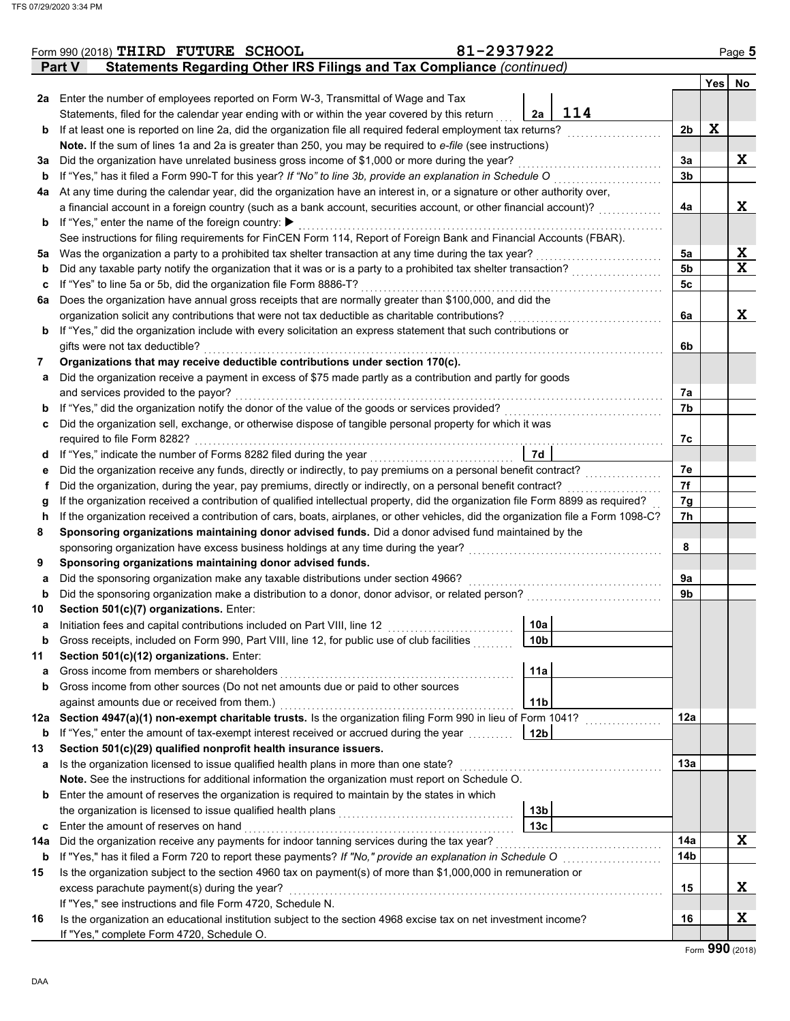|     | Form 990 (2018) THIRD FUTURE SCHOOL                                                                                                | 81-2937922      |                |   | Page 5      |
|-----|------------------------------------------------------------------------------------------------------------------------------------|-----------------|----------------|---|-------------|
|     | Statements Regarding Other IRS Filings and Tax Compliance (continued)<br><b>Part V</b>                                             |                 |                |   |             |
|     |                                                                                                                                    |                 |                |   | Yes No      |
|     | 2a Enter the number of employees reported on Form W-3, Transmittal of Wage and Tax                                                 |                 |                |   |             |
|     | Statements, filed for the calendar year ending with or within the year covered by this return                                      | 2a              | 114            |   |             |
| b   | If at least one is reported on line 2a, did the organization file all required federal employment tax returns?                     |                 | 2b             | X |             |
|     | Note. If the sum of lines 1a and 2a is greater than 250, you may be required to e-file (see instructions)                          |                 |                |   |             |
| За  | Did the organization have unrelated business gross income of \$1,000 or more during the year?                                      |                 | За             |   | X           |
| b   | If "Yes," has it filed a Form 990-T for this year? If "No" to line 3b, provide an explanation in Schedule O                        |                 | 3b             |   |             |
| 4a  | At any time during the calendar year, did the organization have an interest in, or a signature or other authority over,            |                 |                |   |             |
|     | a financial account in a foreign country (such as a bank account, securities account, or other financial account)?                 |                 | 4a             |   | X           |
| b   | If "Yes," enter the name of the foreign country: ▶                                                                                 |                 |                |   |             |
|     | See instructions for filing requirements for FinCEN Form 114, Report of Foreign Bank and Financial Accounts (FBAR).                |                 |                |   |             |
| 5a  | Was the organization a party to a prohibited tax shelter transaction at any time during the tax year?                              |                 | 5a             |   | X           |
| b   | Did any taxable party notify the organization that it was or is a party to a prohibited tax shelter transaction?                   |                 | 5 <sub>b</sub> |   | $\mathbf x$ |
| c   | If "Yes" to line 5a or 5b, did the organization file Form 8886-T?                                                                  |                 | 5c             |   |             |
| 6а  | Does the organization have annual gross receipts that are normally greater than \$100,000, and did the                             |                 |                |   |             |
|     | organization solicit any contributions that were not tax deductible as charitable contributions?                                   |                 | 6a             |   | X           |
| b   | If "Yes," did the organization include with every solicitation an express statement that such contributions or                     |                 |                |   |             |
|     | gifts were not tax deductible?                                                                                                     |                 | 6b             |   |             |
| 7   | Organizations that may receive deductible contributions under section 170(c).                                                      |                 |                |   |             |
| а   | Did the organization receive a payment in excess of \$75 made partly as a contribution and partly for goods                        |                 |                |   |             |
|     | and services provided to the payor?                                                                                                |                 | 7a             |   |             |
| b   | If "Yes," did the organization notify the donor of the value of the goods or services provided?                                    |                 | 7b             |   |             |
| c   | Did the organization sell, exchange, or otherwise dispose of tangible personal property for which it was                           |                 |                |   |             |
|     | required to file Form 8282?                                                                                                        |                 | 7c             |   |             |
| d   | If "Yes," indicate the number of Forms 8282 filed during the year                                                                  | 7d              |                |   |             |
| е   | Did the organization receive any funds, directly or indirectly, to pay premiums on a personal benefit contract?                    |                 | 7e             |   |             |
| f   | Did the organization, during the year, pay premiums, directly or indirectly, on a personal benefit contract?                       |                 | 7f             |   |             |
| g   | If the organization received a contribution of qualified intellectual property, did the organization file Form 8899 as required?   |                 | 7g             |   |             |
| h   | If the organization received a contribution of cars, boats, airplanes, or other vehicles, did the organization file a Form 1098-C? |                 | 7h             |   |             |
| 8   | Sponsoring organizations maintaining donor advised funds. Did a donor advised fund maintained by the                               |                 |                |   |             |
|     | sponsoring organization have excess business holdings at any time during the year?                                                 |                 | 8              |   |             |
| 9   | Sponsoring organizations maintaining donor advised funds.                                                                          |                 |                |   |             |
| а   | Did the sponsoring organization make any taxable distributions under section 4966?                                                 |                 | 9a             |   |             |
| b   | Did the sponsoring organization make a distribution to a donor, donor advisor, or related person?                                  |                 | 9b             |   |             |
| 10  | Section 501(c)(7) organizations. Enter:                                                                                            |                 |                |   |             |
|     | Initiation fees and capital contributions included on Part VIII, line 12                                                           | 10a             |                |   |             |
| b   | Gross receipts, included on Form 990, Part VIII, line 12, for public use of club facilities                                        | 10b             |                |   |             |
| 11  | Section 501(c)(12) organizations. Enter:                                                                                           |                 |                |   |             |
| a   | Gross income from members or shareholders                                                                                          | 11a             |                |   |             |
| b   | Gross income from other sources (Do not net amounts due or paid to other sources                                                   |                 |                |   |             |
|     | against amounts due or received from them.)                                                                                        | 11 <sub>b</sub> |                |   |             |
| 12a | Section 4947(a)(1) non-exempt charitable trusts. Is the organization filing Form 990 in lieu of Form 1041?                         |                 | 12a            |   |             |
| b   | If "Yes," enter the amount of tax-exempt interest received or accrued during the year                                              | 12 <sub>b</sub> |                |   |             |
| 13  | Section 501(c)(29) qualified nonprofit health insurance issuers.                                                                   |                 |                |   |             |
| a   | Is the organization licensed to issue qualified health plans in more than one state?                                               |                 | 13a            |   |             |
|     | Note. See the instructions for additional information the organization must report on Schedule O.                                  |                 |                |   |             |
| b   | Enter the amount of reserves the organization is required to maintain by the states in which                                       |                 |                |   |             |
|     | the organization is licensed to issue qualified health plans                                                                       | 13 <sub>b</sub> |                |   |             |
| c   | Enter the amount of reserves on hand                                                                                               | 13 <sub>c</sub> |                |   |             |
| 14a | Did the organization receive any payments for indoor tanning services during the tax year?                                         |                 | 14a            |   | X           |
| b   | If "Yes," has it filed a Form 720 to report these payments? If "No," provide an explanation in Schedule O                          |                 | 14b            |   |             |
| 15  | Is the organization subject to the section 4960 tax on payment(s) of more than \$1,000,000 in remuneration or                      |                 |                |   |             |
|     | excess parachute payment(s) during the year?                                                                                       |                 | 15             |   | X           |
|     | If "Yes," see instructions and file Form 4720, Schedule N.                                                                         |                 |                |   |             |
| 16  | Is the organization an educational institution subject to the section 4968 excise tax on net investment income?                    |                 | 16             |   | X           |
|     | If "Yes," complete Form 4720, Schedule O.                                                                                          |                 |                |   |             |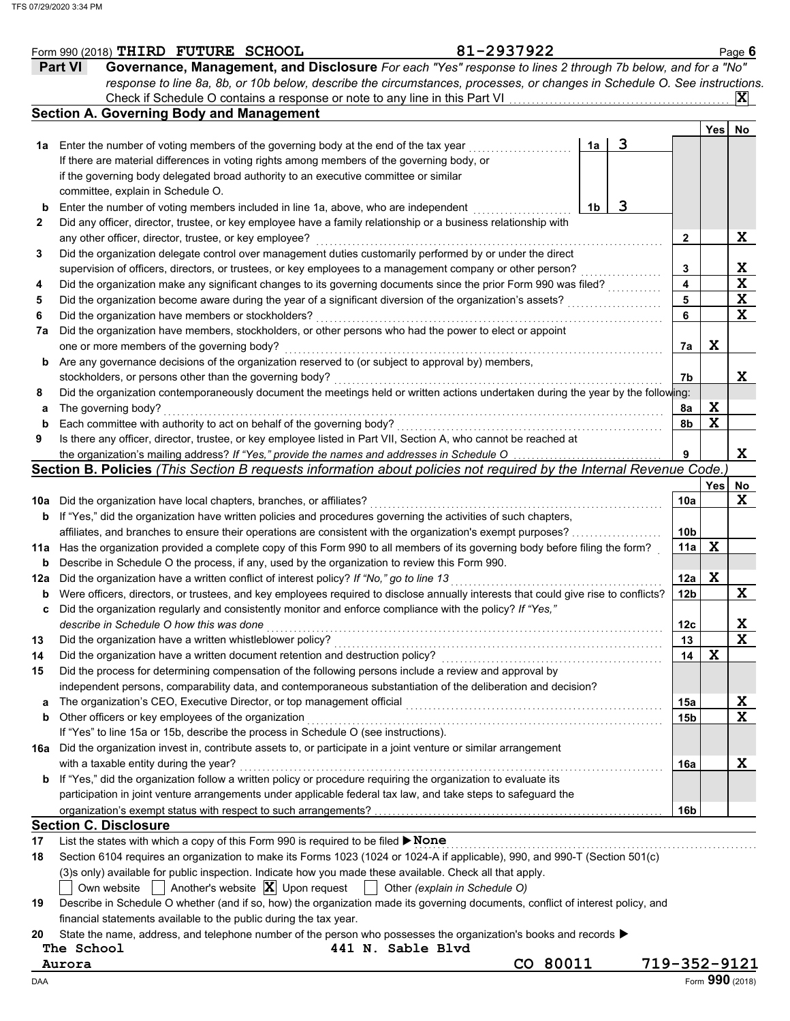|             | Form 990 (2018) THIRD FUTURE SCHOOL                                                                                                  | 81-2937922                    |          |   |                 |                 | Page $6$                |
|-------------|--------------------------------------------------------------------------------------------------------------------------------------|-------------------------------|----------|---|-----------------|-----------------|-------------------------|
|             | Governance, Management, and Disclosure For each "Yes" response to lines 2 through 7b below, and for a "No"<br><b>Part VI</b>         |                               |          |   |                 |                 |                         |
|             | response to line 8a, 8b, or 10b below, describe the circumstances, processes, or changes in Schedule O. See instructions.            |                               |          |   |                 |                 |                         |
|             | Check if Schedule O contains a response or note to any line in this Part VI.                                                         |                               |          |   |                 |                 | $ {\bf X} $             |
|             | <b>Section A. Governing Body and Management</b>                                                                                      |                               |          |   |                 |                 |                         |
|             |                                                                                                                                      |                               |          |   |                 | Yes             | No                      |
| 1а          | Enter the number of voting members of the governing body at the end of the tax year                                                  |                               | 1a       | 3 |                 |                 |                         |
|             | If there are material differences in voting rights among members of the governing body, or                                           |                               |          |   |                 |                 |                         |
|             | if the governing body delegated broad authority to an executive committee or similar                                                 |                               |          |   |                 |                 |                         |
|             | committee, explain in Schedule O.                                                                                                    |                               |          |   |                 |                 |                         |
| b           | Enter the number of voting members included in line 1a, above, who are independent                                                   |                               | 1b       | 3 |                 |                 |                         |
|             |                                                                                                                                      |                               |          |   |                 |                 |                         |
| 2           | Did any officer, director, trustee, or key employee have a family relationship or a business relationship with                       |                               |          |   |                 |                 |                         |
|             | any other officer, director, trustee, or key employee?                                                                               |                               |          |   | 2               |                 | X                       |
| 3           | Did the organization delegate control over management duties customarily performed by or under the direct                            |                               |          |   |                 |                 |                         |
|             | supervision of officers, directors, or trustees, or key employees to a management company or other person?                           |                               |          |   | 3               |                 | X                       |
| 4           | Did the organization make any significant changes to its governing documents since the prior Form 990 was filed?                     |                               |          |   | 4               |                 | $\overline{\mathbf{x}}$ |
| 5           | Did the organization become aware during the year of a significant diversion of the organization's assets?                           |                               |          |   | 5               |                 | $\mathbf x$             |
| 6           | Did the organization have members or stockholders?                                                                                   |                               |          |   | 6               |                 | X                       |
| 7a          | Did the organization have members, stockholders, or other persons who had the power to elect or appoint                              |                               |          |   |                 |                 |                         |
|             | one or more members of the governing body?                                                                                           |                               |          |   | 7а              | X               |                         |
| b           | Are any governance decisions of the organization reserved to (or subject to approval by) members,                                    |                               |          |   |                 |                 |                         |
|             | stockholders, or persons other than the governing body?                                                                              |                               |          |   | 7b              |                 | X                       |
| 8           | Did the organization contemporaneously document the meetings held or written actions undertaken during the year by the following:    |                               |          |   |                 |                 |                         |
| а           | The governing body?                                                                                                                  |                               |          |   | 8a              | X               |                         |
| $\mathbf b$ | Each committee with authority to act on behalf of the governing body?                                                                |                               |          |   | 8b              | $\mathbf x$     |                         |
| 9           | Is there any officer, director, trustee, or key employee listed in Part VII, Section A, who cannot be reached at                     |                               |          |   |                 |                 |                         |
|             | the organization's mailing address? If "Yes," provide the names and addresses in Schedule O                                          |                               |          |   |                 |                 | X                       |
|             | Section B. Policies (This Section B requests information about policies not required by the Internal Revenue Code.)                  |                               |          |   |                 |                 |                         |
|             |                                                                                                                                      |                               |          |   |                 | Yes             | No                      |
| 10a         | Did the organization have local chapters, branches, or affiliates?                                                                   |                               |          |   | 10a             |                 | X                       |
| b           | If "Yes," did the organization have written policies and procedures governing the activities of such chapters,                       |                               |          |   |                 |                 |                         |
|             | affiliates, and branches to ensure their operations are consistent with the organization's exempt purposes?                          |                               |          |   | 10 <sub>b</sub> |                 |                         |
| 11a         | Has the organization provided a complete copy of this Form 990 to all members of its governing body before filing the form?          |                               |          |   | 11a             | X               |                         |
|             | Describe in Schedule O the process, if any, used by the organization to review this Form 990.                                        |                               |          |   |                 |                 |                         |
| b           |                                                                                                                                      |                               |          |   |                 | X               |                         |
| 12a         | Did the organization have a written conflict of interest policy? If "No," go to line 13                                              |                               |          |   | 12a             |                 | X                       |
| b           | Were officers, directors, or trustees, and key employees required to disclose annually interests that could give rise to conflicts?  |                               |          |   | 12 <sub>b</sub> |                 |                         |
|             | Did the organization regularly and consistently monitor and enforce compliance with the policy? If "Yes,"                            |                               |          |   |                 |                 |                         |
|             | describe in Schedule O how this was done                                                                                             |                               |          |   | 12c             |                 | ᅀ                       |
| 13          | Did the organization have a written whistleblower policy?                                                                            |                               |          |   | 13              |                 | $\mathbf x$             |
| 14          | Did the organization have a written document retention and destruction policy?                                                       |                               |          |   | 14              | $\mathbf X$     |                         |
| 15          | Did the process for determining compensation of the following persons include a review and approval by                               |                               |          |   |                 |                 |                         |
|             | independent persons, comparability data, and contemporaneous substantiation of the deliberation and decision?                        |                               |          |   |                 |                 |                         |
| a           | The organization's CEO, Executive Director, or top management official                                                               |                               |          |   | 15a             |                 | $\mathbf{x}$            |
| b           | Other officers or key employees of the organization                                                                                  |                               |          |   | 15 <sub>b</sub> |                 | $\mathbf x$             |
|             | If "Yes" to line 15a or 15b, describe the process in Schedule O (see instructions).                                                  |                               |          |   |                 |                 |                         |
|             | 16a Did the organization invest in, contribute assets to, or participate in a joint venture or similar arrangement                   |                               |          |   |                 |                 |                         |
|             | with a taxable entity during the year?                                                                                               |                               |          |   | 16a             |                 | X                       |
| b           | If "Yes," did the organization follow a written policy or procedure requiring the organization to evaluate its                       |                               |          |   |                 |                 |                         |
|             | participation in joint venture arrangements under applicable federal tax law, and take steps to safeguard the                        |                               |          |   |                 |                 |                         |
|             |                                                                                                                                      |                               |          |   | 16b             |                 |                         |
|             | <b>Section C. Disclosure</b>                                                                                                         |                               |          |   |                 |                 |                         |
| 17          | List the states with which a copy of this Form 990 is required to be filed ▶ None                                                    |                               |          |   |                 |                 |                         |
| 18          | Section 6104 requires an organization to make its Forms 1023 (1024 or 1024-A if applicable), 990, and 990-T (Section 501(c)          |                               |          |   |                 |                 |                         |
|             |                                                                                                                                      |                               |          |   |                 |                 |                         |
|             | (3)s only) available for public inspection. Indicate how you made these available. Check all that apply.                             |                               |          |   |                 |                 |                         |
|             | Another's website $ \mathbf{X} $ Upon request<br>Own website                                                                         | Other (explain in Schedule O) |          |   |                 |                 |                         |
| 19          | Describe in Schedule O whether (and if so, how) the organization made its governing documents, conflict of interest policy, and      |                               |          |   |                 |                 |                         |
|             | financial statements available to the public during the tax year.                                                                    |                               |          |   |                 |                 |                         |
| 20          | State the name, address, and telephone number of the person who possesses the organization's books and records $\blacktriangleright$ |                               |          |   |                 |                 |                         |
|             | 441 N. Sable Blvd<br>The School                                                                                                      |                               |          |   |                 |                 |                         |
|             | Aurora                                                                                                                               |                               | CO 80011 |   | 719-352-9121    |                 |                         |
| DAA         |                                                                                                                                      |                               |          |   |                 | Form 990 (2018) |                         |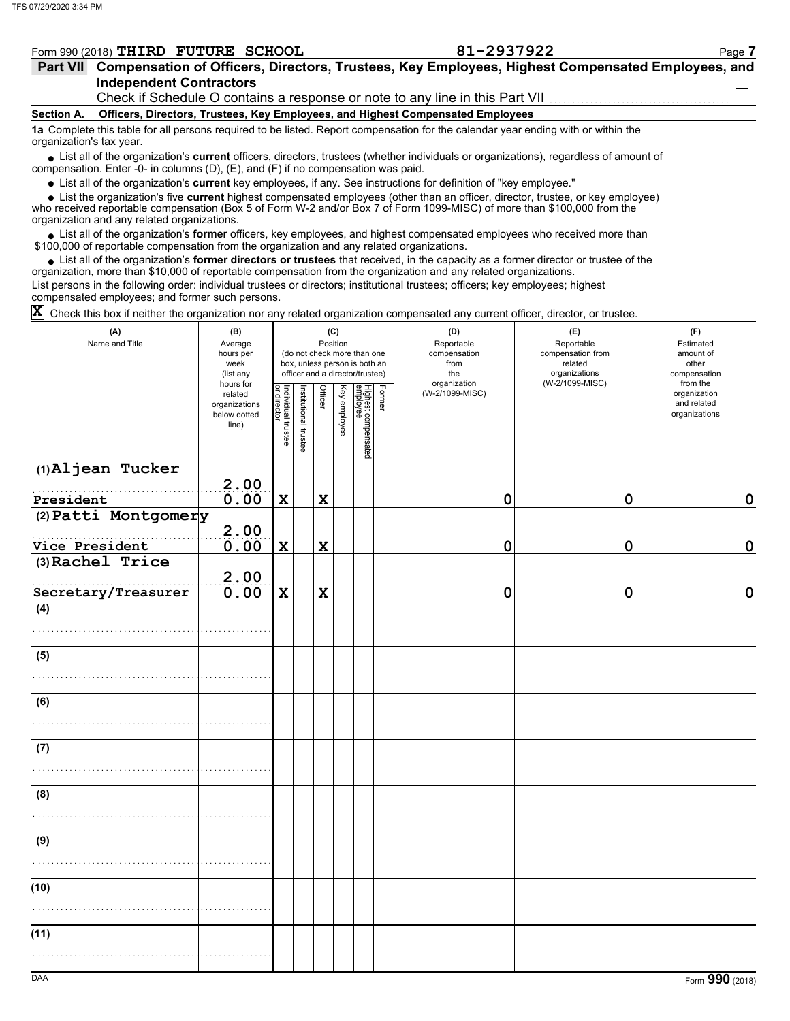| Form 990 (2018) THIRD | <b>FUTURE</b> | <b>SCHOOL</b> | .293792c<br>JLL | Page |
|-----------------------|---------------|---------------|-----------------|------|
|                       |               |               |                 |      |

| Part VII Compensation of Officers, Directors, Trustees, Key Employees, Highest Compensated Employees, and |  |
|-----------------------------------------------------------------------------------------------------------|--|
| <b>Independent Contractors</b>                                                                            |  |
| Check if Schedule O contains a response or note to any line in this Part VII                              |  |

**Officers, Directors, Trustees, Key Employees, and Highest Compensated Employees**

**Section A.**

**1a** Complete this table for all persons required to be listed. Report compensation for the calendar year ending with or within the organization's tax year.

■ List all of the organization's **current** officers, directors, trustees (whether individuals or organizations), regardless of amount of compensation. Enter -0- in columns (D), (E), and (F) if no compensation was paid.

List all of the organization's **current** key employees, if any. See instructions for definition of "key employee."

■ List all of the organization's **current** key employees, if any. See instructions for definition of "key employee."<br>■ List the organization's five **current** highest compensated employees (other than an officer, director,

who received reportable compensation (Box 5 of Form W-2 and/or Box 7 of Form 1099-MISC) of more than \$100,000 from the organization and any related organizations.

• List all of the organization's **former** officers, key employees, and highest compensated employees who received more than<br>00,000 of reportable compensation from the organization and any related erganizations. \$100,000 of reportable compensation from the organization and any related organizations.

• List all of the organization's **former directors or trustees** that received, in the capacity as a former director or trustee of the organization, more than \$10,000 of reportable compensation from the organization and any related organizations. List persons in the following order: individual trustees or directors; institutional trustees; officers; key employees; highest

compensated employees; and former such persons.

 $\bar{\bm{\mathsf{X}}}$  Check this box if neither the organization nor any related organization compensated any current officer, director, or trustee.

| (A)<br>Name and Title | (B)<br>Average<br>hours per<br>week<br>(list any               |                                   |                       |                | (C)<br>Position<br>(do not check more than one<br>box, unless person is both an<br>officer and a director/trustee) |                                 |        | (D)<br>Reportable<br>compensation<br>from<br>the<br>organization | (E)<br>Reportable<br>compensation from<br>related<br>organizations | (F)<br>Estimated<br>amount of<br>other<br>compensation   |
|-----------------------|----------------------------------------------------------------|-----------------------------------|-----------------------|----------------|--------------------------------------------------------------------------------------------------------------------|---------------------------------|--------|------------------------------------------------------------------|--------------------------------------------------------------------|----------------------------------------------------------|
|                       | hours for<br>related<br>organizations<br>below dotted<br>line) | Individual trustee<br>or director | Institutional trustee | <b>Officer</b> | Key employee                                                                                                       | Highest compensated<br>employee | Former | (W-2/1099-MISC)                                                  | (W-2/1099-MISC)                                                    | from the<br>organization<br>and related<br>organizations |
| (1)Aljean Tucker      | 2.00                                                           |                                   |                       |                |                                                                                                                    |                                 |        |                                                                  |                                                                    |                                                          |
| President             | 0.00                                                           | $\mathbf X$                       |                       | X              |                                                                                                                    |                                 |        | $\mathbf 0$                                                      | $\mathbf 0$                                                        | $\mathbf 0$                                              |
| (2) Patti Montgomery  | 2.00                                                           |                                   |                       |                |                                                                                                                    |                                 |        |                                                                  |                                                                    |                                                          |
| Vice President        | 0.00                                                           | $\mathbf x$                       |                       | $\mathbf x$    |                                                                                                                    |                                 |        | 0                                                                | 0                                                                  | $\mathbf 0$                                              |
| (3) Rachel Trice      | 2.00                                                           |                                   |                       |                |                                                                                                                    |                                 |        |                                                                  |                                                                    |                                                          |
| Secretary/Treasurer   | 0.00                                                           | $\mathbf x$                       |                       | X              |                                                                                                                    |                                 |        | 0                                                                | 0                                                                  | $\mathbf 0$                                              |
| (4)                   |                                                                |                                   |                       |                |                                                                                                                    |                                 |        |                                                                  |                                                                    |                                                          |
|                       |                                                                |                                   |                       |                |                                                                                                                    |                                 |        |                                                                  |                                                                    |                                                          |
| (5)                   |                                                                |                                   |                       |                |                                                                                                                    |                                 |        |                                                                  |                                                                    |                                                          |
| (6)                   |                                                                |                                   |                       |                |                                                                                                                    |                                 |        |                                                                  |                                                                    |                                                          |
|                       |                                                                |                                   |                       |                |                                                                                                                    |                                 |        |                                                                  |                                                                    |                                                          |
| (7)                   |                                                                |                                   |                       |                |                                                                                                                    |                                 |        |                                                                  |                                                                    |                                                          |
|                       |                                                                |                                   |                       |                |                                                                                                                    |                                 |        |                                                                  |                                                                    |                                                          |
| (8)                   |                                                                |                                   |                       |                |                                                                                                                    |                                 |        |                                                                  |                                                                    |                                                          |
|                       |                                                                |                                   |                       |                |                                                                                                                    |                                 |        |                                                                  |                                                                    |                                                          |
| (9)                   |                                                                |                                   |                       |                |                                                                                                                    |                                 |        |                                                                  |                                                                    |                                                          |
|                       |                                                                |                                   |                       |                |                                                                                                                    |                                 |        |                                                                  |                                                                    |                                                          |
| (10)                  |                                                                |                                   |                       |                |                                                                                                                    |                                 |        |                                                                  |                                                                    |                                                          |
| (11)                  |                                                                |                                   |                       |                |                                                                                                                    |                                 |        |                                                                  |                                                                    |                                                          |
|                       |                                                                |                                   |                       |                |                                                                                                                    |                                 |        |                                                                  |                                                                    |                                                          |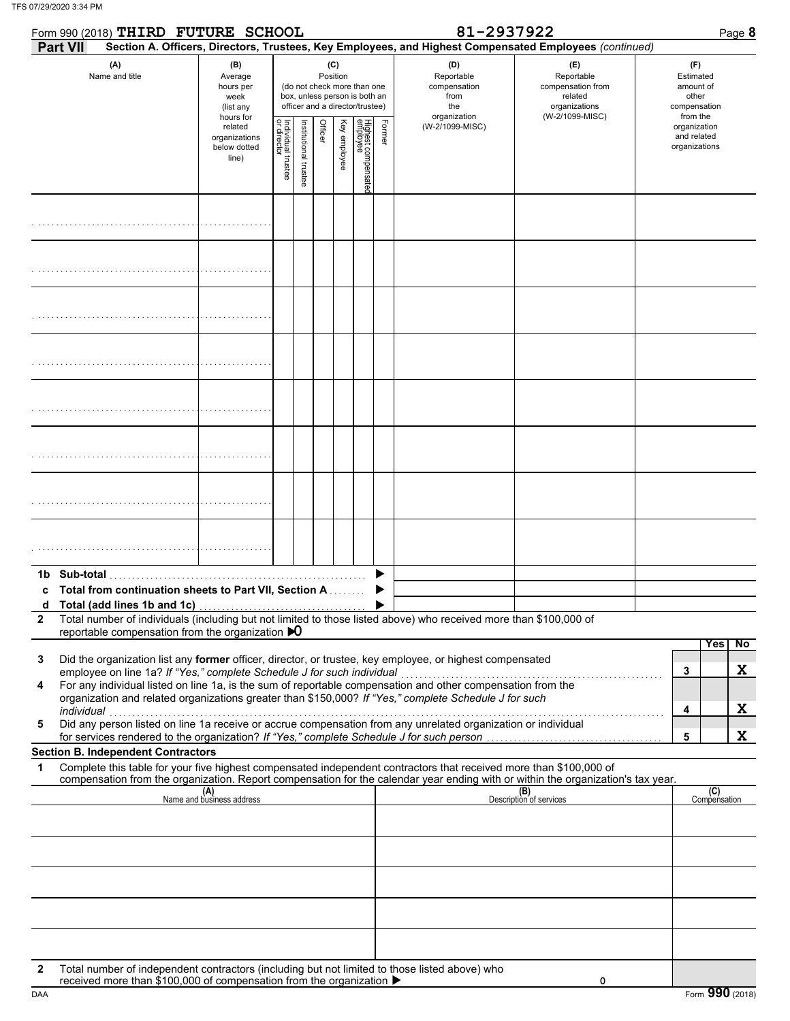| Form 990 (2018) THIRD FUTURE SCHOOL |                                                                                                                                                                                                                                                                                                                                                     |                                                   |                                                                                                                                 |                       | 81-2937922<br>Page 8 |                         |  |                                          |                                                                  |                                                                                                        |                                                                    |
|-------------------------------------|-----------------------------------------------------------------------------------------------------------------------------------------------------------------------------------------------------------------------------------------------------------------------------------------------------------------------------------------------------|---------------------------------------------------|---------------------------------------------------------------------------------------------------------------------------------|-----------------------|----------------------|-------------------------|--|------------------------------------------|------------------------------------------------------------------|--------------------------------------------------------------------------------------------------------|--------------------------------------------------------------------|
|                                     | <b>Part VII</b>                                                                                                                                                                                                                                                                                                                                     |                                                   |                                                                                                                                 |                       |                      |                         |  |                                          |                                                                  | Section A. Officers, Directors, Trustees, Key Employees, and Highest Compensated Employees (continued) |                                                                    |
|                                     | (A)<br>Name and title                                                                                                                                                                                                                                                                                                                               | (B)<br>Average<br>hours per<br>week<br>(list any  | (C)<br>Position<br>(do not check more than one<br>box, unless person is both an<br>officer and a director/trustee)<br>hours for |                       |                      |                         |  |                                          | (D)<br>Reportable<br>compensation<br>from<br>the<br>organization | (E)<br>Reportable<br>compensation from<br>related<br>organizations<br>(W-2/1099-MISC)                  | (F)<br>Estimated<br>amount of<br>other<br>compensation<br>from the |
|                                     |                                                                                                                                                                                                                                                                                                                                                     | related<br>organizations<br>below dotted<br>line) | Individual trustee<br>or director                                                                                               | Institutional trustee |                      | Officer<br>Key employee |  | Highest compensate<br>employee<br>Former | (W-2/1099-MISC)                                                  |                                                                                                        | organization<br>and related<br>organizations                       |
|                                     |                                                                                                                                                                                                                                                                                                                                                     |                                                   |                                                                                                                                 |                       |                      |                         |  |                                          |                                                                  |                                                                                                        |                                                                    |
|                                     |                                                                                                                                                                                                                                                                                                                                                     |                                                   |                                                                                                                                 |                       |                      |                         |  |                                          |                                                                  |                                                                                                        |                                                                    |
|                                     |                                                                                                                                                                                                                                                                                                                                                     |                                                   |                                                                                                                                 |                       |                      |                         |  |                                          |                                                                  |                                                                                                        |                                                                    |
|                                     |                                                                                                                                                                                                                                                                                                                                                     |                                                   |                                                                                                                                 |                       |                      |                         |  |                                          |                                                                  |                                                                                                        |                                                                    |
|                                     |                                                                                                                                                                                                                                                                                                                                                     |                                                   |                                                                                                                                 |                       |                      |                         |  |                                          |                                                                  |                                                                                                        |                                                                    |
|                                     |                                                                                                                                                                                                                                                                                                                                                     |                                                   |                                                                                                                                 |                       |                      |                         |  |                                          |                                                                  |                                                                                                        |                                                                    |
|                                     |                                                                                                                                                                                                                                                                                                                                                     |                                                   |                                                                                                                                 |                       |                      |                         |  |                                          |                                                                  |                                                                                                        |                                                                    |
|                                     |                                                                                                                                                                                                                                                                                                                                                     |                                                   |                                                                                                                                 |                       |                      |                         |  |                                          |                                                                  |                                                                                                        |                                                                    |
|                                     | 1b Sub-total<br><b>Total from continuation sheets to Part VII, Section A. Conservation</b>                                                                                                                                                                                                                                                          |                                                   |                                                                                                                                 |                       |                      |                         |  |                                          |                                                                  |                                                                                                        |                                                                    |
|                                     |                                                                                                                                                                                                                                                                                                                                                     |                                                   |                                                                                                                                 |                       |                      |                         |  |                                          |                                                                  |                                                                                                        |                                                                    |
| $\mathbf{2}$                        | Total number of individuals (including but not limited to those listed above) who received more than \$100,000 of<br>reportable compensation from the organization $\mathbf{D}$                                                                                                                                                                     |                                                   |                                                                                                                                 |                       |                      |                         |  |                                          |                                                                  |                                                                                                        |                                                                    |
| 3                                   | Did the organization list any former officer, director, or trustee, key employee, or highest compensated<br>employee on line 1a? If "Yes," complete Schedule J for such individual                                                                                                                                                                  |                                                   |                                                                                                                                 |                       |                      |                         |  |                                          |                                                                  |                                                                                                        | Yes<br>$\overline{N}$<br>X<br>3                                    |
| 4<br>5                              | For any individual listed on line 1a, is the sum of reportable compensation and other compensation from the<br>organization and related organizations greater than \$150,000? If "Yes," complete Schedule J for such<br>individual<br>Did any person listed on line 1a receive or accrue compensation from any unrelated organization or individual |                                                   |                                                                                                                                 |                       |                      |                         |  |                                          |                                                                  |                                                                                                        | X<br>4                                                             |
|                                     | for services rendered to the organization? If "Yes," complete Schedule J for such person<br><b>Section B. Independent Contractors</b>                                                                                                                                                                                                               |                                                   |                                                                                                                                 |                       |                      |                         |  |                                          |                                                                  |                                                                                                        | X<br>5                                                             |
| 1                                   | Complete this table for your five highest compensated independent contractors that received more than \$100,000 of<br>compensation from the organization. Report compensation for the calendar year ending with or within the organization's tax year.                                                                                              |                                                   |                                                                                                                                 |                       |                      |                         |  |                                          |                                                                  |                                                                                                        |                                                                    |
|                                     |                                                                                                                                                                                                                                                                                                                                                     | (A)<br>Name and business address                  |                                                                                                                                 |                       |                      |                         |  |                                          |                                                                  | (B)<br>Description of services                                                                         | (C)<br>Compensation                                                |
|                                     |                                                                                                                                                                                                                                                                                                                                                     |                                                   |                                                                                                                                 |                       |                      |                         |  |                                          |                                                                  |                                                                                                        |                                                                    |
|                                     |                                                                                                                                                                                                                                                                                                                                                     |                                                   |                                                                                                                                 |                       |                      |                         |  |                                          |                                                                  |                                                                                                        |                                                                    |
|                                     |                                                                                                                                                                                                                                                                                                                                                     |                                                   |                                                                                                                                 |                       |                      |                         |  |                                          |                                                                  |                                                                                                        |                                                                    |
| $\mathbf{2}$                        | Total number of independent contractors (including but not limited to those listed above) who                                                                                                                                                                                                                                                       |                                                   |                                                                                                                                 |                       |                      |                         |  |                                          |                                                                  |                                                                                                        |                                                                    |
| DAA                                 | received more than \$100,000 of compensation from the organization ▶                                                                                                                                                                                                                                                                                |                                                   |                                                                                                                                 |                       |                      |                         |  |                                          |                                                                  | 0                                                                                                      | Form 990 (2018)                                                    |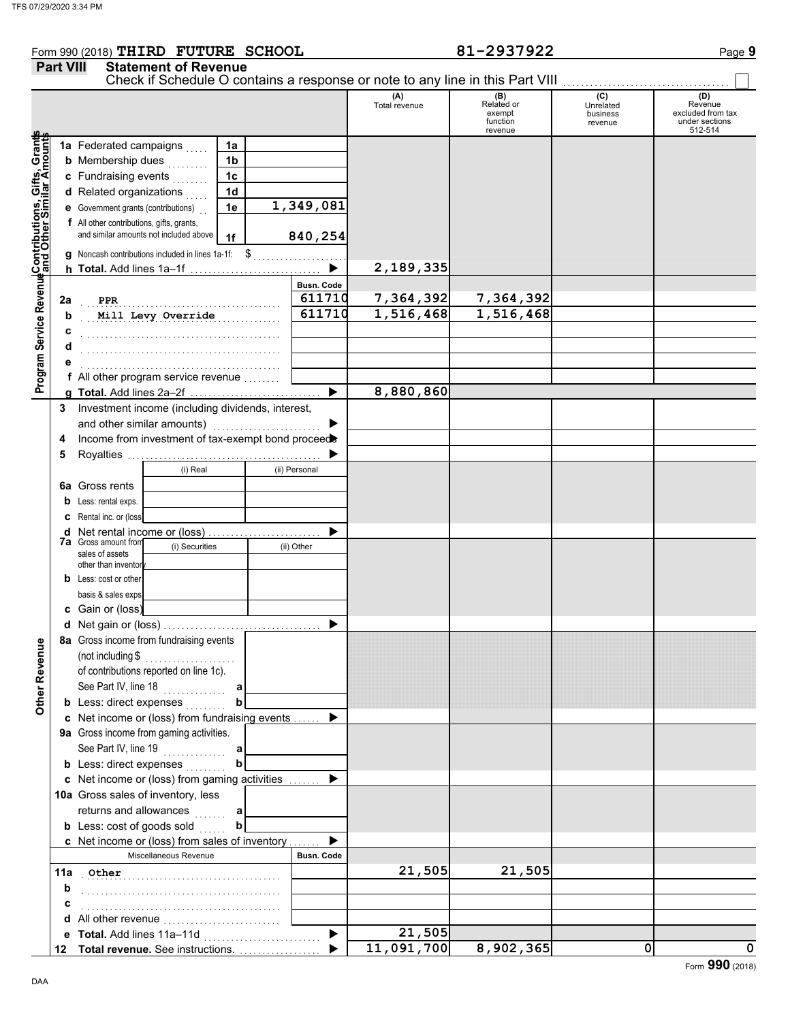### Form 990 (2018) Page **9 THIRD FUTURE SCHOOL 81-2937922 Part VIII** Statement of Revenue

|                                                                                                         |     | Check if Schedule O contains a response or note to any line in this Part VIII             |                   |   |                   |                      |                                                    |                                         |                                                                  |
|---------------------------------------------------------------------------------------------------------|-----|-------------------------------------------------------------------------------------------|-------------------|---|-------------------|----------------------|----------------------------------------------------|-----------------------------------------|------------------------------------------------------------------|
|                                                                                                         |     |                                                                                           |                   |   |                   | (A)<br>Total revenue | (B)<br>Related or<br>exempt<br>function<br>revenue | (C)<br>Unrelated<br>business<br>revenue | (D)<br>Revenue<br>excluded from tax<br>under sections<br>512-514 |
| Program Service RevenueContributions, Gifts, Grants<br>Program Service Revenueand Other Similar Amounts |     | 1a Federated campaigns                                                                    | 1a                |   |                   |                      |                                                    |                                         |                                                                  |
|                                                                                                         |     | <b>b</b> Membership dues                                                                  | 1 <sub>b</sub>    |   |                   |                      |                                                    |                                         |                                                                  |
|                                                                                                         |     | c Fundraising events                                                                      | 1 <sub>c</sub>    |   |                   |                      |                                                    |                                         |                                                                  |
|                                                                                                         |     | d Related organizations                                                                   | 1 <sub>d</sub>    |   |                   |                      |                                                    |                                         |                                                                  |
|                                                                                                         |     | e Government grants (contributions)                                                       | 1e                |   | 1,349,081         |                      |                                                    |                                         |                                                                  |
|                                                                                                         |     | f All other contributions, gifts, grants,                                                 |                   |   |                   |                      |                                                    |                                         |                                                                  |
|                                                                                                         |     | and similar amounts not included above                                                    | 1f                |   | 840,254           |                      |                                                    |                                         |                                                                  |
|                                                                                                         |     | g Noncash contributions included in lines 1a-1f: \$                                       |                   |   | .                 |                      |                                                    |                                         |                                                                  |
|                                                                                                         |     |                                                                                           |                   |   |                   | 2,189,335            |                                                    |                                         |                                                                  |
|                                                                                                         |     |                                                                                           |                   |   | <b>Busn. Code</b> |                      |                                                    |                                         |                                                                  |
|                                                                                                         | 2a  | <b>PPR</b>                                                                                |                   |   | 611710            | 7,364,392            | 7,364,392                                          |                                         |                                                                  |
|                                                                                                         | b   | Mill Levy Override                                                                        |                   | . | 611710            | 1,516,468            | 1,516,468                                          |                                         |                                                                  |
|                                                                                                         | c   |                                                                                           |                   |   |                   |                      |                                                    |                                         |                                                                  |
|                                                                                                         | d   |                                                                                           |                   |   |                   |                      |                                                    |                                         |                                                                  |
|                                                                                                         |     |                                                                                           |                   |   |                   |                      |                                                    |                                         |                                                                  |
|                                                                                                         |     | f All other program service revenue                                                       |                   |   |                   |                      |                                                    |                                         |                                                                  |
|                                                                                                         |     |                                                                                           |                   |   | ▶                 | 8,880,860            |                                                    |                                         |                                                                  |
|                                                                                                         | 3   | Investment income (including dividends, interest,                                         |                   |   |                   |                      |                                                    |                                         |                                                                  |
|                                                                                                         |     | and other similar amounts)                                                                |                   |   |                   |                      |                                                    |                                         |                                                                  |
|                                                                                                         | 4   | Income from investment of tax-exempt bond proceed                                         |                   |   |                   |                      |                                                    |                                         |                                                                  |
|                                                                                                         | 5   |                                                                                           |                   |   |                   |                      |                                                    |                                         |                                                                  |
|                                                                                                         |     | (i) Real                                                                                  |                   |   | (ii) Personal     |                      |                                                    |                                         |                                                                  |
|                                                                                                         |     | <b>6a</b> Gross rents                                                                     |                   |   |                   |                      |                                                    |                                         |                                                                  |
|                                                                                                         | b   | Less: rental exps.                                                                        |                   |   |                   |                      |                                                    |                                         |                                                                  |
|                                                                                                         | c   | Rental inc. or (loss)                                                                     |                   |   |                   |                      |                                                    |                                         |                                                                  |
|                                                                                                         | d   | Net rental income or (loss)<br><b>7a</b> Gross amount from                                |                   |   |                   |                      |                                                    |                                         |                                                                  |
|                                                                                                         |     | (i) Securities<br>sales of assets                                                         |                   |   | (ii) Other        |                      |                                                    |                                         |                                                                  |
|                                                                                                         |     | other than inventor                                                                       |                   |   |                   |                      |                                                    |                                         |                                                                  |
|                                                                                                         | b   | Less: cost or other                                                                       |                   |   |                   |                      |                                                    |                                         |                                                                  |
|                                                                                                         |     | basis & sales exps                                                                        |                   |   |                   |                      |                                                    |                                         |                                                                  |
|                                                                                                         |     | c Gain or (loss)                                                                          |                   |   |                   |                      |                                                    |                                         |                                                                  |
|                                                                                                         | d   |                                                                                           |                   |   |                   |                      |                                                    |                                         |                                                                  |
| g                                                                                                       |     | 8a Gross income from fundraising events                                                   |                   |   |                   |                      |                                                    |                                         |                                                                  |
|                                                                                                         |     |                                                                                           |                   |   |                   |                      |                                                    |                                         |                                                                  |
|                                                                                                         |     | of contributions reported on line 1c).                                                    |                   |   |                   |                      |                                                    |                                         |                                                                  |
| Other Reven                                                                                             |     | See Part IV, line 18                                                                      | a                 |   |                   |                      |                                                    |                                         |                                                                  |
|                                                                                                         |     | <b>b</b> Less: direct expenses                                                            | b                 |   |                   |                      |                                                    |                                         |                                                                  |
|                                                                                                         |     | c Net income or (loss) from fundraising events<br>9a Gross income from gaming activities. |                   |   |                   |                      |                                                    |                                         |                                                                  |
|                                                                                                         |     |                                                                                           |                   |   |                   |                      |                                                    |                                         |                                                                  |
|                                                                                                         |     | <b>b</b> Less: direct expenses                                                            | b                 |   |                   |                      |                                                    |                                         |                                                                  |
|                                                                                                         |     | c Net income or (loss) from gaming activities                                             |                   |   |                   |                      |                                                    |                                         |                                                                  |
|                                                                                                         |     | 10a Gross sales of inventory, less                                                        |                   |   |                   |                      |                                                    |                                         |                                                                  |
|                                                                                                         |     | returns and allowances                                                                    |                   |   |                   |                      |                                                    |                                         |                                                                  |
|                                                                                                         |     | <b>b</b> Less: cost of goods sold                                                         | $\ldots$ $a$<br>b |   |                   |                      |                                                    |                                         |                                                                  |
|                                                                                                         |     | <b>c</b> Net income or (loss) from sales of inventory                                     |                   |   |                   |                      |                                                    |                                         |                                                                  |
|                                                                                                         |     | Miscellaneous Revenue                                                                     |                   |   | <b>Busn. Code</b> |                      |                                                    |                                         |                                                                  |
|                                                                                                         | 11a | Other                                                                                     |                   |   |                   | 21,505               | 21,505                                             |                                         |                                                                  |
|                                                                                                         | b   |                                                                                           |                   |   |                   |                      |                                                    |                                         |                                                                  |
|                                                                                                         | С   |                                                                                           |                   |   |                   |                      |                                                    |                                         |                                                                  |
|                                                                                                         | d   | All other revenue                                                                         |                   |   |                   |                      |                                                    |                                         |                                                                  |
|                                                                                                         | е   |                                                                                           |                   |   |                   | 21,505               |                                                    |                                         |                                                                  |
|                                                                                                         | 12  | Total revenue. See instructions.                                                          |                   |   |                   | 11,091,700           | 8,902,365                                          | 0                                       | 0                                                                |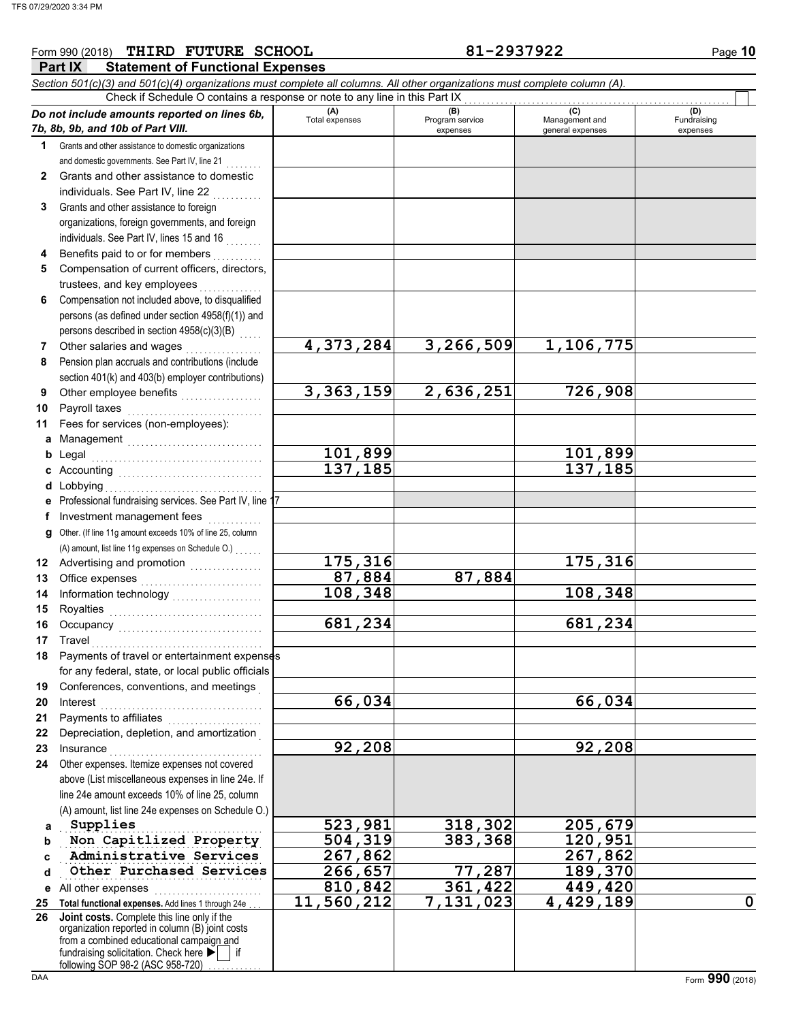### **Part IX Statement of Functional Expenses** Form 990 (2018) Page **10 THIRD FUTURE SCHOOL 81-2937922** *Section 501(c)(3) and 501(c)(4) organizations must complete all columns. All other organizations must complete column (A). Do not include amounts reported on lines 6b, 7b, 8b, 9b, and 10b of Part VIII.* **1 2 3 4 5 6 7 8 9 10 11 a** Management .............................. **b** Legal **c** Accounting . . . . . . . . . . . . . . . . . . . . . . . . . . . . . . . . **d** Lobbying . . . . . . . . . . . . . . . . . . . . . . . . . . . . . . . . . . . **e** Professional fundraising services. See Part IV, line 17 **f** Grants and other assistance to domestic organizations and domestic governments. See Part IV, line 21 Grants and other assistance to domestic individuals. See Part IV, line 22 Grants and other assistance to foreign organizations, foreign governments, and foreign individuals. See Part IV, lines 15 and 16 Benefits paid to or for members . . . . . . . . . . Compensation of current officers, directors, trustees, and key employees Compensation not included above, to disqualified persons (as defined under section 4958(f)(1)) and persons described in section 4958(c)(3)(B) Other salaries and wages .................. Pension plan accruals and contributions (include section 401(k) and 403(b) employer contributions) Other employee benefits . . . . . . . . . . . . . . . . . . Payroll taxes Fees for services (non-employees): Legal . . . . . . . . . . . . . . . . . . . . . . . . . . . . . . . . . . . . . . Investment management fees ............. **(A) (B)** (B) (B) (C) (C) (A) (D)<br>Total expenses Program service Management and Fundrai expenses and general expenses (D)<br>Fundraising expenses Check if Schedule O contains a response or note to any line in this Part IX **4,373,284 3,266,509 1,106,775 3,363,159 2,636,251 726,908** 101,899<br>137,185<br>137,185<br>137,185 **137,185 137,185** TFS 07/29/2020 3:34 PM

**87,884 87,884**

**175,316 175,316**

**108,348 108,348**

**681,234 681,234**

**66,034 66,034**

**92,208 92,208**

**Supplies 523,981 318,302 205,679**

**810,842 361,422 449,420**

**g** Other. (If line 11g amount exceeds 10% of line 25, column **12** Advertising and promotion **. . . . . . . . . . . .** . . **13 14** Office expenses ............................ Information technology . . . . . . . . . . . . . . . . . . . . (A) amount, list line 11g expenses on Schedule O.) . . . . . . .

- **15 16 17 18 19** Royalties . . . . . . . . . . . . . . . . . . . . . . . . . . . . . . . . . . Occupancy . . . . . . . . . . . . . . . . . . . . . . . . . . . . . . . . Travel . . . . . . . . . . . . . . . . . . . . . . . . . . . . . . . . . . . . . . Payments of travel or entertainment expenses for any federal, state, or local public officials Conferences, conventions, and meetings .
- **20 21 22** Interest . . . . . . . . . . . . . . . . . . . . . . . . . . . . . . . . . . . . Payments to affiliates . . . . . . . . . . . . . . . . . . . . . Depreciation, depletion, and amortization .
- **23 24** Insurance . . . . . . . . . . . . . . . . . . . . . . . . . . . . . . . . . . Other expenses. Itemize expenses not covered
- **a** above (List miscellaneous expenses in line 24e. If line 24e amount exceeds 10% of line 25, column (A) amount, list line 24e expenses on Schedule O.) Supplies
- **b Non Capitlized Property | 504,319 383,368 120,951**
- **c** Administrative Services **267,862** 267,862
- **d Other Purchased Services** 266,657 77,287 189,370
- **e** All other expenses . . . . . . . . . . . . . . . . . . . . . . . . **25 Total functional expenses.** Add lines 1 through 24e . . . **26** fundraising solicitation. Check here  $\blacktriangleright$  | if organization reported in column (B) joint costs from a combined educational campaign and **Joint costs.** Complete this line only if the

following SOP 98-2 (ASC 958-720)

**11,560,212 7,131,023 4,429,189 0**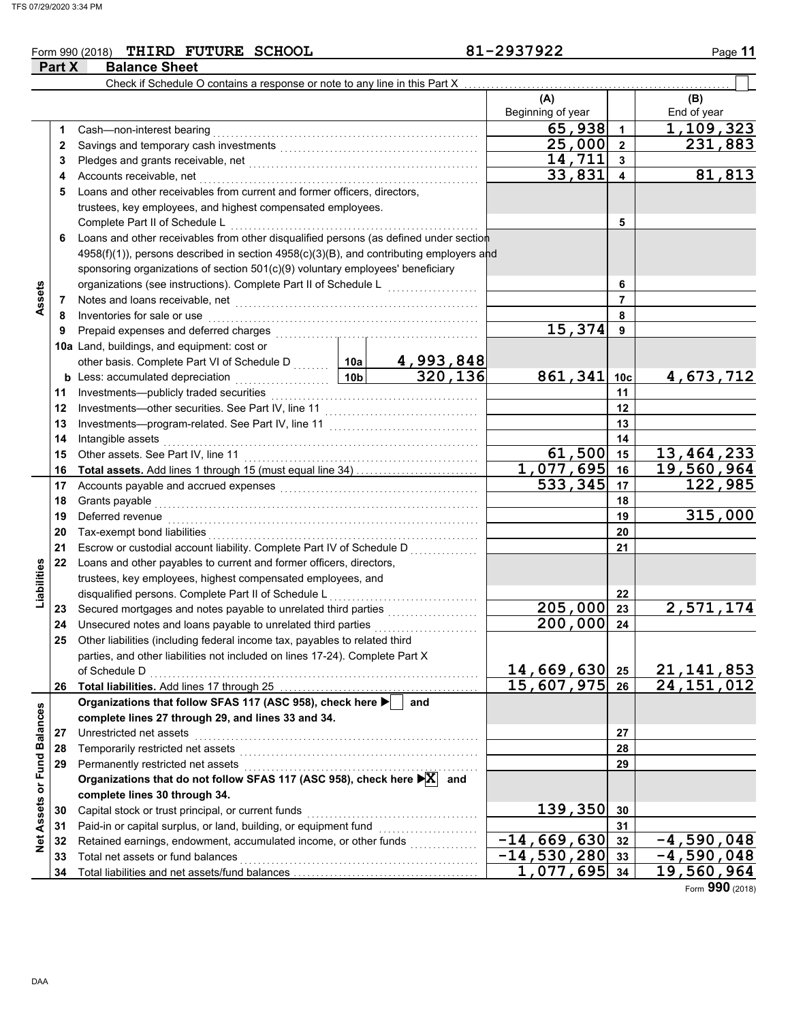### Form 990 (2018) Page **11 THIRD FUTURE SCHOOL 81-2937922 Part X** Balance Sheet

|                  |    | Check if Schedule O contains a response or note to any line in this Part X                                      |                 |                             |                            |                         |                         |
|------------------|----|-----------------------------------------------------------------------------------------------------------------|-----------------|-----------------------------|----------------------------|-------------------------|-------------------------|
|                  |    |                                                                                                                 |                 |                             | (A)<br>Beginning of year   |                         | (B)<br>End of year      |
|                  | 1  | Cash-non-interest bearing                                                                                       |                 |                             | 65,938                     | $\blacktriangleleft$    | 1,109,323               |
|                  | 2  |                                                                                                                 |                 |                             | 25,000                     | $\overline{2}$          | 231,883                 |
|                  | 3  |                                                                                                                 |                 |                             | 14,711                     | $\mathbf{3}$            |                         |
|                  | 4  | Accounts receivable, net                                                                                        |                 |                             | 33,831                     | $\overline{\mathbf{4}}$ | 81,813                  |
|                  | 5  | Loans and other receivables from current and former officers, directors,                                        |                 |                             |                            |                         |                         |
|                  |    | trustees, key employees, and highest compensated employees.                                                     |                 |                             |                            |                         |                         |
|                  |    | Complete Part II of Schedule L                                                                                  |                 |                             |                            | 5                       |                         |
|                  | 6  | Loans and other receivables from other disqualified persons (as defined under section                           |                 |                             |                            |                         |                         |
|                  |    | 4958(f)(1)), persons described in section 4958(c)(3)(B), and contributing employers and                         |                 |                             |                            |                         |                         |
|                  |    | sponsoring organizations of section 501(c)(9) voluntary employees' beneficiary                                  |                 |                             |                            |                         |                         |
|                  |    | organizations (see instructions). Complete Part II of Schedule L                                                |                 |                             |                            | 6                       |                         |
| Assets           | 7  |                                                                                                                 |                 |                             |                            | $\overline{7}$          |                         |
|                  | 8  | Inventories for sale or use                                                                                     |                 |                             |                            | 8                       |                         |
|                  | 9  | Prepaid expenses and deferred charges                                                                           |                 |                             | 15,374                     | 9                       |                         |
|                  |    | 10a Land, buildings, and equipment: cost or                                                                     |                 |                             |                            |                         |                         |
|                  |    | other basis. Complete Part VI of Schedule D  10a                                                                |                 |                             |                            |                         |                         |
|                  |    | <b>b</b> Less: accumulated depreciation                                                                         | 10 <sub>b</sub> | $\frac{4,993,848}{320,136}$ | 861,341                    | 10 <sub>c</sub>         | 4, 673, 712             |
|                  | 11 | .<br>Investments-publicly traded securities                                                                     |                 | 11                          |                            |                         |                         |
|                  | 12 |                                                                                                                 |                 | 12                          |                            |                         |                         |
|                  | 13 |                                                                                                                 |                 |                             | 13                         |                         |                         |
|                  | 14 | Intangible assets                                                                                               |                 |                             | 14                         |                         |                         |
|                  | 15 | Other assets. See Part IV, line 11                                                                              | 61,500          | 15                          | 13, 464, 233               |                         |                         |
|                  | 16 |                                                                                                                 |                 |                             | 1,077,695                  | 16                      | 19,560,964              |
|                  | 17 | Accounts payable and accrued expenses [[11][11] Accounts payable and accrued expenses [[11] Accounts and accrue |                 | 533,345                     | 17                         | 122,985                 |                         |
|                  | 18 | Grants payable                                                                                                  |                 |                             | 18                         |                         |                         |
|                  | 19 | Deferred revenue                                                                                                |                 | 19                          | 315,000                    |                         |                         |
|                  | 20 | Tax-exempt bond liabilities                                                                                     |                 |                             |                            | 20                      |                         |
|                  | 21 | Escrow or custodial account liability. Complete Part IV of Schedule D                                           |                 | 21                          |                            |                         |                         |
|                  | 22 | Loans and other payables to current and former officers, directors,                                             |                 |                             |                            |                         |                         |
| Liabilities      |    | trustees, key employees, highest compensated employees, and                                                     |                 |                             |                            |                         |                         |
|                  |    | disqualified persons. Complete Part II of Schedule L                                                            |                 |                             |                            | 22                      |                         |
|                  | 23 |                                                                                                                 |                 |                             | 205,000                    | 23                      | $\overline{2,571,174}$  |
|                  | 24 | Unsecured notes and loans payable to unrelated third parties                                                    |                 |                             | 200,000                    | 24                      |                         |
|                  | 25 | Other liabilities (including federal income tax, payables to related third                                      |                 | .                           |                            |                         |                         |
|                  |    | parties, and other liabilities not included on lines 17-24). Complete Part X                                    |                 |                             |                            |                         |                         |
|                  |    | of Schedule D                                                                                                   |                 |                             | 14,669,630 25              |                         | 21, 141, 853            |
|                  | 26 |                                                                                                                 |                 |                             | $\overline{15,607,975}$ 26 |                         | $\overline{24,151,012}$ |
|                  |    | Organizations that follow SFAS 117 (ASC 958), check here                                                        |                 | and                         |                            |                         |                         |
|                  |    | complete lines 27 through 29, and lines 33 and 34.                                                              |                 |                             |                            |                         |                         |
|                  | 27 | Unrestricted net assets                                                                                         |                 |                             |                            | 27                      |                         |
|                  | 28 | Temporarily restricted net assets                                                                               |                 |                             |                            | 28                      |                         |
|                  | 29 | Permanently restricted net assets                                                                               |                 |                             |                            | 29                      |                         |
| or Fund Balances |    | Organizations that do not follow SFAS 117 (ASC 958), check here $\blacktriangleright X$ and                     |                 |                             |                            |                         |                         |
|                  |    | complete lines 30 through 34.                                                                                   |                 |                             |                            |                         |                         |
| Assets           | 30 | Capital stock or trust principal, or current funds                                                              |                 |                             | 139,350                    | 30                      |                         |
|                  | 31 | Paid-in or capital surplus, or land, building, or equipment fund                                                |                 |                             |                            | 31                      |                         |
| <b>Net</b>       | 32 |                                                                                                                 |                 |                             | $-14,669,630$              | 32                      | $-4,590,048$            |
|                  | 33 | Total net assets or fund balances                                                                               |                 |                             | $-14,530,280$ 33           |                         | $\overline{-4,}590,048$ |
|                  | 34 |                                                                                                                 |                 |                             | $1,077,695$ 34             |                         | 19,560,964              |
|                  |    |                                                                                                                 |                 |                             |                            |                         |                         |

Form **990** (2018)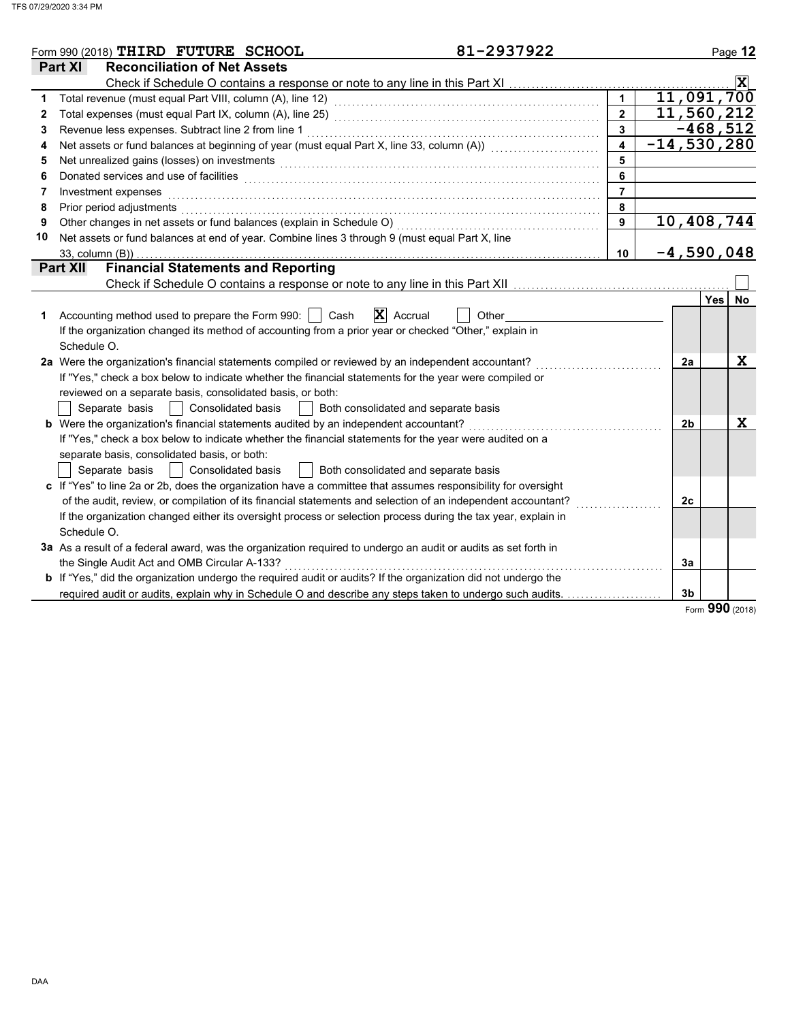|    | 81-2937922<br>Form 990 (2018) THIRD FUTURE SCHOOL                                                                                                                                                                              |                  |                | Page 12          |
|----|--------------------------------------------------------------------------------------------------------------------------------------------------------------------------------------------------------------------------------|------------------|----------------|------------------|
|    | <b>Reconciliation of Net Assets</b><br><b>Part XI</b>                                                                                                                                                                          |                  |                |                  |
|    |                                                                                                                                                                                                                                |                  |                | $ \mathbf{x} $   |
| 1  |                                                                                                                                                                                                                                |                  |                | 11,091,700       |
| 2  |                                                                                                                                                                                                                                | $\overline{2}$   |                | 11,560,212       |
| 3  |                                                                                                                                                                                                                                | $\overline{3}$   |                | $-468,512$       |
| 4  | Net assets or fund balances at beginning of year (must equal Part X, line 33, column (A)) [[[[[[[[[[[[[[[[[[[                                                                                                                  | $\blacktriangle$ |                | $-14,530,280$    |
| 5  | Net unrealized gains (losses) on investments [11] with the content of the content of the content of the content of the content of the content of the content of the content of the content of the content of the content of th | 5                |                |                  |
| 6  | Donated services and use of facilities <b>constructs</b> and a service of the service of the services and use of facilities                                                                                                    | 6                |                |                  |
| 7  | Investment expenses                                                                                                                                                                                                            | $\overline{7}$   |                |                  |
| 8  | Prior period adjustments                                                                                                                                                                                                       | 8                |                |                  |
| 9  | Other changes in net assets or fund balances (explain in Schedule O)                                                                                                                                                           | 9                |                | 10,408,744       |
| 10 | Net assets or fund balances at end of year. Combine lines 3 through 9 (must equal Part X, line                                                                                                                                 |                  |                |                  |
|    | 33, column (B))                                                                                                                                                                                                                | 10               |                | $-4,590,048$     |
|    | <b>Financial Statements and Reporting</b><br><b>Part XII</b>                                                                                                                                                                   |                  |                |                  |
|    |                                                                                                                                                                                                                                |                  |                |                  |
|    |                                                                                                                                                                                                                                |                  |                | Yes<br><b>No</b> |
| 1  | $ \mathbf{X} $ Accrual<br>Accounting method used to prepare the Form 990:  <br>Cash<br>Other                                                                                                                                   |                  |                |                  |
|    | If the organization changed its method of accounting from a prior year or checked "Other," explain in                                                                                                                          |                  |                |                  |
|    | Schedule O.                                                                                                                                                                                                                    |                  |                |                  |
|    | 2a Were the organization's financial statements compiled or reviewed by an independent accountant?                                                                                                                             |                  | 2a             | X                |
|    | If "Yes," check a box below to indicate whether the financial statements for the year were compiled or                                                                                                                         |                  |                |                  |
|    | reviewed on a separate basis, consolidated basis, or both:                                                                                                                                                                     |                  |                |                  |
|    | <b>Consolidated basis</b><br>Separate basis<br>Both consolidated and separate basis                                                                                                                                            |                  |                |                  |
|    | <b>b</b> Were the organization's financial statements audited by an independent accountant?                                                                                                                                    |                  | 2 <sub>b</sub> | X                |
|    | If "Yes," check a box below to indicate whether the financial statements for the year were audited on a                                                                                                                        |                  |                |                  |
|    | separate basis, consolidated basis, or both:                                                                                                                                                                                   |                  |                |                  |
|    | <b>Consolidated basis</b><br>Separate basis<br>Both consolidated and separate basis                                                                                                                                            |                  |                |                  |
|    | c If "Yes" to line 2a or 2b, does the organization have a committee that assumes responsibility for oversight                                                                                                                  |                  |                |                  |
|    | of the audit, review, or compilation of its financial statements and selection of an independent accountant?                                                                                                                   |                  | 2c             |                  |
|    | If the organization changed either its oversight process or selection process during the tax year, explain in                                                                                                                  |                  |                |                  |
|    | Schedule O.                                                                                                                                                                                                                    |                  |                |                  |
|    | 3a As a result of a federal award, was the organization required to undergo an audit or audits as set forth in                                                                                                                 |                  |                |                  |
|    | the Single Audit Act and OMB Circular A-133?                                                                                                                                                                                   |                  | 3a             |                  |
|    | b If "Yes," did the organization undergo the required audit or audits? If the organization did not undergo the                                                                                                                 |                  |                |                  |
|    | required audit or audits, explain why in Schedule O and describe any steps taken to undergo such audits.                                                                                                                       |                  | 3 <sub>b</sub> |                  |
|    |                                                                                                                                                                                                                                |                  |                | nnn              |

Form **990** (2018)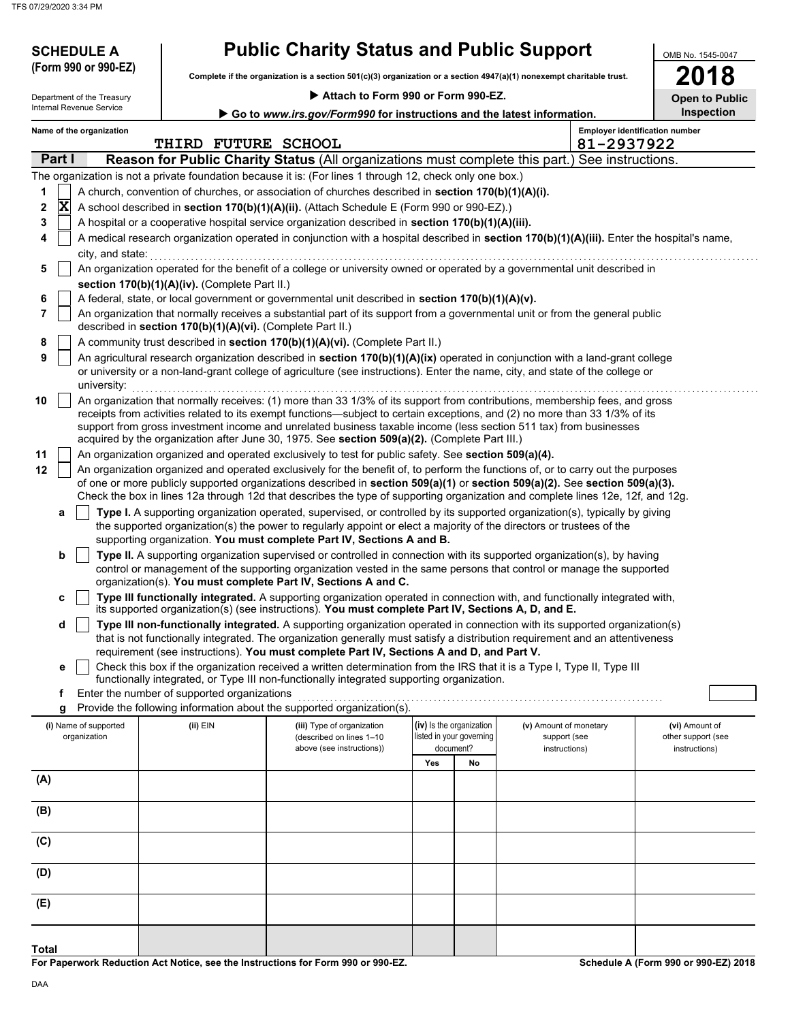| <b>SCHEDULE A</b><br>(Form 990 or 990-EZ)              |                                                            | <b>Public Charity Status and Public Support</b>                                                                      |     |                          |                                                                                                                                            | OMB No. 1545-0047     |
|--------------------------------------------------------|------------------------------------------------------------|----------------------------------------------------------------------------------------------------------------------|-----|--------------------------|--------------------------------------------------------------------------------------------------------------------------------------------|-----------------------|
|                                                        |                                                            | Complete if the organization is a section 501(c)(3) organization or a section 4947(a)(1) nonexempt charitable trust. |     |                          |                                                                                                                                            | 2018                  |
| Department of the Treasury<br>Internal Revenue Service |                                                            | Attach to Form 990 or Form 990-EZ.                                                                                   |     |                          |                                                                                                                                            | <b>Open to Public</b> |
|                                                        |                                                            | Go to www.irs.gov/Form990 for instructions and the latest information.                                               |     |                          |                                                                                                                                            | Inspection            |
| Name of the organization                               |                                                            |                                                                                                                      |     |                          | <b>Employer identification number</b>                                                                                                      |                       |
|                                                        | THIRD FUTURE SCHOOL                                        |                                                                                                                      |     |                          | 81-2937922                                                                                                                                 |                       |
| Part I                                                 |                                                            |                                                                                                                      |     |                          | <b>Reason for Public Charity Status (All organizations must complete this part.) See instructions.</b>                                     |                       |
|                                                        |                                                            | The organization is not a private foundation because it is: (For lines 1 through 12, check only one box.)            |     |                          |                                                                                                                                            |                       |
| 1                                                      |                                                            | A church, convention of churches, or association of churches described in section 170(b)(1)(A)(i).                   |     |                          |                                                                                                                                            |                       |
| $\overline{\mathbf{x}}$<br>2                           |                                                            | A school described in section 170(b)(1)(A)(ii). (Attach Schedule E (Form 990 or 990-EZ).)                            |     |                          |                                                                                                                                            |                       |
| 3                                                      |                                                            | A hospital or a cooperative hospital service organization described in section 170(b)(1)(A)(iii).                    |     |                          |                                                                                                                                            |                       |
| 4                                                      |                                                            |                                                                                                                      |     |                          | A medical research organization operated in conjunction with a hospital described in section 170(b)(1)(A)(iii). Enter the hospital's name, |                       |
| city, and state:                                       |                                                            |                                                                                                                      |     |                          |                                                                                                                                            |                       |
| 5                                                      |                                                            |                                                                                                                      |     |                          | An organization operated for the benefit of a college or university owned or operated by a governmental unit described in                  |                       |
|                                                        | section 170(b)(1)(A)(iv). (Complete Part II.)              |                                                                                                                      |     |                          |                                                                                                                                            |                       |
| 6                                                      |                                                            | A federal, state, or local government or governmental unit described in section 170(b)(1)(A)(v).                     |     |                          |                                                                                                                                            |                       |
| 7                                                      |                                                            |                                                                                                                      |     |                          | An organization that normally receives a substantial part of its support from a governmental unit or from the general public               |                       |
|                                                        | described in section 170(b)(1)(A)(vi). (Complete Part II.) |                                                                                                                      |     |                          |                                                                                                                                            |                       |
| 8                                                      |                                                            | A community trust described in section 170(b)(1)(A)(vi). (Complete Part II.)                                         |     |                          |                                                                                                                                            |                       |
| 9                                                      |                                                            |                                                                                                                      |     |                          | An agricultural research organization described in section 170(b)(1)(A)(ix) operated in conjunction with a land-grant college              |                       |
|                                                        |                                                            |                                                                                                                      |     |                          | or university or a non-land-grant college of agriculture (see instructions). Enter the name, city, and state of the college or             |                       |
| university:                                            |                                                            |                                                                                                                      |     |                          |                                                                                                                                            |                       |
| 10                                                     |                                                            |                                                                                                                      |     |                          | An organization that normally receives: (1) more than 33 1/3% of its support from contributions, membership fees, and gross                |                       |
|                                                        |                                                            |                                                                                                                      |     |                          | receipts from activities related to its exempt functions—subject to certain exceptions, and (2) no more than 33 1/3% of its                |                       |
|                                                        |                                                            |                                                                                                                      |     |                          | support from gross investment income and unrelated business taxable income (less section 511 tax) from businesses                          |                       |
|                                                        |                                                            | acquired by the organization after June 30, 1975. See section 509(a)(2). (Complete Part III.)                        |     |                          |                                                                                                                                            |                       |
| 11                                                     |                                                            | An organization organized and operated exclusively to test for public safety. See section 509(a)(4).                 |     |                          |                                                                                                                                            |                       |
| 12                                                     |                                                            |                                                                                                                      |     |                          | An organization organized and operated exclusively for the benefit of, to perform the functions of, or to carry out the purposes           |                       |
|                                                        |                                                            |                                                                                                                      |     |                          | of one or more publicly supported organizations described in section 509(a)(1) or section 509(a)(2). See section 509(a)(3).                |                       |
|                                                        |                                                            |                                                                                                                      |     |                          | Check the box in lines 12a through 12d that describes the type of supporting organization and complete lines 12e, 12f, and 12g.            |                       |
| а                                                      |                                                            |                                                                                                                      |     |                          | Type I. A supporting organization operated, supervised, or controlled by its supported organization(s), typically by giving                |                       |
|                                                        |                                                            | the supported organization(s) the power to regularly appoint or elect a majority of the directors or trustees of the |     |                          |                                                                                                                                            |                       |
|                                                        |                                                            | supporting organization. You must complete Part IV, Sections A and B.                                                |     |                          |                                                                                                                                            |                       |
| b                                                      |                                                            |                                                                                                                      |     |                          | Type II. A supporting organization supervised or controlled in connection with its supported organization(s), by having                    |                       |
|                                                        |                                                            |                                                                                                                      |     |                          | control or management of the supporting organization vested in the same persons that control or manage the supported                       |                       |
|                                                        |                                                            | organization(s). You must complete Part IV, Sections A and C.                                                        |     |                          |                                                                                                                                            |                       |
| c                                                      |                                                            | its supported organization(s) (see instructions). You must complete Part IV, Sections A, D, and E.                   |     |                          | Type III functionally integrated. A supporting organization operated in connection with, and functionally integrated with,                 |                       |
|                                                        |                                                            |                                                                                                                      |     |                          | Type III non-functionally integrated. A supporting organization operated in connection with its supported organization(s)                  |                       |
| d                                                      |                                                            |                                                                                                                      |     |                          | that is not functionally integrated. The organization generally must satisfy a distribution requirement and an attentiveness               |                       |
|                                                        |                                                            | requirement (see instructions). You must complete Part IV, Sections A and D, and Part V.                             |     |                          |                                                                                                                                            |                       |
| е                                                      |                                                            |                                                                                                                      |     |                          | Check this box if the organization received a written determination from the IRS that it is a Type I, Type II, Type III                    |                       |
|                                                        |                                                            | functionally integrated, or Type III non-functionally integrated supporting organization.                            |     |                          |                                                                                                                                            |                       |
| f                                                      | Enter the number of supported organizations                |                                                                                                                      |     |                          |                                                                                                                                            |                       |
| g                                                      |                                                            | Provide the following information about the supported organization(s).                                               |     |                          |                                                                                                                                            |                       |
| (i) Name of supported                                  | (ii) EIN                                                   | (iii) Type of organization                                                                                           |     | (iv) Is the organization | (v) Amount of monetary                                                                                                                     | (vi) Amount of        |
| organization                                           |                                                            | (described on lines 1-10                                                                                             |     | listed in your governing | support (see                                                                                                                               | other support (see    |
|                                                        |                                                            | above (see instructions))                                                                                            |     | document?                | instructions)                                                                                                                              | instructions)         |
|                                                        |                                                            |                                                                                                                      | Yes | No                       |                                                                                                                                            |                       |
| (A)                                                    |                                                            |                                                                                                                      |     |                          |                                                                                                                                            |                       |
|                                                        |                                                            |                                                                                                                      |     |                          |                                                                                                                                            |                       |
| (B)                                                    |                                                            |                                                                                                                      |     |                          |                                                                                                                                            |                       |
|                                                        |                                                            |                                                                                                                      |     |                          |                                                                                                                                            |                       |
| (C)                                                    |                                                            |                                                                                                                      |     |                          |                                                                                                                                            |                       |
|                                                        |                                                            |                                                                                                                      |     |                          |                                                                                                                                            |                       |
| (D)                                                    |                                                            |                                                                                                                      |     |                          |                                                                                                                                            |                       |
|                                                        |                                                            |                                                                                                                      |     |                          |                                                                                                                                            |                       |
| (E)                                                    |                                                            |                                                                                                                      |     |                          |                                                                                                                                            |                       |

**For Paperwork Reduction Act Notice, see the Instructions for Form 990 or 990-EZ. Total**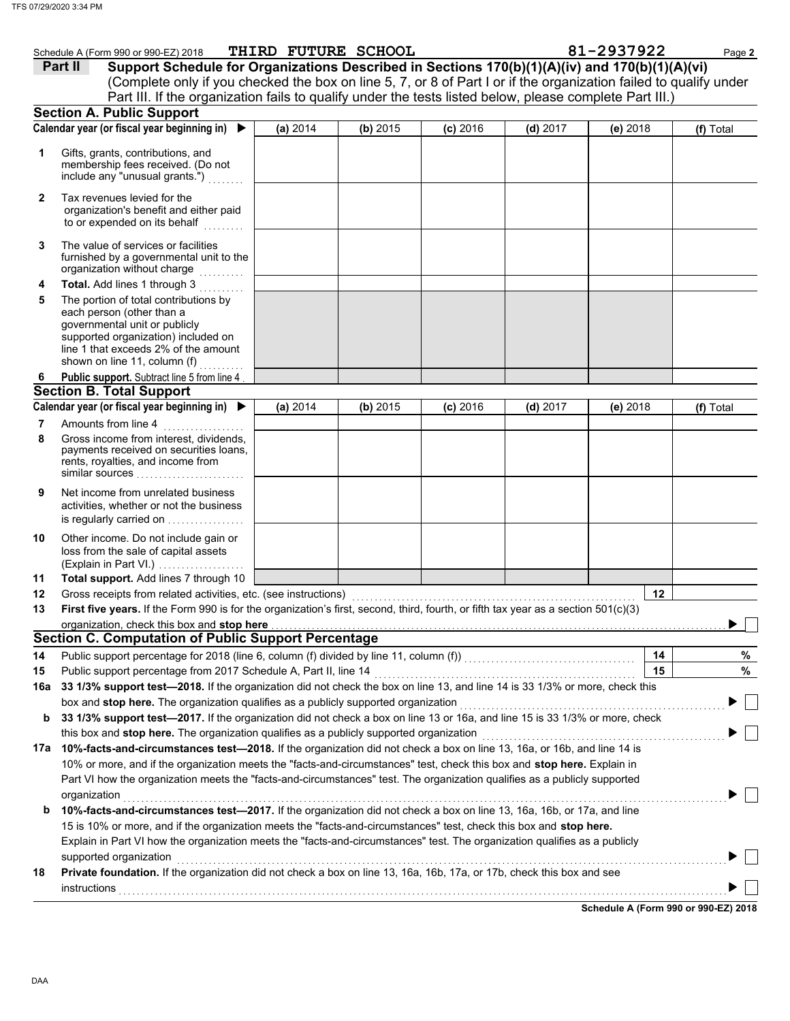|     | Schedule A (Form 990 or 990-EZ) 2018                                                                                                                                                                               |          | THIRD FUTURE SCHOOL |            |            | 81-2937922 | Page 2    |
|-----|--------------------------------------------------------------------------------------------------------------------------------------------------------------------------------------------------------------------|----------|---------------------|------------|------------|------------|-----------|
|     | Support Schedule for Organizations Described in Sections 170(b)(1)(A)(iv) and 170(b)(1)(A)(vi)<br>Part II                                                                                                          |          |                     |            |            |            |           |
|     | (Complete only if you checked the box on line 5, 7, or 8 of Part I or if the organization failed to qualify under                                                                                                  |          |                     |            |            |            |           |
|     | Part III. If the organization fails to qualify under the tests listed below, please complete Part III.)                                                                                                            |          |                     |            |            |            |           |
|     | <b>Section A. Public Support</b>                                                                                                                                                                                   |          |                     |            |            |            |           |
|     | Calendar year (or fiscal year beginning in) $\blacktriangleright$                                                                                                                                                  | (a) 2014 | (b) 2015            | $(c)$ 2016 | $(d)$ 2017 | (e) 2018   | (f) Total |
| 1   | Gifts, grants, contributions, and<br>membership fees received. (Do not<br>include any "unusual grants.")                                                                                                           |          |                     |            |            |            |           |
| 2   | Tax revenues levied for the<br>organization's benefit and either paid<br>to or expended on its behalf                                                                                                              |          |                     |            |            |            |           |
| 3   | The value of services or facilities<br>furnished by a governmental unit to the<br>organization without charge                                                                                                      |          |                     |            |            |            |           |
| 4   | Total. Add lines 1 through 3                                                                                                                                                                                       |          |                     |            |            |            |           |
| 5   | The portion of total contributions by<br>each person (other than a<br>governmental unit or publicly<br>supported organization) included on<br>line 1 that exceeds 2% of the amount<br>shown on line 11, column (f) |          |                     |            |            |            |           |
| 6   | Public support. Subtract line 5 from line 4                                                                                                                                                                        |          |                     |            |            |            |           |
|     | <b>Section B. Total Support</b>                                                                                                                                                                                    |          |                     |            |            |            |           |
|     | Calendar year (or fiscal year beginning in) ▶                                                                                                                                                                      | (a) 2014 | (b) 2015            | $(c)$ 2016 | $(d)$ 2017 | (e) 2018   | (f) Total |
| 7   | Amounts from line 4                                                                                                                                                                                                |          |                     |            |            |            |           |
| 8   | Gross income from interest, dividends,<br>payments received on securities loans,<br>rents, royalties, and income from<br>similar sources                                                                           |          |                     |            |            |            |           |
| 9   | Net income from unrelated business<br>activities, whether or not the business<br>is regularly carried on                                                                                                           |          |                     |            |            |            |           |
| 10  | Other income. Do not include gain or<br>loss from the sale of capital assets<br>(Explain in Part VI.)                                                                                                              |          |                     |            |            |            |           |
| 11  | Total support. Add lines 7 through 10                                                                                                                                                                              |          |                     |            |            |            |           |
| 12  | Gross receipts from related activities, etc. (see instructions)                                                                                                                                                    |          |                     |            |            | 12         |           |
| 13  | First five years. If the Form 990 is for the organization's first, second, third, fourth, or fifth tax year as a section 501(c)(3)                                                                                 |          |                     |            |            |            |           |
|     | organization, check this box and stop here                                                                                                                                                                         |          |                     |            |            |            |           |
|     | <b>Section C. Computation of Public Support Percentage</b>                                                                                                                                                         |          |                     |            |            |            |           |
| 14  | Public support percentage for 2018 (line 6, column (f) divided by line 11, column (f)) [[[[[[[[[[[[[[[[[[[[[[                                                                                                      |          |                     |            |            | 14         | %         |
| 15  | Public support percentage from 2017 Schedule A, Part II, line 14                                                                                                                                                   |          |                     |            |            | 15         | %         |
| 16a | 33 1/3% support test-2018. If the organization did not check the box on line 13, and line 14 is 33 1/3% or more, check this                                                                                        |          |                     |            |            |            |           |
|     | box and stop here. The organization qualifies as a publicly supported organization                                                                                                                                 |          |                     |            |            |            |           |
| b   | 33 1/3% support test-2017. If the organization did not check a box on line 13 or 16a, and line 15 is 33 1/3% or more, check                                                                                        |          |                     |            |            |            |           |
|     | this box and stop here. The organization qualifies as a publicly supported organization                                                                                                                            |          |                     |            |            |            |           |
|     | 17a 10%-facts-and-circumstances test-2018. If the organization did not check a box on line 13, 16a, or 16b, and line 14 is                                                                                         |          |                     |            |            |            |           |
|     | 10% or more, and if the organization meets the "facts-and-circumstances" test, check this box and stop here. Explain in                                                                                            |          |                     |            |            |            |           |
|     | Part VI how the organization meets the "facts-and-circumstances" test. The organization qualifies as a publicly supported                                                                                          |          |                     |            |            |            |           |
|     | organization                                                                                                                                                                                                       |          |                     |            |            |            |           |
| b   | 10%-facts-and-circumstances test-2017. If the organization did not check a box on line 13, 16a, 16b, or 17a, and line                                                                                              |          |                     |            |            |            |           |
|     | 15 is 10% or more, and if the organization meets the "facts-and-circumstances" test, check this box and stop here.                                                                                                 |          |                     |            |            |            |           |
|     | Explain in Part VI how the organization meets the "facts-and-circumstances" test. The organization qualifies as a publicly                                                                                         |          |                     |            |            |            |           |
|     | supported organization                                                                                                                                                                                             |          |                     |            |            |            |           |
| 18  | Private foundation. If the organization did not check a box on line 13, 16a, 16b, 17a, or 17b, check this box and see                                                                                              |          |                     |            |            |            |           |
|     | instructions                                                                                                                                                                                                       |          |                     |            |            |            |           |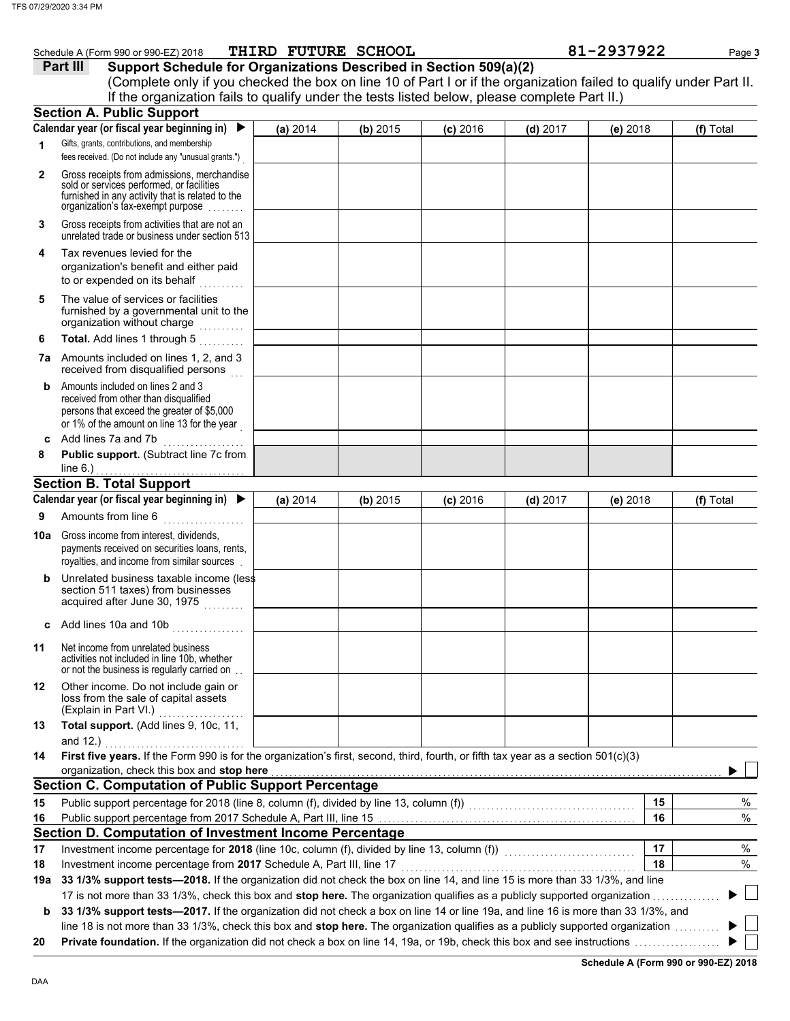|              | 07/29/2020 3:34 PM                                                                                                                                                                                                                                                                                  |          |                     |            |            |            |           |  |
|--------------|-----------------------------------------------------------------------------------------------------------------------------------------------------------------------------------------------------------------------------------------------------------------------------------------------------|----------|---------------------|------------|------------|------------|-----------|--|
|              | Schedule A (Form 990 or 990-EZ) 2018                                                                                                                                                                                                                                                                |          | THIRD FUTURE SCHOOL |            |            | 81-2937922 | Page 3    |  |
|              | Part III<br>Support Schedule for Organizations Described in Section 509(a)(2)<br>(Complete only if you checked the box on line 10 of Part I or if the organization failed to qualify under Part II.<br>If the organization fails to qualify under the tests listed below, please complete Part II.) |          |                     |            |            |            |           |  |
|              | <b>Section A. Public Support</b>                                                                                                                                                                                                                                                                    |          |                     |            |            |            |           |  |
| 1            | Calendar year (or fiscal year beginning in)<br>$\blacktriangleright$<br>Gifts, grants, contributions, and membership<br>fees received. (Do not include any "unusual grants.")                                                                                                                       | (a) 2014 | (b) 2015            | $(c)$ 2016 | $(d)$ 2017 | (e) 2018   | (f) Total |  |
| $\mathbf{2}$ | Gross receipts from admissions, merchandise<br>sold or services performed, or facilities<br>furnished in any activity that is related to the<br>organization's tax-exempt purpose                                                                                                                   |          |                     |            |            |            |           |  |
| 3            | Gross receipts from activities that are not an<br>unrelated trade or business under section 513                                                                                                                                                                                                     |          |                     |            |            |            |           |  |
| 4            | Tax revenues levied for the<br>organization's benefit and either paid<br>to or expended on its behalf                                                                                                                                                                                               |          |                     |            |            |            |           |  |
| 5            | The value of services or facilities<br>furnished by a governmental unit to the<br>organization without charge                                                                                                                                                                                       |          |                     |            |            |            |           |  |
| 6            | Total. Add lines 1 through 5<br><b>7a</b> Amounts included on lines 1, 2, and 3                                                                                                                                                                                                                     |          |                     |            |            |            |           |  |
| b            | received from disqualified persons<br>Amounts included on lines 2 and 3<br>received from other than disqualified<br>persons that exceed the greater of \$5,000<br>or 1% of the amount on line 13 for the year                                                                                       |          |                     |            |            |            |           |  |
| 8            | c Add lines 7a and 7b<br>Public support. (Subtract line 7c from<br>line $6.$ )                                                                                                                                                                                                                      |          |                     |            |            |            |           |  |
|              | <b>Section B. Total Support</b>                                                                                                                                                                                                                                                                     |          |                     |            |            |            |           |  |
|              | Calendar year (or fiscal year beginning in)                                                                                                                                                                                                                                                         | (a) 2014 | (b) 2015            | $(c)$ 2016 | $(d)$ 2017 | $(e)$ 2018 | (f) Total |  |
| 9            | Amounts from line 6                                                                                                                                                                                                                                                                                 |          |                     |            |            |            |           |  |
|              | 10a Gross income from interest, dividends,<br>payments received on securities loans, rents,<br>royalties, and income from similar sources.                                                                                                                                                          |          |                     |            |            |            |           |  |
| b            | Unrelated business taxable income (less<br>section 511 taxes) from businesses<br>acquired after June 30, 1975                                                                                                                                                                                       |          |                     |            |            |            |           |  |
|              | c Add lines 10a and 10b                                                                                                                                                                                                                                                                             |          |                     |            |            |            |           |  |
| 11           | Net income from unrelated business<br>activities not included in line 10b, whether<br>or not the business is regularly carried on.                                                                                                                                                                  |          |                     |            |            |            |           |  |
| 12           | Other income. Do not include gain or<br>loss from the sale of capital assets<br>(Explain in Part VI.)<br>.                                                                                                                                                                                          |          |                     |            |            |            |           |  |
| 13           | Total support. (Add lines 9, 10c, 11,<br>and 12.)                                                                                                                                                                                                                                                   |          |                     |            |            |            |           |  |
| 14           | First five years. If the Form 990 is for the organization's first, second, third, fourth, or fifth tax year as a section 501(c)(3)                                                                                                                                                                  |          |                     |            |            |            |           |  |
|              | organization, check this box and stop here                                                                                                                                                                                                                                                          |          |                     |            |            |            |           |  |
|              | <b>Section C. Computation of Public Support Percentage</b>                                                                                                                                                                                                                                          |          |                     |            |            |            |           |  |
| 15           | Public support percentage for 2018 (line 8, column (f), divided by line 13, column (f))<br>matrix (f)                                                                                                                                                                                               |          |                     |            |            | 15         | %         |  |
| 16           | Public support percentage from 2017 Schedule A, Part III, line 15 [11] www.communically.communications are pro                                                                                                                                                                                      |          |                     |            |            | 16         | %         |  |
|              | Section D. Computation of Investment Income Percentage                                                                                                                                                                                                                                              |          |                     |            |            | 17         |           |  |
| 17<br>18     | Investment income percentage from 2017 Schedule A, Part III, line 17                                                                                                                                                                                                                                |          |                     |            |            | 18         | %<br>%    |  |
|              |                                                                                                                                                                                                                                                                                                     |          |                     |            |            |            |           |  |
|              | 19a 33 1/3% support tests-2018. If the organization did not check the box on line 14, and line 15 is more than 33 1/3%, and line<br>17 is not more than 33 1/3%, check this box and stop here. The organization qualifies as a publicly supported organization                                      |          |                     |            |            |            |           |  |

**b** 33 1/3% support tests-2017. If the organization did not check a box on line 14 or line 19a, and line 16 is more than 33 1/3%, and line 18 is not more than 33 1/3%, check this box and **stop here.** The organization qualifies as a publicly supported organization . . . . . . . . . . ▶  $\blacktriangleright$ 

**20 Private foundation.** If the organization did not check a box on line 14, 19a, or 19b, check this box and see instructions . . . . . . . . . . . . . . . . . . .

**Schedule A (Form 990 or 990-EZ) 2018**

 $\mathbb{R}^n$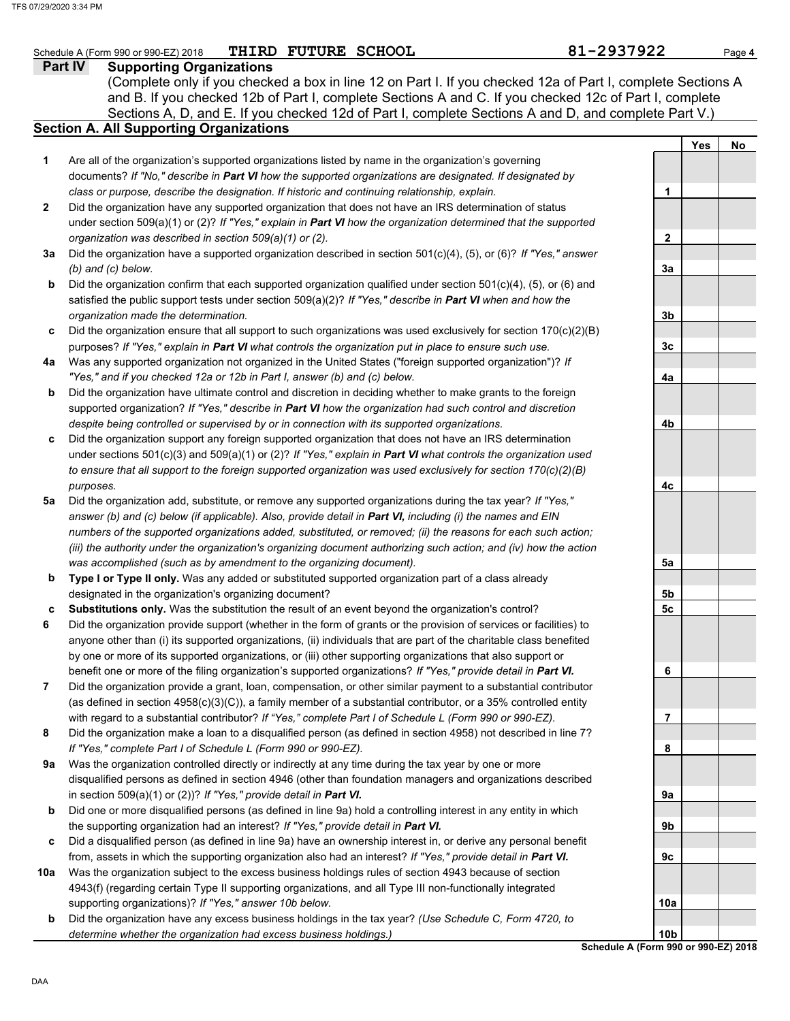### **Part IV Supporting Organizations** Sections A, D, and E. If you checked 12d of Part I, complete Sections A and D, and complete Part V.) Schedule A (Form 990 or 990-EZ) 2018 **THIRD FUTURE SCHOOL** 81 **Page 4 81-2937922** Page 4 **Section A. All Supporting Organizations** (Complete only if you checked a box in line 12 on Part I. If you checked 12a of Part I, complete Sections A and B. If you checked 12b of Part I, complete Sections A and C. If you checked 12c of Part I, complete Are all of the organization's supported organizations listed by name in the organization's governing documents? *If "No," describe in Part VI how the supported organizations are designated. If designated by class or purpose, describe the designation. If historic and continuing relationship, explain.* Did the organization have any supported organization that does not have an IRS determination of status under section 509(a)(1) or (2)? *If "Yes," explain in Part VI how the organization determined that the supported organization was described in section 509(a)(1) or (2).* **1 2 3a** Did the organization have a supported organization described in section 501(c)(4), (5), or (6)? *If "Yes," answer* **b c** Did the organization ensure that all support to such organizations was used exclusively for section 170(c)(2)(B) **4a** Was any supported organization not organized in the United States ("foreign supported organization")? *If* **b c** Did the organization support any foreign supported organization that does not have an IRS determination **5a** Did the organization add, substitute, or remove any supported organizations during the tax year? *If "Yes,"* **b c 6 7 8 9a b c 10a b** *(b) and (c) below.* Did the organization confirm that each supported organization qualified under section 501(c)(4), (5), or (6) and satisfied the public support tests under section 509(a)(2)? *If "Yes," describe in Part VI when and how the organization made the determination.* purposes? *If "Yes," explain in Part VI what controls the organization put in place to ensure such use. "Yes," and if you checked 12a or 12b in Part I, answer (b) and (c) below.* Did the organization have ultimate control and discretion in deciding whether to make grants to the foreign supported organization? *If "Yes," describe in Part VI how the organization had such control and discretion despite being controlled or supervised by or in connection with its supported organizations.* under sections 501(c)(3) and 509(a)(1) or (2)? *If "Yes," explain in Part VI what controls the organization used to ensure that all support to the foreign supported organization was used exclusively for section 170(c)(2)(B) purposes. answer (b) and (c) below (if applicable). Also, provide detail in Part VI, including (i) the names and EIN numbers of the supported organizations added, substituted, or removed; (ii) the reasons for each such action; (iii) the authority under the organization's organizing document authorizing such action; and (iv) how the action was accomplished (such as by amendment to the organizing document).* **Type I or Type II only.** Was any added or substituted supported organization part of a class already designated in the organization's organizing document? **Substitutions only.** Was the substitution the result of an event beyond the organization's control? Did the organization provide support (whether in the form of grants or the provision of services or facilities) to anyone other than (i) its supported organizations, (ii) individuals that are part of the charitable class benefited by one or more of its supported organizations, or (iii) other supporting organizations that also support or benefit one or more of the filing organization's supported organizations? *If "Yes," provide detail in Part VI.* Did the organization provide a grant, loan, compensation, or other similar payment to a substantial contributor (as defined in section 4958(c)(3)(C)), a family member of a substantial contributor, or a 35% controlled entity with regard to a substantial contributor? *If "Yes," complete Part I of Schedule L (Form 990 or 990-EZ).* Did the organization make a loan to a disqualified person (as defined in section 4958) not described in line 7? *If "Yes," complete Part I of Schedule L (Form 990 or 990-EZ).* Was the organization controlled directly or indirectly at any time during the tax year by one or more disqualified persons as defined in section 4946 (other than foundation managers and organizations described in section 509(a)(1) or (2))? *If "Yes," provide detail in Part VI.* Did one or more disqualified persons (as defined in line 9a) hold a controlling interest in any entity in which the supporting organization had an interest? *If "Yes," provide detail in Part VI.* Did a disqualified person (as defined in line 9a) have an ownership interest in, or derive any personal benefit from, assets in which the supporting organization also had an interest? *If "Yes," provide detail in Part VI.* Was the organization subject to the excess business holdings rules of section 4943 because of section 4943(f) (regarding certain Type II supporting organizations, and all Type III non-functionally integrated supporting organizations)? *If "Yes," answer 10b below.* Did the organization have any excess business holdings in the tax year? *(Use Schedule C, Form 4720, to determine whether the organization had excess business holdings.)* **Yes No 1 2 3a 3b 3c 4a 4b 4c 5a 5b 5c 6 7 8 9a 9b 9c 10a 10b** THIRD FUTURE SCHOOL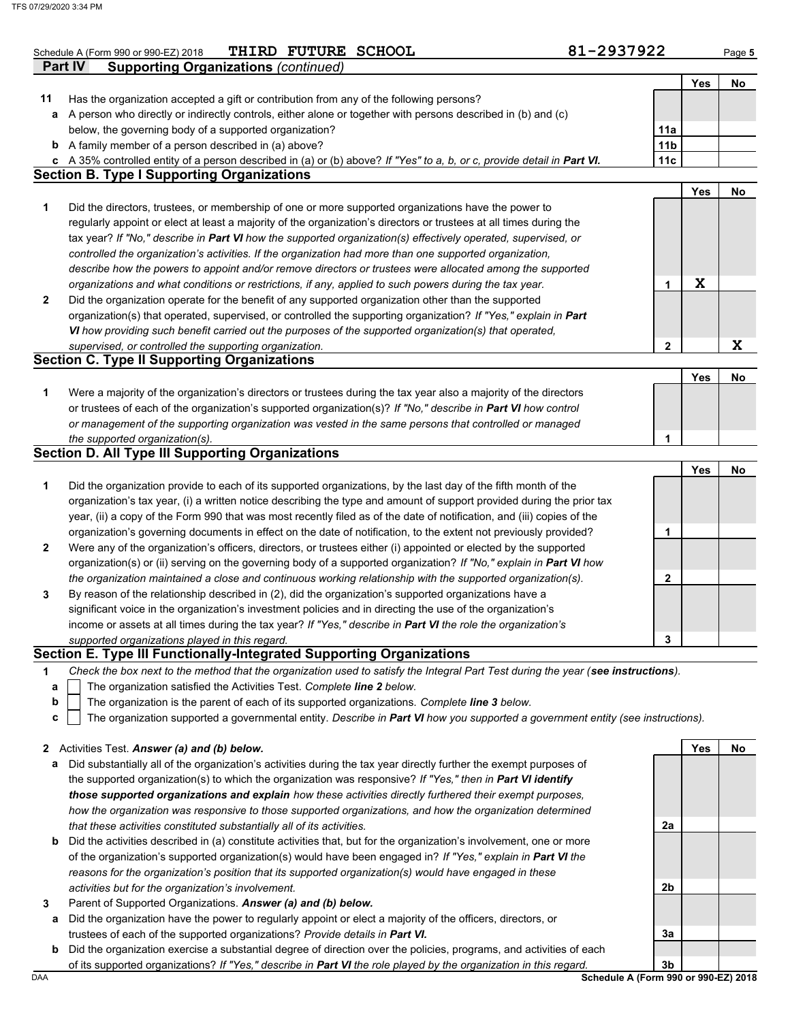|              | THIRD FUTURE SCHOOL<br>Schedule A (Form 990 or 990-EZ) 2018                                                                                                                                                                          | 81-2937922      |     | Page 5 |
|--------------|--------------------------------------------------------------------------------------------------------------------------------------------------------------------------------------------------------------------------------------|-----------------|-----|--------|
|              | <b>Supporting Organizations (continued)</b><br><b>Part IV</b>                                                                                                                                                                        |                 |     |        |
|              |                                                                                                                                                                                                                                      |                 | Yes | No     |
| 11           | Has the organization accepted a gift or contribution from any of the following persons?<br>A person who directly or indirectly controls, either alone or together with persons described in (b) and (c)                              |                 |     |        |
| а            | below, the governing body of a supported organization?                                                                                                                                                                               | 11a             |     |        |
|              | <b>b</b> A family member of a person described in (a) above?                                                                                                                                                                         | 11 <sub>b</sub> |     |        |
| c            | A 35% controlled entity of a person described in (a) or (b) above? If "Yes" to a, b, or c, provide detail in Part VI.                                                                                                                | 11 <sub>c</sub> |     |        |
|              | <b>Section B. Type I Supporting Organizations</b>                                                                                                                                                                                    |                 |     |        |
|              |                                                                                                                                                                                                                                      |                 | Yes | No     |
| 1            | Did the directors, trustees, or membership of one or more supported organizations have the power to                                                                                                                                  |                 |     |        |
|              | regularly appoint or elect at least a majority of the organization's directors or trustees at all times during the                                                                                                                   |                 |     |        |
|              | tax year? If "No," describe in Part VI how the supported organization(s) effectively operated, supervised, or                                                                                                                        |                 |     |        |
|              | controlled the organization's activities. If the organization had more than one supported organization,                                                                                                                              |                 |     |        |
|              | describe how the powers to appoint and/or remove directors or trustees were allocated among the supported                                                                                                                            |                 |     |        |
|              | organizations and what conditions or restrictions, if any, applied to such powers during the tax year.                                                                                                                               | 1               | X   |        |
| $\mathbf{2}$ | Did the organization operate for the benefit of any supported organization other than the supported                                                                                                                                  |                 |     |        |
|              | organization(s) that operated, supervised, or controlled the supporting organization? If "Yes," explain in Part                                                                                                                      |                 |     |        |
|              | VI how providing such benefit carried out the purposes of the supported organization(s) that operated,                                                                                                                               |                 |     |        |
|              | supervised, or controlled the supporting organization.                                                                                                                                                                               | 2               |     | X      |
|              | <b>Section C. Type II Supporting Organizations</b>                                                                                                                                                                                   |                 |     |        |
|              |                                                                                                                                                                                                                                      |                 | Yes | No     |
| 1            | Were a majority of the organization's directors or trustees during the tax year also a majority of the directors                                                                                                                     |                 |     |        |
|              | or trustees of each of the organization's supported organization(s)? If "No," describe in Part VI how control                                                                                                                        |                 |     |        |
|              | or management of the supporting organization was vested in the same persons that controlled or managed                                                                                                                               |                 |     |        |
|              | the supported organization(s).                                                                                                                                                                                                       | 1               |     |        |
|              | <b>Section D. All Type III Supporting Organizations</b>                                                                                                                                                                              |                 |     |        |
|              |                                                                                                                                                                                                                                      |                 | Yes | No     |
| 1            | Did the organization provide to each of its supported organizations, by the last day of the fifth month of the                                                                                                                       |                 |     |        |
|              | organization's tax year, (i) a written notice describing the type and amount of support provided during the prior tax                                                                                                                |                 |     |        |
|              | year, (ii) a copy of the Form 990 that was most recently filed as of the date of notification, and (iii) copies of the                                                                                                               |                 |     |        |
|              | organization's governing documents in effect on the date of notification, to the extent not previously provided?<br>Were any of the organization's officers, directors, or trustees either (i) appointed or elected by the supported | 1               |     |        |
| $\mathbf{2}$ | organization(s) or (ii) serving on the governing body of a supported organization? If "No," explain in Part VI how                                                                                                                   |                 |     |        |
|              | the organization maintained a close and continuous working relationship with the supported organization(s).                                                                                                                          | 2               |     |        |
| 3            | By reason of the relationship described in (2), did the organization's supported organizations have a                                                                                                                                |                 |     |        |
|              | significant voice in the organization's investment policies and in directing the use of the organization's                                                                                                                           |                 |     |        |
|              | income or assets at all times during the tax year? If "Yes," describe in Part VI the role the organization's                                                                                                                         |                 |     |        |
|              | supported organizations played in this regard.                                                                                                                                                                                       | 3               |     |        |
|              | Section E. Type III Functionally-Integrated Supporting Organizations                                                                                                                                                                 |                 |     |        |
| 1            | Check the box next to the method that the organization used to satisfy the Integral Part Test during the year (see instructions).                                                                                                    |                 |     |        |
| а            | The organization satisfied the Activities Test. Complete line 2 below.                                                                                                                                                               |                 |     |        |
| b            | The organization is the parent of each of its supported organizations. Complete line 3 below.                                                                                                                                        |                 |     |        |
| c            | The organization supported a governmental entity. Describe in Part VI how you supported a government entity (see instructions).                                                                                                      |                 |     |        |
|              |                                                                                                                                                                                                                                      |                 |     |        |
|              | 2 Activities Test. Answer (a) and (b) below.                                                                                                                                                                                         |                 | Yes | No     |
| а            | Did substantially all of the organization's activities during the tax year directly further the exempt purposes of                                                                                                                   |                 |     |        |
|              | the supported organization(s) to which the organization was responsive? If "Yes," then in Part VI identify                                                                                                                           |                 |     |        |
|              |                                                                                                                                                                                                                                      |                 |     |        |
|              | those supported organizations and explain how these activities directly furthered their exempt purposes,                                                                                                                             |                 |     |        |
|              | how the organization was responsive to those supported organizations, and how the organization determined                                                                                                                            |                 |     |        |
|              | that these activities constituted substantially all of its activities.                                                                                                                                                               | 2a              |     |        |

- Did the activities described in (a) constitute activities that, but for the organization's involvement, one or more of the organization's supported organization(s) would have been engaged in? *If "Yes," explain in Part VI the reasons for the organization's position that its supported organization(s) would have engaged in these activities but for the organization's involvement.*
- **3** Parent of Supported Organizations. *Answer (a) and (b) below.*
- **a** Did the organization have the power to regularly appoint or elect a majority of the officers, directors, or trustees of each of the supported organizations? *Provide details in Part VI.*
- **b** Did the organization exercise a substantial degree of direction over the policies, programs, and activities of each of its supported organizations? *If "Yes," describe in Part VI the role played by the organization in this regard.*

DAA **Schedule A (Form 990 or 990-EZ) 2018 3b**

**3a**

**2b**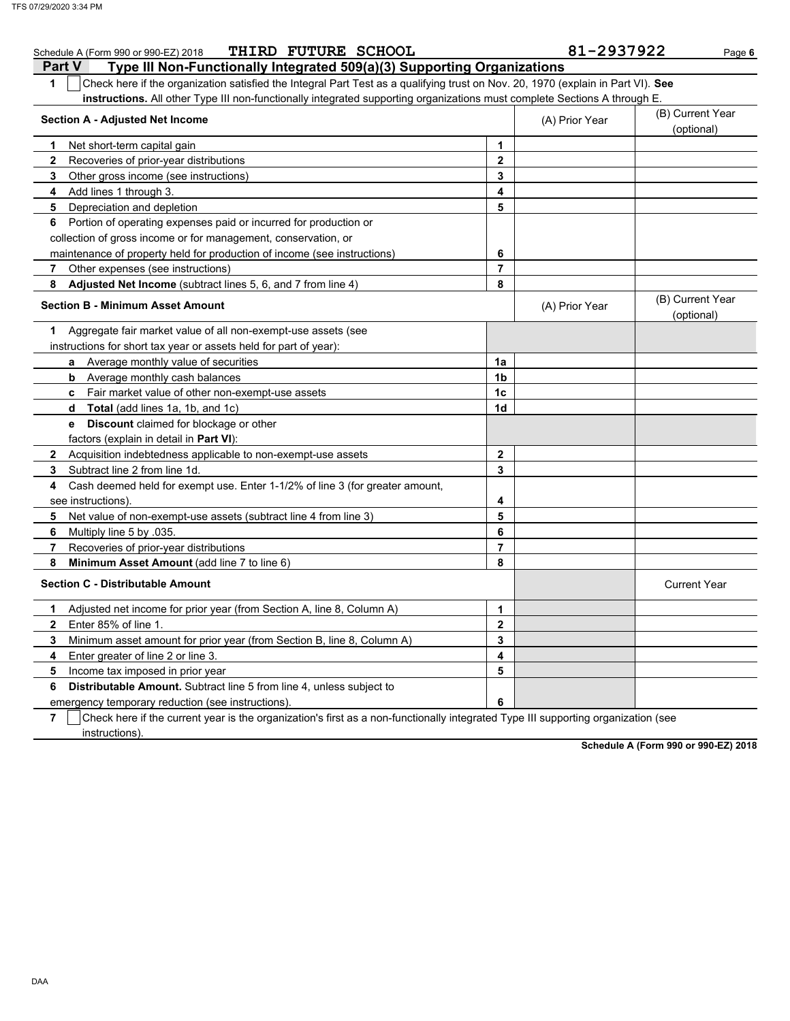|               | THIRD FUTURE SCHOOL<br>Schedule A (Form 990 or 990-EZ) 2018                                                                      |                         | 81-2937922     | Page 6                         |
|---------------|----------------------------------------------------------------------------------------------------------------------------------|-------------------------|----------------|--------------------------------|
| <b>Part V</b> | Type III Non-Functionally Integrated 509(a)(3) Supporting Organizations                                                          |                         |                |                                |
| $\mathbf 1$   | Check here if the organization satisfied the Integral Part Test as a qualifying trust on Nov. 20, 1970 (explain in Part VI). See |                         |                |                                |
|               | instructions. All other Type III non-functionally integrated supporting organizations must complete Sections A through E.        |                         |                |                                |
|               | <b>Section A - Adjusted Net Income</b>                                                                                           |                         | (A) Prior Year | (B) Current Year               |
|               |                                                                                                                                  |                         |                | (optional)                     |
| 1             | Net short-term capital gain                                                                                                      | $\mathbf{1}$            |                |                                |
| $\mathbf{2}$  | Recoveries of prior-year distributions                                                                                           | $\overline{2}$          |                |                                |
| 3             | Other gross income (see instructions)                                                                                            | 3                       |                |                                |
| 4             | Add lines 1 through 3.                                                                                                           | 4                       |                |                                |
| 5             | Depreciation and depletion                                                                                                       | 5                       |                |                                |
| 6             | Portion of operating expenses paid or incurred for production or                                                                 |                         |                |                                |
|               | collection of gross income or for management, conservation, or                                                                   |                         |                |                                |
|               | maintenance of property held for production of income (see instructions)                                                         | 6                       |                |                                |
| 7             | Other expenses (see instructions)                                                                                                | $\overline{7}$          |                |                                |
| 8             | Adjusted Net Income (subtract lines 5, 6, and 7 from line 4)                                                                     | 8                       |                |                                |
|               | <b>Section B - Minimum Asset Amount</b>                                                                                          |                         | (A) Prior Year | (B) Current Year<br>(optional) |
| 1             | Aggregate fair market value of all non-exempt-use assets (see                                                                    |                         |                |                                |
|               | instructions for short tax year or assets held for part of year):                                                                |                         |                |                                |
|               | Average monthly value of securities<br>a                                                                                         | 1a                      |                |                                |
|               | Average monthly cash balances<br>b                                                                                               | 1 <sub>b</sub>          |                |                                |
|               | Fair market value of other non-exempt-use assets<br>c                                                                            | 1 <sub>c</sub>          |                |                                |
|               | Total (add lines 1a, 1b, and 1c)<br>d                                                                                            | 1 <sub>d</sub>          |                |                                |
|               | <b>Discount</b> claimed for blockage or other<br>e                                                                               |                         |                |                                |
|               | factors (explain in detail in Part VI):                                                                                          |                         |                |                                |
| $\mathbf{2}$  | Acquisition indebtedness applicable to non-exempt-use assets                                                                     | $\mathbf{2}$            |                |                                |
| 3             | Subtract line 2 from line 1d.                                                                                                    | 3                       |                |                                |
| 4             | Cash deemed held for exempt use. Enter 1-1/2% of line 3 (for greater amount,                                                     |                         |                |                                |
|               | see instructions).                                                                                                               | 4                       |                |                                |
| 5             | Net value of non-exempt-use assets (subtract line 4 from line 3)                                                                 | 5                       |                |                                |
| 6             | Multiply line 5 by 035.                                                                                                          | 6                       |                |                                |
| 7             | Recoveries of prior-year distributions                                                                                           | 7                       |                |                                |
| 8             | Minimum Asset Amount (add line 7 to line 6)                                                                                      | 8                       |                |                                |
|               | <b>Section C - Distributable Amount</b>                                                                                          |                         |                | <b>Current Year</b>            |
| 1             | Adjusted net income for prior year (from Section A, line 8, Column A)                                                            | 1                       |                |                                |
| $\mathbf{2}$  | Enter 85% of line 1.                                                                                                             | $\overline{2}$          |                |                                |
| 3             | Minimum asset amount for prior year (from Section B, line 8, Column A)                                                           | 3                       |                |                                |
| 4             | Enter greater of line 2 or line 3.                                                                                               | $\overline{\mathbf{4}}$ |                |                                |
| 5             | Income tax imposed in prior year                                                                                                 | 5                       |                |                                |
| 6             | <b>Distributable Amount.</b> Subtract line 5 from line 4, unless subject to                                                      |                         |                |                                |
|               | emergency temporary reduction (see instructions)                                                                                 | 6                       |                |                                |

**7**  $\mid$  Check here if the current year is the organization's first as a non-functionally integrated Type III supporting organization (see instructions).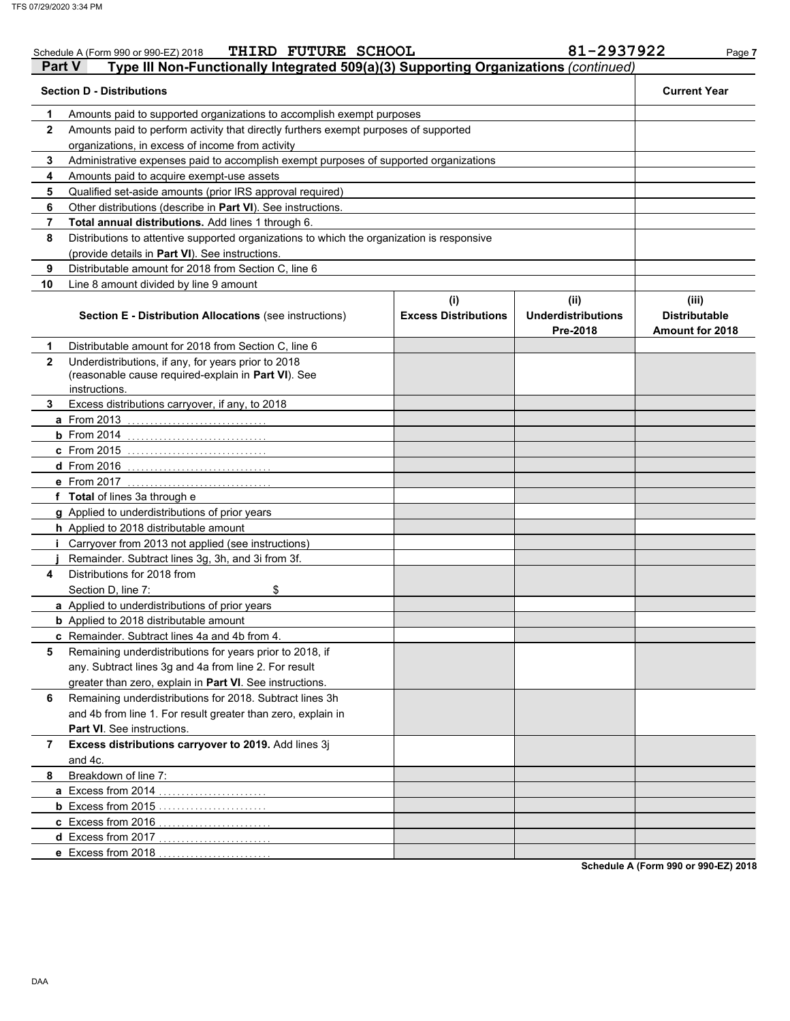|              | THIRD FUTURE SCHOOL<br>Schedule A (Form 990 or 990-EZ) 2018                                                |                             | 81-2937922                            | Page 7                                  |
|--------------|------------------------------------------------------------------------------------------------------------|-----------------------------|---------------------------------------|-----------------------------------------|
| Part V       | Type III Non-Functionally Integrated 509(a)(3) Supporting Organizations (continued)                        |                             |                                       |                                         |
|              | <b>Section D - Distributions</b>                                                                           |                             |                                       | <b>Current Year</b>                     |
| 1            | Amounts paid to supported organizations to accomplish exempt purposes                                      |                             |                                       |                                         |
| 2            | Amounts paid to perform activity that directly furthers exempt purposes of supported                       |                             |                                       |                                         |
|              | organizations, in excess of income from activity                                                           |                             |                                       |                                         |
| 3            | Administrative expenses paid to accomplish exempt purposes of supported organizations                      |                             |                                       |                                         |
| 4            |                                                                                                            |                             |                                       |                                         |
| 5            |                                                                                                            |                             |                                       |                                         |
| 6            |                                                                                                            |                             |                                       |                                         |
| 7            | Total annual distributions. Add lines 1 through 6.                                                         |                             |                                       |                                         |
| 8            | Distributions to attentive supported organizations to which the organization is responsive                 |                             |                                       |                                         |
|              | (provide details in Part VI). See instructions.                                                            |                             |                                       |                                         |
| 9            | Distributable amount for 2018 from Section C, line 6                                                       |                             |                                       |                                         |
| 10           | Line 8 amount divided by line 9 amount                                                                     |                             |                                       |                                         |
|              |                                                                                                            | (i)                         | (ii)                                  | (iii)                                   |
|              | Section E - Distribution Allocations (see instructions)                                                    | <b>Excess Distributions</b> | <b>Underdistributions</b><br>Pre-2018 | <b>Distributable</b><br>Amount for 2018 |
| 1            | Distributable amount for 2018 from Section C, line 6                                                       |                             |                                       |                                         |
| $\mathbf{2}$ | Underdistributions, if any, for years prior to 2018<br>(reasonable cause required-explain in Part VI). See |                             |                                       |                                         |
|              | instructions.                                                                                              |                             |                                       |                                         |
| 3            | Excess distributions carryover, if any, to 2018                                                            |                             |                                       |                                         |
|              | <b>a</b> From 2013                                                                                         |                             |                                       |                                         |
|              | $b$ From 2014                                                                                              |                             |                                       |                                         |
|              | c From 2015                                                                                                |                             |                                       |                                         |
|              | d From 2016                                                                                                |                             |                                       |                                         |
|              | e From 2017<br>. <u>.</u>                                                                                  |                             |                                       |                                         |
|              | f Total of lines 3a through e                                                                              |                             |                                       |                                         |
|              | g Applied to underdistributions of prior years                                                             |                             |                                       |                                         |
|              | h Applied to 2018 distributable amount                                                                     |                             |                                       |                                         |
|              | Carryover from 2013 not applied (see instructions)                                                         |                             |                                       |                                         |
|              | Remainder. Subtract lines 3g, 3h, and 3i from 3f.                                                          |                             |                                       |                                         |
| 4            | Distributions for 2018 from                                                                                |                             |                                       |                                         |
|              | Section D, line 7:<br>\$                                                                                   |                             |                                       |                                         |
|              | a Applied to underdistributions of prior years                                                             |                             |                                       |                                         |
|              | <b>b</b> Applied to 2018 distributable amount                                                              |                             |                                       |                                         |
|              | c Remainder. Subtract lines 4a and 4b from 4.                                                              |                             |                                       |                                         |
| 5            | Remaining underdistributions for years prior to 2018, if                                                   |                             |                                       |                                         |
|              | any. Subtract lines 3g and 4a from line 2. For result                                                      |                             |                                       |                                         |
|              | greater than zero, explain in Part VI. See instructions.                                                   |                             |                                       |                                         |
| 6            | Remaining underdistributions for 2018. Subtract lines 3h                                                   |                             |                                       |                                         |
|              | and 4b from line 1. For result greater than zero, explain in                                               |                             |                                       |                                         |
|              | Part VI. See instructions.                                                                                 |                             |                                       |                                         |
| 7            | Excess distributions carryover to 2019. Add lines 3j                                                       |                             |                                       |                                         |
|              | and 4c.                                                                                                    |                             |                                       |                                         |
| 8            | Breakdown of line 7:                                                                                       |                             |                                       |                                         |
|              | a Excess from 2014<br>.                                                                                    |                             |                                       |                                         |
|              | <b>b</b> Excess from 2015                                                                                  |                             |                                       |                                         |
|              | c Excess from 2016                                                                                         |                             |                                       |                                         |
|              | d Excess from 2017<br>.                                                                                    |                             |                                       |                                         |
|              | e Excess from 2018                                                                                         |                             |                                       |                                         |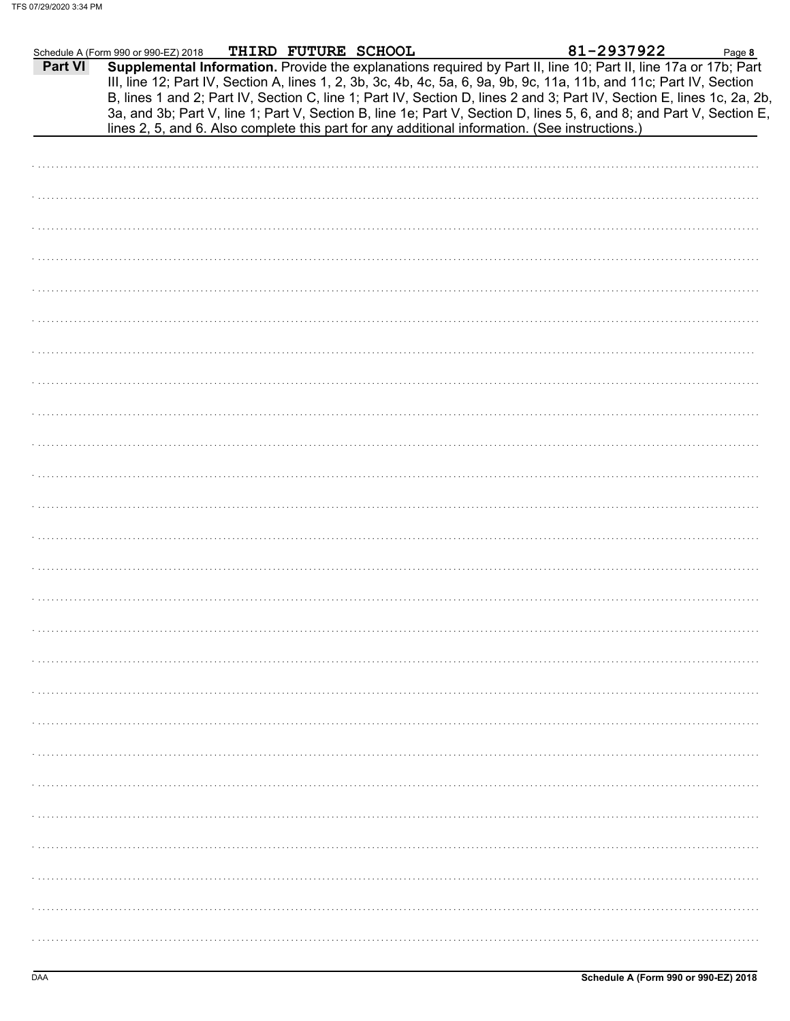|         | Schedule A (Form 990 or 990-EZ) 2018 | THIRD FUTURE SCHOOL |                                                                                                                                                                                                                                                                                                                                                                   | 81-2937922 | Page 8 |
|---------|--------------------------------------|---------------------|-------------------------------------------------------------------------------------------------------------------------------------------------------------------------------------------------------------------------------------------------------------------------------------------------------------------------------------------------------------------|------------|--------|
| Part VI |                                      |                     | Supplemental Information. Provide the explanations required by Part II, line 10; Part II, line 17a or 17b; Part<br>III, line 12; Part IV, Section A, lines 1, 2, 3b, 3c, 4b, 4c, 5a, 6, 9a, 9b, 9c, 11a, 11b, and 11c; Part IV, Section<br>B, lines 1 and 2; Part IV, Section C, line 1; Part IV, Section D, lines 2 and 3; Part IV, Section E, lines 1c, 2a, 2b, |            |        |
|         |                                      |                     | 3a, and 3b; Part V, line 1; Part V, Section B, line 1e; Part V, Section D, lines 5, 6, and 8; and Part V, Section E,<br>lines 2, 5, and 6. Also complete this part for any additional information. (See instructions.)                                                                                                                                            |            |        |
|         |                                      |                     |                                                                                                                                                                                                                                                                                                                                                                   |            |        |
|         |                                      |                     |                                                                                                                                                                                                                                                                                                                                                                   |            |        |
|         |                                      |                     |                                                                                                                                                                                                                                                                                                                                                                   |            |        |
|         |                                      |                     |                                                                                                                                                                                                                                                                                                                                                                   |            |        |
|         |                                      |                     |                                                                                                                                                                                                                                                                                                                                                                   |            |        |
|         |                                      |                     |                                                                                                                                                                                                                                                                                                                                                                   |            |        |
|         |                                      |                     |                                                                                                                                                                                                                                                                                                                                                                   |            |        |
|         |                                      |                     |                                                                                                                                                                                                                                                                                                                                                                   |            |        |
|         |                                      |                     |                                                                                                                                                                                                                                                                                                                                                                   |            |        |
|         |                                      |                     |                                                                                                                                                                                                                                                                                                                                                                   |            |        |
|         |                                      |                     |                                                                                                                                                                                                                                                                                                                                                                   |            |        |
|         |                                      |                     |                                                                                                                                                                                                                                                                                                                                                                   |            |        |
|         |                                      |                     |                                                                                                                                                                                                                                                                                                                                                                   |            |        |
|         |                                      |                     |                                                                                                                                                                                                                                                                                                                                                                   |            |        |
|         |                                      |                     |                                                                                                                                                                                                                                                                                                                                                                   |            |        |
|         |                                      |                     |                                                                                                                                                                                                                                                                                                                                                                   |            |        |
|         |                                      |                     |                                                                                                                                                                                                                                                                                                                                                                   |            |        |
|         |                                      |                     |                                                                                                                                                                                                                                                                                                                                                                   |            |        |
|         |                                      |                     |                                                                                                                                                                                                                                                                                                                                                                   |            |        |
|         |                                      |                     |                                                                                                                                                                                                                                                                                                                                                                   |            |        |
|         |                                      |                     |                                                                                                                                                                                                                                                                                                                                                                   |            |        |
|         |                                      |                     |                                                                                                                                                                                                                                                                                                                                                                   |            |        |
|         |                                      |                     |                                                                                                                                                                                                                                                                                                                                                                   |            |        |
|         |                                      |                     |                                                                                                                                                                                                                                                                                                                                                                   |            |        |
|         |                                      |                     |                                                                                                                                                                                                                                                                                                                                                                   |            |        |
|         |                                      |                     |                                                                                                                                                                                                                                                                                                                                                                   |            |        |
|         |                                      |                     |                                                                                                                                                                                                                                                                                                                                                                   |            |        |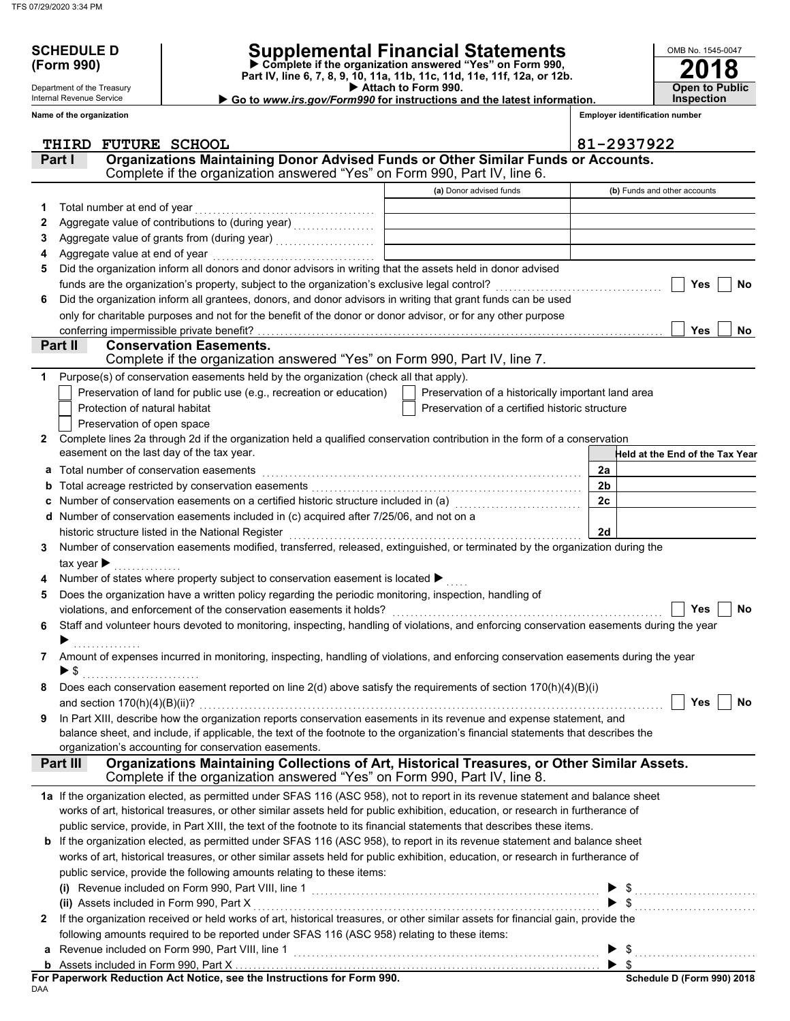Department of the Treasury Internal Revenue Service

# **SCHEDULE D Supplemental Financial Statements**

 **Attach to Form 990. (Form 990) Part IV, line 6, 7, 8, 9, 10, 11a, 11b, 11c, 11d, 11e, 11f, 12a, or 12b. Complete if the organization answered "Yes" on Form 990,**

▶ Go to www.irs.gov/Form990 for instructions and the latest information.

**Inspection**

**2018**

**Open to Public**

OMB No. 1545-0047

|    | Name of the organization                                                                                                                                                 | <b>Employer identification number</b>              |                                 |  |  |  |  |  |  |
|----|--------------------------------------------------------------------------------------------------------------------------------------------------------------------------|----------------------------------------------------|---------------------------------|--|--|--|--|--|--|
|    | THIRD FUTURE SCHOOL                                                                                                                                                      |                                                    | 81-2937922                      |  |  |  |  |  |  |
|    | Organizations Maintaining Donor Advised Funds or Other Similar Funds or Accounts.<br>Part I<br>Complete if the organization answered "Yes" on Form 990, Part IV, line 6. |                                                    |                                 |  |  |  |  |  |  |
|    |                                                                                                                                                                          | (a) Donor advised funds                            | (b) Funds and other accounts    |  |  |  |  |  |  |
| 1. | Total number at end of year                                                                                                                                              |                                                    |                                 |  |  |  |  |  |  |
| 2  |                                                                                                                                                                          |                                                    |                                 |  |  |  |  |  |  |
| З  |                                                                                                                                                                          |                                                    |                                 |  |  |  |  |  |  |
|    | Aggregate value at end of year                                                                                                                                           |                                                    |                                 |  |  |  |  |  |  |
| 5  | Did the organization inform all donors and donor advisors in writing that the assets held in donor advised                                                               |                                                    |                                 |  |  |  |  |  |  |
|    | funds are the organization's property, subject to the organization's exclusive legal control?                                                                            |                                                    | <b>Yes</b><br><b>No</b>         |  |  |  |  |  |  |
| 6  | Did the organization inform all grantees, donors, and donor advisors in writing that grant funds can be used                                                             |                                                    |                                 |  |  |  |  |  |  |
|    | only for charitable purposes and not for the benefit of the donor or donor advisor, or for any other purpose                                                             |                                                    |                                 |  |  |  |  |  |  |
|    | conferring impermissible private benefit?                                                                                                                                |                                                    | <b>Yes</b><br>No                |  |  |  |  |  |  |
|    | <b>Conservation Easements.</b><br>Part II                                                                                                                                |                                                    |                                 |  |  |  |  |  |  |
|    | Complete if the organization answered "Yes" on Form 990, Part IV, line 7.                                                                                                |                                                    |                                 |  |  |  |  |  |  |
| 1  | Purpose(s) of conservation easements held by the organization (check all that apply).                                                                                    |                                                    |                                 |  |  |  |  |  |  |
|    | Preservation of land for public use (e.g., recreation or education)                                                                                                      | Preservation of a historically important land area |                                 |  |  |  |  |  |  |
|    | Protection of natural habitat                                                                                                                                            | Preservation of a certified historic structure     |                                 |  |  |  |  |  |  |
|    | Preservation of open space                                                                                                                                               |                                                    |                                 |  |  |  |  |  |  |
| 2  | Complete lines 2a through 2d if the organization held a qualified conservation contribution in the form of a conservation                                                |                                                    |                                 |  |  |  |  |  |  |
|    | easement on the last day of the tax year.                                                                                                                                |                                                    | Held at the End of the Tax Year |  |  |  |  |  |  |
| а  | Total number of conservation easements                                                                                                                                   |                                                    | 2a                              |  |  |  |  |  |  |
|    |                                                                                                                                                                          |                                                    | 2 <sub>b</sub>                  |  |  |  |  |  |  |
|    | Number of conservation easements on a certified historic structure included in (a) [11] Number of conservation                                                           |                                                    | 2c                              |  |  |  |  |  |  |
|    | Number of conservation easements included in (c) acquired after 7/25/06, and not on a                                                                                    |                                                    |                                 |  |  |  |  |  |  |
|    | historic structure listed in the National Register                                                                                                                       |                                                    | 2d                              |  |  |  |  |  |  |
| 3  | Number of conservation easements modified, transferred, released, extinguished, or terminated by the organization during the                                             |                                                    |                                 |  |  |  |  |  |  |
|    | tax year $\blacktriangleright$                                                                                                                                           |                                                    |                                 |  |  |  |  |  |  |
|    | Number of states where property subject to conservation easement is located ▶                                                                                            |                                                    |                                 |  |  |  |  |  |  |
| 5  | Does the organization have a written policy regarding the periodic monitoring, inspection, handling of                                                                   |                                                    |                                 |  |  |  |  |  |  |
|    | violations, and enforcement of the conservation easements it holds?                                                                                                      |                                                    | Yes<br><b>No</b>                |  |  |  |  |  |  |
| 6  | Staff and volunteer hours devoted to monitoring, inspecting, handling of violations, and enforcing conservation easements during the year                                |                                                    |                                 |  |  |  |  |  |  |
|    |                                                                                                                                                                          |                                                    |                                 |  |  |  |  |  |  |
| 7  | Amount of expenses incurred in monitoring, inspecting, handling of violations, and enforcing conservation easements during the year                                      |                                                    |                                 |  |  |  |  |  |  |
|    | ▶ \$                                                                                                                                                                     |                                                    |                                 |  |  |  |  |  |  |
| 8  | Does each conservation easement reported on line 2(d) above satisfy the requirements of section 170(h)(4)(B)(i)                                                          |                                                    |                                 |  |  |  |  |  |  |
|    | and section $170(h)(4)(B)(ii)$ ?                                                                                                                                         |                                                    | Yes<br><b>No</b>                |  |  |  |  |  |  |
| 9  | In Part XIII, describe how the organization reports conservation easements in its revenue and expense statement, and                                                     |                                                    |                                 |  |  |  |  |  |  |
|    | balance sheet, and include, if applicable, the text of the footnote to the organization's financial statements that describes the                                        |                                                    |                                 |  |  |  |  |  |  |
|    | organization's accounting for conservation easements.                                                                                                                    |                                                    |                                 |  |  |  |  |  |  |
|    | Organizations Maintaining Collections of Art, Historical Treasures, or Other Similar Assets.<br>Part III                                                                 |                                                    |                                 |  |  |  |  |  |  |
|    | Complete if the organization answered "Yes" on Form 990, Part IV, line 8.                                                                                                |                                                    |                                 |  |  |  |  |  |  |
|    | 1a If the organization elected, as permitted under SFAS 116 (ASC 958), not to report in its revenue statement and balance sheet                                          |                                                    |                                 |  |  |  |  |  |  |
|    | works of art, historical treasures, or other similar assets held for public exhibition, education, or research in furtherance of                                         |                                                    |                                 |  |  |  |  |  |  |
|    | public service, provide, in Part XIII, the text of the footnote to its financial statements that describes these items.                                                  |                                                    |                                 |  |  |  |  |  |  |
|    | <b>b</b> If the organization elected, as permitted under SFAS 116 (ASC 958), to report in its revenue statement and balance sheet                                        |                                                    |                                 |  |  |  |  |  |  |
|    | works of art, historical treasures, or other similar assets held for public exhibition, education, or research in furtherance of                                         |                                                    |                                 |  |  |  |  |  |  |
|    | public service, provide the following amounts relating to these items:                                                                                                   |                                                    |                                 |  |  |  |  |  |  |
|    | (i) Revenue included on Form 990, Part VIII, line 1 <b>Construct Construct Construct Construct</b> Construct Construct                                                   |                                                    |                                 |  |  |  |  |  |  |
|    | (ii) Assets included in Form 990, Part X                                                                                                                                 |                                                    |                                 |  |  |  |  |  |  |
| 2  | If the organization received or held works of art, historical treasures, or other similar assets for financial gain, provide the                                         |                                                    |                                 |  |  |  |  |  |  |
|    | following amounts required to be reported under SFAS 116 (ASC 958) relating to these items:                                                                              |                                                    |                                 |  |  |  |  |  |  |
|    | Revenue included on Form 990, Part VIII, line 1                                                                                                                          |                                                    |                                 |  |  |  |  |  |  |
|    |                                                                                                                                                                          |                                                    |                                 |  |  |  |  |  |  |

DAA **For Paperwork Reduction Act Notice, see the Instructions for Form 990.**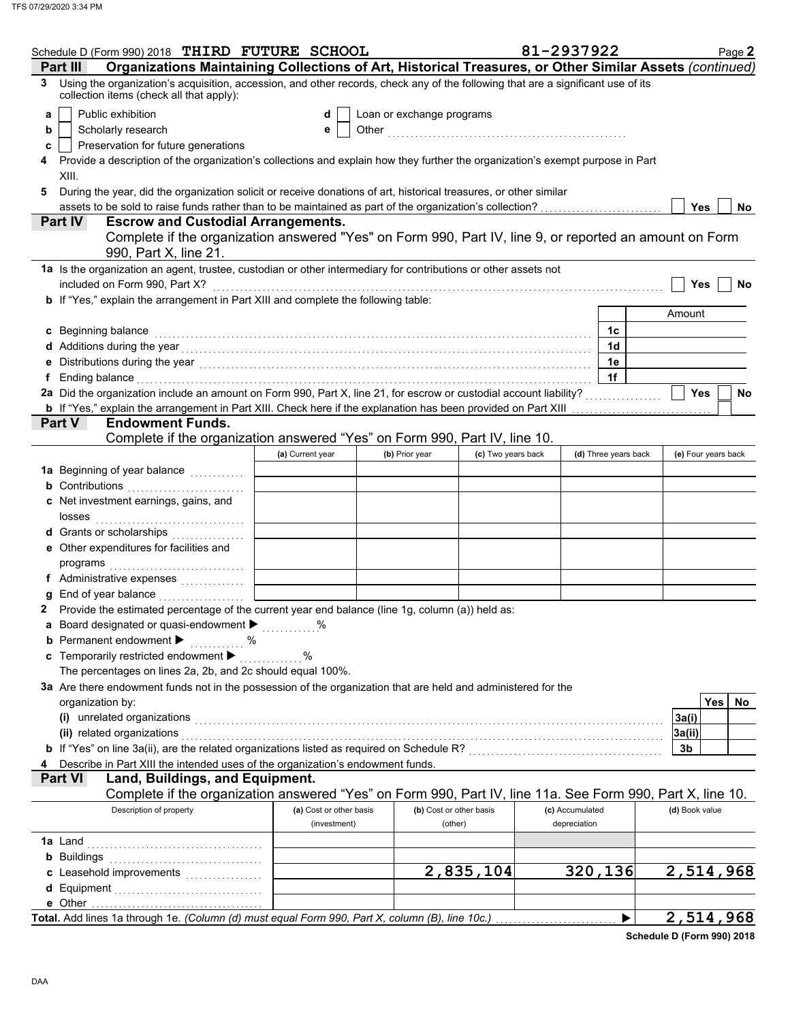| Schedule D (Form 990) 2018 THIRD FUTURE SCHOOL                                                                                                                                                                                                                                                                                                            |                         |                           |                    | 81-2937922           | Page 2                 |
|-----------------------------------------------------------------------------------------------------------------------------------------------------------------------------------------------------------------------------------------------------------------------------------------------------------------------------------------------------------|-------------------------|---------------------------|--------------------|----------------------|------------------------|
| Organizations Maintaining Collections of Art, Historical Treasures, or Other Similar Assets (continued)<br>Part III                                                                                                                                                                                                                                       |                         |                           |                    |                      |                        |
| Using the organization's acquisition, accession, and other records, check any of the following that are a significant use of its<br>3<br>collection items (check all that apply):                                                                                                                                                                         |                         |                           |                    |                      |                        |
| Public exhibition<br>a                                                                                                                                                                                                                                                                                                                                    | d                       | Loan or exchange programs |                    |                      |                        |
| Scholarly research<br>b                                                                                                                                                                                                                                                                                                                                   | е                       |                           |                    |                      |                        |
| Preservation for future generations<br>c                                                                                                                                                                                                                                                                                                                  |                         |                           |                    |                      |                        |
| Provide a description of the organization's collections and explain how they further the organization's exempt purpose in Part<br>4<br>XIII.                                                                                                                                                                                                              |                         |                           |                    |                      |                        |
| During the year, did the organization solicit or receive donations of art, historical treasures, or other similar<br>5                                                                                                                                                                                                                                    |                         |                           |                    |                      |                        |
|                                                                                                                                                                                                                                                                                                                                                           |                         |                           |                    |                      | Yes<br><b>No</b>       |
| Part IV<br><b>Escrow and Custodial Arrangements.</b>                                                                                                                                                                                                                                                                                                      |                         |                           |                    |                      |                        |
| Complete if the organization answered "Yes" on Form 990, Part IV, line 9, or reported an amount on Form<br>990, Part X, line 21.                                                                                                                                                                                                                          |                         |                           |                    |                      |                        |
| 1a Is the organization an agent, trustee, custodian or other intermediary for contributions or other assets not                                                                                                                                                                                                                                           |                         |                           |                    |                      |                        |
| included on Form 990, Part X?                                                                                                                                                                                                                                                                                                                             |                         |                           |                    |                      | Yes<br>No              |
| b If "Yes," explain the arrangement in Part XIII and complete the following table:                                                                                                                                                                                                                                                                        |                         |                           |                    |                      |                        |
|                                                                                                                                                                                                                                                                                                                                                           |                         |                           |                    |                      | Amount                 |
| Beginning balance<br>C                                                                                                                                                                                                                                                                                                                                    |                         |                           |                    | 1c                   |                        |
| d Additions during the year<br>interaction continuous continuous continuous during the year of Additions during the year of Additions during the year                                                                                                                                                                                                     |                         |                           |                    | 1d                   |                        |
|                                                                                                                                                                                                                                                                                                                                                           |                         |                           |                    | 1e<br>1f             |                        |
| Ending balance with a construction of the construction of the construction of the construction of the construction of the construction of the construction of the construction of the construction of the construction of the<br>f.<br>2a Did the organization include an amount on Form 990, Part X, line 21, for escrow or custodial account liability? |                         |                           |                    |                      | <b>Yes</b><br>No       |
| <b>b</b> If "Yes," explain the arrangement in Part XIII. Check here if the explanation has been provided on Part XIII <i>mummmmm</i>                                                                                                                                                                                                                      |                         |                           |                    |                      |                        |
| <b>Endowment Funds.</b><br>Part V                                                                                                                                                                                                                                                                                                                         |                         |                           |                    |                      |                        |
| Complete if the organization answered "Yes" on Form 990, Part IV, line 10.                                                                                                                                                                                                                                                                                |                         |                           |                    |                      |                        |
|                                                                                                                                                                                                                                                                                                                                                           | (a) Current year        | (b) Prior year            | (c) Two years back | (d) Three years back | (e) Four years back    |
|                                                                                                                                                                                                                                                                                                                                                           |                         |                           |                    |                      |                        |
| <b>b</b> Contributions <b>contributions</b>                                                                                                                                                                                                                                                                                                               |                         |                           |                    |                      |                        |
| c Net investment earnings, gains, and                                                                                                                                                                                                                                                                                                                     |                         |                           |                    |                      |                        |
| losses                                                                                                                                                                                                                                                                                                                                                    |                         |                           |                    |                      |                        |
| d Grants or scholarships<br>.                                                                                                                                                                                                                                                                                                                             |                         |                           |                    |                      |                        |
| e Other expenditures for facilities and                                                                                                                                                                                                                                                                                                                   |                         |                           |                    |                      |                        |
|                                                                                                                                                                                                                                                                                                                                                           |                         |                           |                    |                      |                        |
| f Administrative expenses                                                                                                                                                                                                                                                                                                                                 |                         |                           |                    |                      |                        |
|                                                                                                                                                                                                                                                                                                                                                           |                         |                           |                    |                      |                        |
| 2 Provide the estimated percentage of the current year end balance (line 1g, column (a)) held as:                                                                                                                                                                                                                                                         |                         |                           |                    |                      |                        |
| a Board designated or quasi-endowment $\blacktriangleright$                                                                                                                                                                                                                                                                                               | %                       |                           |                    |                      |                        |
| <b>b</b> Permanent endowment $\blacktriangleright$<br>℅                                                                                                                                                                                                                                                                                                   |                         |                           |                    |                      |                        |
| c Temporarily restricted endowment >                                                                                                                                                                                                                                                                                                                      | ℅                       |                           |                    |                      |                        |
| The percentages on lines 2a, 2b, and 2c should equal 100%.                                                                                                                                                                                                                                                                                                |                         |                           |                    |                      |                        |
| 3a Are there endowment funds not in the possession of the organization that are held and administered for the                                                                                                                                                                                                                                             |                         |                           |                    |                      | <b>Yes</b>             |
| organization by:                                                                                                                                                                                                                                                                                                                                          |                         |                           |                    |                      | No                     |
| (i) unrelated organizations entertainment and all the contract of the contract of the contract of the contract or the contract of the contract of the contract of the contract of the contract of the contract of the contract<br>(ii) related organizations                                                                                              |                         |                           |                    |                      | 3a(i)<br>3a(ii)        |
| b If "Yes" on line 3a(ii), are the related organizations listed as required on Schedule R? [[[[[[[[[[[[[[[[[[[                                                                                                                                                                                                                                            |                         |                           |                    |                      | 3b                     |
| Describe in Part XIII the intended uses of the organization's endowment funds.<br>4                                                                                                                                                                                                                                                                       |                         |                           |                    |                      |                        |
| Land, Buildings, and Equipment.<br><b>Part VI</b>                                                                                                                                                                                                                                                                                                         |                         |                           |                    |                      |                        |
| Complete if the organization answered "Yes" on Form 990, Part IV, line 11a. See Form 990, Part X, line 10.                                                                                                                                                                                                                                                |                         |                           |                    |                      |                        |
| Description of property                                                                                                                                                                                                                                                                                                                                   | (a) Cost or other basis | (b) Cost or other basis   |                    | (c) Accumulated      | (d) Book value         |
|                                                                                                                                                                                                                                                                                                                                                           | (investment)            | (other)                   |                    | depreciation         |                        |
|                                                                                                                                                                                                                                                                                                                                                           |                         |                           |                    |                      |                        |
|                                                                                                                                                                                                                                                                                                                                                           |                         |                           |                    |                      |                        |
|                                                                                                                                                                                                                                                                                                                                                           |                         |                           | 2,835,104          | 320,136              | $\overline{2,514,968}$ |
|                                                                                                                                                                                                                                                                                                                                                           |                         |                           |                    |                      |                        |
|                                                                                                                                                                                                                                                                                                                                                           |                         |                           |                    |                      |                        |
| Total. Add lines 1a through 1e. (Column (d) must equal Form 990, Part X, column (B), line 10c.)                                                                                                                                                                                                                                                           |                         |                           |                    |                      | 2,514,968              |

**Schedule D (Form 990) 2018**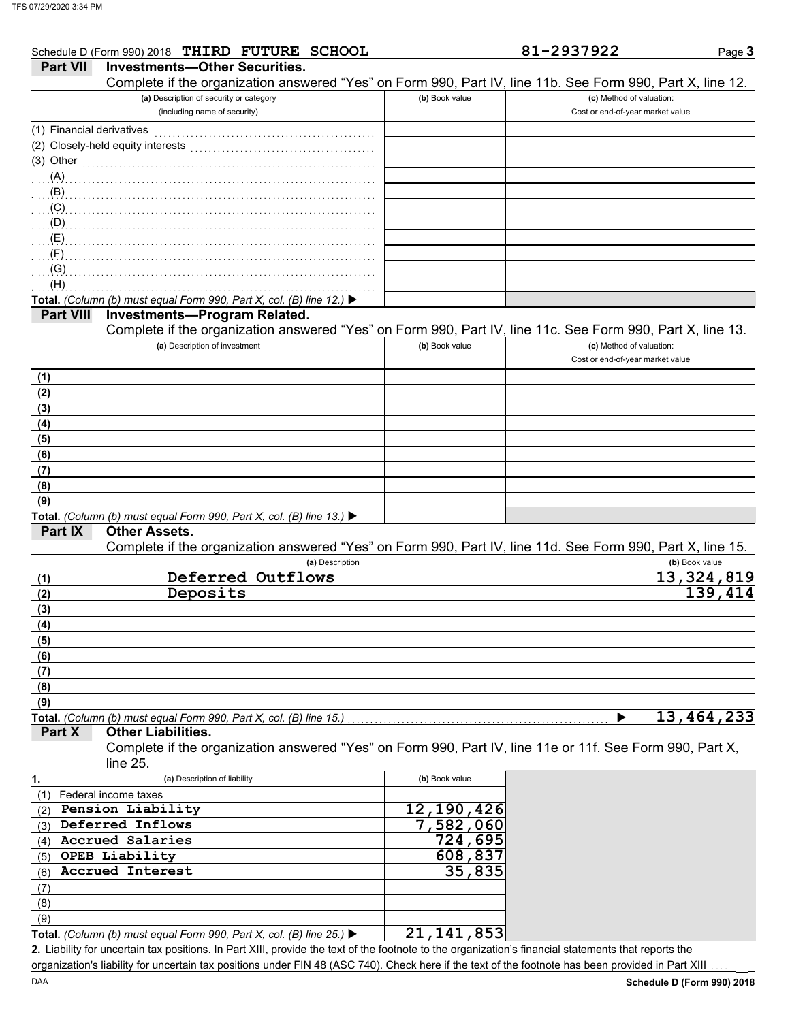|                           | Schedule D (Form 990) 2018 THIRD FUTURE SCHOOL                                                             |                | 81-2937922                       | Page 3                     |
|---------------------------|------------------------------------------------------------------------------------------------------------|----------------|----------------------------------|----------------------------|
| <b>Part VII</b>           | <b>Investments-Other Securities.</b>                                                                       |                |                                  |                            |
|                           | Complete if the organization answered "Yes" on Form 990, Part IV, line 11b. See Form 990, Part X, line 12. |                |                                  |                            |
|                           | (a) Description of security or category                                                                    | (b) Book value | (c) Method of valuation:         |                            |
|                           | (including name of security)                                                                               |                | Cost or end-of-year market value |                            |
| (1) Financial derivatives |                                                                                                            |                |                                  |                            |
|                           | (2) Closely-held equity interests                                                                          |                |                                  |                            |
|                           | (3) Other $\ldots$ and $\ldots$                                                                            |                |                                  |                            |
|                           | $\mathcal{A}$ .                                                                                            |                |                                  |                            |
| (B)                       |                                                                                                            |                |                                  |                            |
| (C)                       |                                                                                                            |                |                                  |                            |
| (D)                       |                                                                                                            |                |                                  |                            |
| (E)                       |                                                                                                            |                |                                  |                            |
| (F)                       |                                                                                                            |                |                                  |                            |
| (G)                       |                                                                                                            |                |                                  |                            |
| (H)                       |                                                                                                            |                |                                  |                            |
|                           | Total. (Column (b) must equal Form 990, Part X, col. (B) line 12.) $\blacktriangleright$                   |                |                                  |                            |
| <b>Part VIII</b>          | <b>Investments-Program Related.</b>                                                                        |                |                                  |                            |
|                           | Complete if the organization answered "Yes" on Form 990, Part IV, line 11c. See Form 990, Part X, line 13. |                |                                  |                            |
|                           | (a) Description of investment                                                                              | (b) Book value | (c) Method of valuation:         |                            |
|                           |                                                                                                            |                | Cost or end-of-year market value |                            |
| (1)                       |                                                                                                            |                |                                  |                            |
| (2)                       |                                                                                                            |                |                                  |                            |
| (3)                       |                                                                                                            |                |                                  |                            |
| (4)                       |                                                                                                            |                |                                  |                            |
| (5)                       |                                                                                                            |                |                                  |                            |
| (6)                       |                                                                                                            |                |                                  |                            |
| (7)                       |                                                                                                            |                |                                  |                            |
| (8)                       |                                                                                                            |                |                                  |                            |
| (9)                       |                                                                                                            |                |                                  |                            |
|                           | Total. (Column (b) must equal Form 990, Part X, col. (B) line 13.)                                         |                |                                  |                            |
|                           | <b>Other Assets.</b>                                                                                       |                |                                  |                            |
| <b>Part IX</b>            |                                                                                                            |                |                                  |                            |
|                           | Complete if the organization answered "Yes" on Form 990, Part IV, line 11d. See Form 990, Part X, line 15. |                |                                  |                            |
|                           | (a) Description                                                                                            |                |                                  | (b) Book value             |
| (1)                       | Deferred Outflows                                                                                          |                |                                  | $\overline{13}$ , 324, 819 |
| (2)                       | Deposits                                                                                                   |                |                                  | <b>139,414</b>             |
| (3)                       |                                                                                                            |                |                                  |                            |

## **(8) (9)**

**Total.** *(Column (b) must equal Form 990, Part X, col. (B) line 15.)* . . . . . . . . . . . . . . . . . . . . . . . . . . . . . . . . . . . . . . . . . . . . . . . . . . . . . . . . . .

### **Part X Other Liabilities.**

Complete if the organization answered "Yes" on Form 990, Part IV, line 11e or 11f. See Form 990, Part X, line 25.

| 1.  | (a) Description of liability                                                             | (b) Book value |  |
|-----|------------------------------------------------------------------------------------------|----------------|--|
|     | Federal income taxes                                                                     |                |  |
| (2) | Pension Liability                                                                        | 12, 190, 426   |  |
| (3) | Deferred Inflows                                                                         | 7,582,060      |  |
| (4) | Accrued Salaries                                                                         | 724,695        |  |
| (5) | OPEB Liability                                                                           | 608,837        |  |
| (6) | Accrued Interest                                                                         | 35,835         |  |
| (7) |                                                                                          |                |  |
| (8) |                                                                                          |                |  |
| (9) |                                                                                          |                |  |
|     | Total. (Column (b) must equal Form 990, Part X, col. (B) line 25.) $\blacktriangleright$ | 21, 141, 853   |  |

Liability for uncertain tax positions. In Part XIII, provide the text of the footnote to the organization's financial statements that reports the **2.** organization's liability for uncertain tax positions under FIN 48 (ASC 740). Check here if the text of the footnote has been provided in Part XIII

**13,464,233**

**(5) (6) (7)**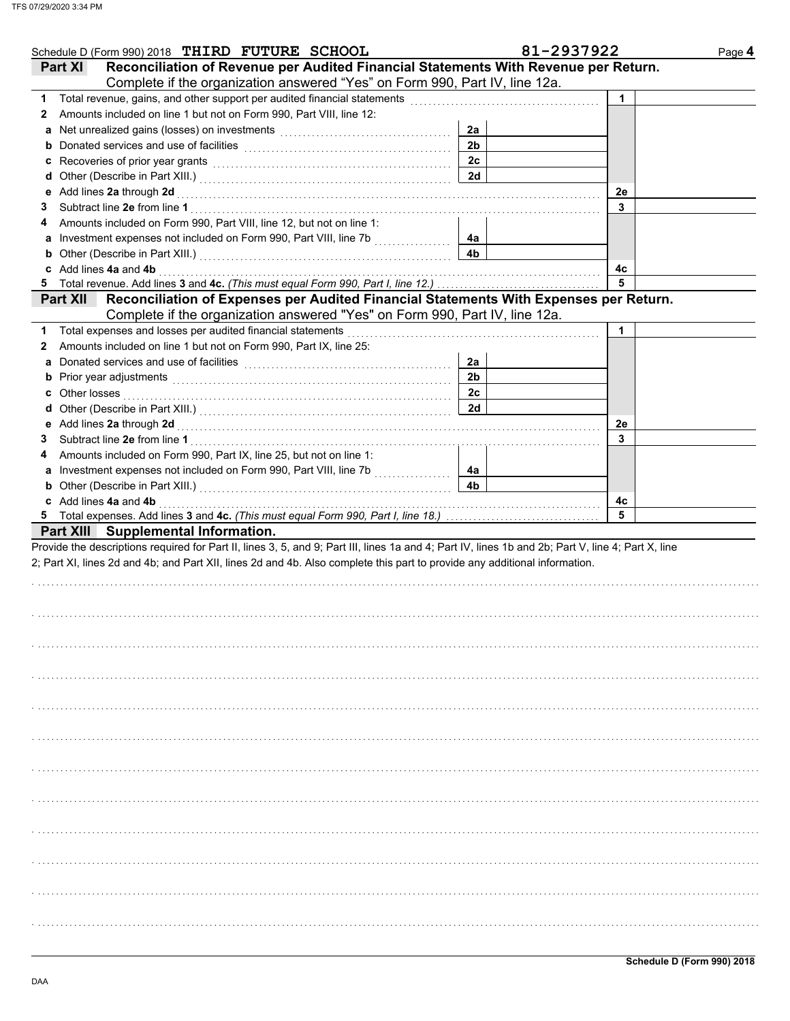| Schedule D (Form 990) 2018 THIRD FUTURE SCHOOL                                                                                                                                                                                 |                | 81-2937922   | Page 4 |
|--------------------------------------------------------------------------------------------------------------------------------------------------------------------------------------------------------------------------------|----------------|--------------|--------|
| Reconciliation of Revenue per Audited Financial Statements With Revenue per Return.<br>Part XI                                                                                                                                 |                |              |        |
| Complete if the organization answered "Yes" on Form 990, Part IV, line 12a.                                                                                                                                                    |                |              |        |
| 1.                                                                                                                                                                                                                             |                | $\mathbf{1}$ |        |
| Amounts included on line 1 but not on Form 990, Part VIII, line 12:<br>$\mathbf{2}$                                                                                                                                            |                |              |        |
|                                                                                                                                                                                                                                | 2a             |              |        |
|                                                                                                                                                                                                                                | 2 <sub>b</sub> |              |        |
|                                                                                                                                                                                                                                | 2c             |              |        |
|                                                                                                                                                                                                                                | 2d             |              |        |
| e Add lines 2a through 2d [11] [12] [12] And The Add lines 2a through the Add lines 2a through 2d [11] [12] $\frac{1}{2}$                                                                                                      |                | 2e           |        |
| 3                                                                                                                                                                                                                              |                | 3            |        |
| Amounts included on Form 990, Part VIII, line 12, but not on line 1:<br>4                                                                                                                                                      |                |              |        |
|                                                                                                                                                                                                                                |                |              |        |
|                                                                                                                                                                                                                                | 4a<br>4b       |              |        |
| <b>b</b> Other (Describe in Part XIII.) <b>CONSIDENT DESCRIPTION DESCRIPTION DESCRIPTION DESCRIPTION DESCRIPTION DESCRIPTION DESCRIPTION DESCRIPTION DESCRIPTION DESCRIPTION DESCRIPTION DESCRIPTION DESCRI</b>                |                |              |        |
| c Add lines 4a and 4b                                                                                                                                                                                                          |                | 4с           |        |
|                                                                                                                                                                                                                                |                | 5            |        |
| Part XII Reconciliation of Expenses per Audited Financial Statements With Expenses per Return.                                                                                                                                 |                |              |        |
| Complete if the organization answered "Yes" on Form 990, Part IV, line 12a.                                                                                                                                                    |                |              |        |
| Total expenses and losses per audited financial statements<br>1.                                                                                                                                                               |                | 1            |        |
| Amounts included on line 1 but not on Form 990, Part IX, line 25:<br>2                                                                                                                                                         |                |              |        |
| a Donated services and use of facilities [11] content to content the service of the service of the service of the service of the service of the service of the service of the service of the service of the service of the ser | 2a             |              |        |
|                                                                                                                                                                                                                                | 2 <sub>b</sub> |              |        |
| <b>c</b> Other losses                                                                                                                                                                                                          | 2c             |              |        |
|                                                                                                                                                                                                                                | 2d             |              |        |
|                                                                                                                                                                                                                                |                | 2e           |        |
| 3                                                                                                                                                                                                                              |                | 3            |        |
| Amounts included on Form 990, Part IX, line 25, but not on line 1:<br>4                                                                                                                                                        |                |              |        |
| a Investment expenses not included on Form 990, Part VIII, line 7b                                                                                                                                                             | 4a             |              |        |
| <b>b</b> Other (Describe in Part XIII.) <b>CONSIDENT DESCRIPTION DESCRIPTION DESCRIPTION DESCRIPTION DESCRIPTION DESCRIPTION DESCRIPTION DESCRIPTION DESCRIPTION DESCRIPTION DESCRIPTION DESCRIPTION DESCRI</b>                | 4 <sub>b</sub> |              |        |
| c Add lines 4a and 4b                                                                                                                                                                                                          |                | 4с           |        |
|                                                                                                                                                                                                                                |                | 5            |        |
| Part XIII Supplemental Information.                                                                                                                                                                                            |                |              |        |
| Provide the descriptions required for Part II, lines 3, 5, and 9; Part III, lines 1a and 4; Part IV, lines 1b and 2b; Part V, line 4; Part X, line                                                                             |                |              |        |
| 2; Part XI, lines 2d and 4b; and Part XII, lines 2d and 4b. Also complete this part to provide any additional information.                                                                                                     |                |              |        |
|                                                                                                                                                                                                                                |                |              |        |
|                                                                                                                                                                                                                                |                |              |        |
|                                                                                                                                                                                                                                |                |              |        |
|                                                                                                                                                                                                                                |                |              |        |
|                                                                                                                                                                                                                                |                |              |        |
|                                                                                                                                                                                                                                |                |              |        |
|                                                                                                                                                                                                                                |                |              |        |
|                                                                                                                                                                                                                                |                |              |        |
|                                                                                                                                                                                                                                |                |              |        |
|                                                                                                                                                                                                                                |                |              |        |
|                                                                                                                                                                                                                                |                |              |        |
|                                                                                                                                                                                                                                |                |              |        |
|                                                                                                                                                                                                                                |                |              |        |
|                                                                                                                                                                                                                                |                |              |        |
|                                                                                                                                                                                                                                |                |              |        |
|                                                                                                                                                                                                                                |                |              |        |
|                                                                                                                                                                                                                                |                |              |        |
|                                                                                                                                                                                                                                |                |              |        |
|                                                                                                                                                                                                                                |                |              |        |
|                                                                                                                                                                                                                                |                |              |        |
|                                                                                                                                                                                                                                |                |              |        |
|                                                                                                                                                                                                                                |                |              |        |
|                                                                                                                                                                                                                                |                |              |        |
|                                                                                                                                                                                                                                |                |              |        |
|                                                                                                                                                                                                                                |                |              |        |
|                                                                                                                                                                                                                                |                |              |        |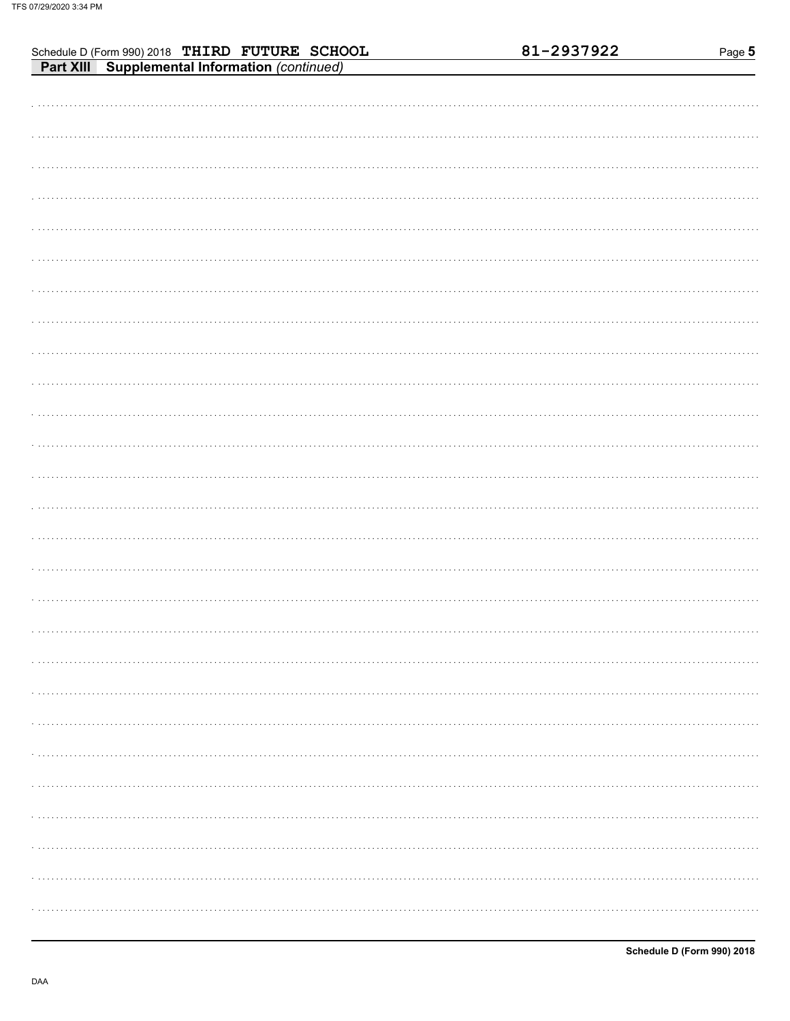| Schedule D (Form 990) 2018 THIRD FUTURE SCHOOL<br>Part XIII Supplemental Information (continued) | 81-2937922 | Page 5 |
|--------------------------------------------------------------------------------------------------|------------|--------|
|                                                                                                  |            |        |
|                                                                                                  |            |        |
|                                                                                                  |            |        |
|                                                                                                  |            |        |
|                                                                                                  |            |        |
|                                                                                                  |            |        |
|                                                                                                  |            |        |
|                                                                                                  |            |        |
|                                                                                                  |            |        |
|                                                                                                  |            |        |
|                                                                                                  |            |        |
|                                                                                                  |            |        |
|                                                                                                  |            |        |
|                                                                                                  |            |        |
|                                                                                                  |            |        |
|                                                                                                  |            |        |
|                                                                                                  |            |        |
|                                                                                                  |            |        |
|                                                                                                  |            |        |
|                                                                                                  |            |        |
|                                                                                                  |            |        |
|                                                                                                  |            |        |
|                                                                                                  |            |        |
|                                                                                                  |            |        |
|                                                                                                  |            |        |
|                                                                                                  |            |        |
|                                                                                                  |            |        |
|                                                                                                  |            |        |
|                                                                                                  |            |        |
|                                                                                                  |            |        |
|                                                                                                  |            |        |
|                                                                                                  |            |        |
|                                                                                                  |            |        |
|                                                                                                  |            |        |
|                                                                                                  |            |        |